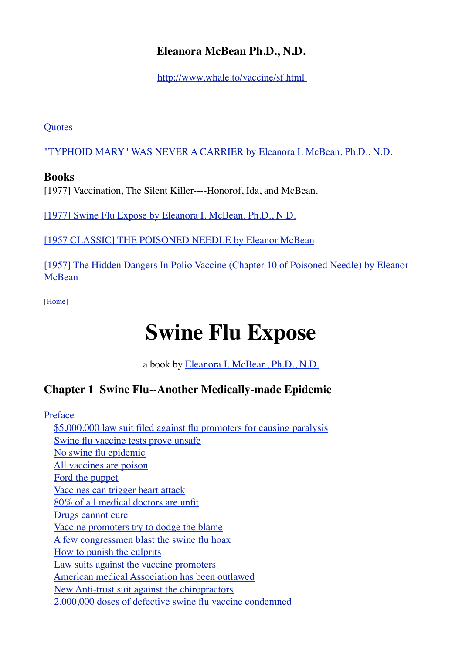# **Eleanora McBean Ph.D., N.D.**

<http://www.whale.to/vaccine/sf.html>

**[Quotes](http://www.whale.to/a/mcbean1.html)** 

["TYPHOID MARY" WAS NEVER A CARRIER by Eleanora I. McBean, Ph.D., N.D.](http://www.whale.to/vaccine/typhoidmary.html)

# **Books**

[1977] Vaccination, The Silent Killer----Honorof, Ida, and McBean.

[\[1977\] Swine Flu Expose by Eleanora I. McBean, Ph.D., N.D.](http://www.whale.to/a/mcbean4.html)

[\[1957 CLASSIC\] THE POISONED NEEDLE by Eleanor McBean](http://www.whale.to/a/mcbean6.html)

[1957] The Hidden Dangers In Polio Vaccine (Chapter 10 of Poisoned Needle) by Eleanor [McBean](http://www.whale.to/a/mcbean5.html)

[\[Home](http://www.whale.to/vaccines.html)]

# **Swine Flu Expose**

a book by [Eleanora I. McBean, Ph.D., N.D.](http://www.whale.to/v/mcbean.html)

# **Chapter 1 Swine Flu--Another Medically-made Epidemic**

[Preface](http://www.whale.to/vaccine/sf1a.html#PREFACE)

 [\\$5,000,000 law suit filed against flu promoters for causing paralysis](http://www.whale.to/vaccine/sf1a.html#$5,000,000%20LAW%20SUIT%20FILED%20AGAINST%20FLU%20PROMOTERS%20FOR%20CAUSING%20PARALYSIS) [Swine flu vaccine tests prove unsafe](http://www.whale.to/vaccine/sf1a.html#SWINE%20FLU%20VACCINE%20TESTS%20PROVE%20UNSAFE) [No swine flu epidemic](http://www.whale.to/vaccine/sf1a.html#NO%20SWINE%20FLU%20EPIDEMIC) [All vaccines are poison](http://www.whale.to/vaccine/sf1a.html#ALL%20VACCINES%20ARE%20POISON) [Ford the puppet](http://www.whale.to/vaccine/sf1a.html#FORD%20THE%20PUPPET) [Vaccines can trigger heart attack](http://www.whale.to/vaccine/sf1a.html#VACCINE%20CAN%20TRIGGER%20HEART%20ATTACK) [80% of all medical doctors are unfit](http://www.whale.to/vaccine/sf1a.html#80%25%20OF%20ALL%20MEDICAL%20DOCTORS%20ARE%20UNFIT) [Drugs cannot cure](http://www.whale.to/vaccine/sf1a.html#DRUGS%20CANNOT%20CURE) [Vaccine promoters try to dodge the blame](http://www.whale.to/vaccine/sf1a.html#VACCINE%20PROMOTERS%20TRY%20TO%20DODGE%20THE%20BLAME) [A few congressmen blast the swine flu hoax](http://www.whale.to/vaccine/sf1a.html#A%20FEW%20CONGRESSMEN%20BLAST%20THE%20SWINE%20FLU%20HOAX) [How to punish the culprits](http://www.whale.to/vaccine/sf1a.html#HOW%20TO%20PUNISH%20THE%20CULPRITS) [Law suits against the vaccine promoters](http://www.whale.to/vaccine/sf1a.html#LAW%20SUITS%20AGAINST%20THE%20VACCINE%20PROMOTERS) [American medical Association has been outlawed](http://www.whale.to/vaccine/sf1a.html#AMERICAN%20MEDICAL%20ASSOCIATION%20HAS%20BEEN%20OUTLAWED) [New Anti-trust suit against the chiropractors](http://www.whale.to/vaccine/sf1a.html#NEW%20ANTI-TRUST%20SUIT%20AGAINST%20A.M.A.%20FILED%20BY%20CHIROPRACTORS) [2,000,000 doses of defective swine flu vaccine condemned](http://www.whale.to/vaccine/sf1a.html#2,000,000%20DOSES%20OF%20DEFECTIVE%20SWINE%20FLU%20VACCINE%20CONDEMNED)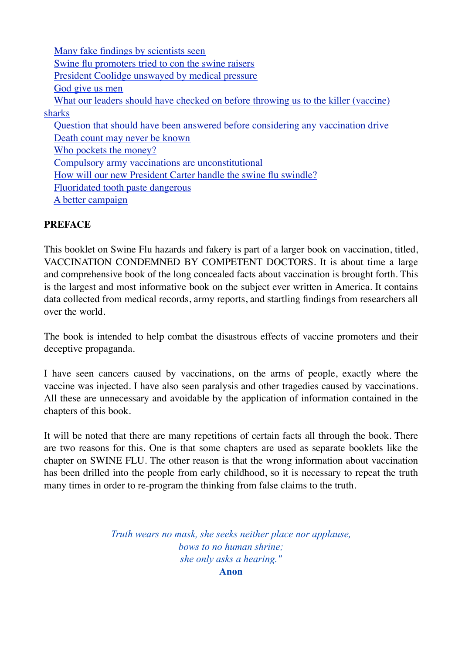#### **PREFACE**

This booklet on Swine Flu hazards and fakery is part of a larger book on vaccination, titled, VACCINATION CONDEMNED BY COMPETENT DOCTORS. It is about time a large and comprehensive book of the long concealed facts about vaccination is brought forth. This is the largest and most informative book on the subject ever written in America. It contains data collected from medical records, army reports, and startling findings from researchers all over the world.

The book is intended to help combat the disastrous effects of vaccine promoters and their deceptive propaganda.

I have seen cancers caused by vaccinations, on the arms of people, exactly where the vaccine was injected. I have also seen paralysis and other tragedies caused by vaccinations. All these are unnecessary and avoidable by the application of information contained in the chapters of this book.

It will be noted that there are many repetitions of certain facts all through the book. There are two reasons for this. One is that some chapters are used as separate booklets like the chapter on SWINE FLU. The other reason is that the wrong information about vaccination has been drilled into the people from early childhood, so it is necessary to repeat the truth many times in order to re-program the thinking from false claims to the truth.

> *Truth wears no mask, she seeks neither place nor applause, bows to no human shrine; she only asks a hearing."* **Anon**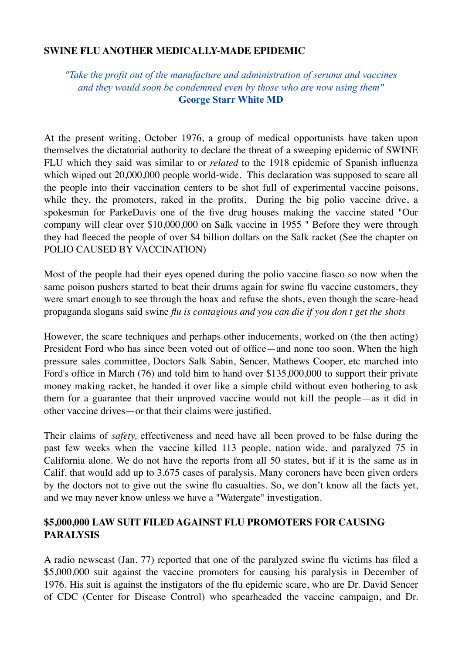#### **SWINE FLU ANOTHER MEDICALLY-MADE EPIDEMIC**

#### *"Take the profit out of the manufacture and administration of serums and vaccines and they would soon be condemned even by those who are now using them"* **George Starr White MD**

At the present writing, October 1976, a group of medical opportunists have taken upon themselves the dictatorial authority to declare the threat of a sweeping epidemic of SWINE FLU which they said was similar to or *related* to the 1918 epidemic of Spanish influenza which wiped out  $20,000,000$  people world-wide. This declaration was supposed to scare all the people into their vaccination centers to be shot full of experimental vaccine poisons, while they, the promoters, raked in the profits. During the big polio vaccine drive, a spokesman for ParkeDavis one of the five drug houses making the vaccine stated "Our company will clear over \$10,000,000 on Salk vaccine in 1955 " Before they were through they had fleeced the people of over \$4 billion dollars on the Salk racket (See the chapter on POLIO CAUSED BY VACCINATION)

Most of the people had their eyes opened during the polio vaccine fiasco so now when the same poison pushers started to beat their drums again for swine flu vaccine customers, they were smart enough to see through the hoax and refuse the shots, even though the scare-head propaganda slogans said swine *flu is contagious and you can die if you don t get the shots*

However, the scare techniques and perhaps other inducements, worked on (the then acting) President Ford who has since been voted out of office—and none too soon. When the high pressure sales committee, Doctors Salk Sabin, Sencer, Mathews Cooper, etc marched into Ford's office in March (76) and told him to hand over \$135,000,000 to support their private money making racket, he handed it over like a simple child without even bothering to ask them for a guarantee that their unproved vaccine would not kill the people—as it did in other vaccine drives—or that their claims were justified.

Their claims of *safety,* effectiveness and need have all been proved to be false during the past few weeks when the vaccine killed 113 people, nation wide, and paralyzed 75 in California alone. We do not have the reports from all 50 states, but if it is the same as in Calif. that would add up to 3,675 cases of paralysis. Many coroners have been given orders by the doctors not to give out the swine flu casualties. So, we don't know all the facts yet, and we may never know unless we have a "Watergate" investigation.

#### **\$5,000,000 LAW SUIT FILED AGAINST FLU PROMOTERS FOR CAUSING PARALYSIS**

A radio newscast (Jan. 77) reported that one of the paralyzed swine flu victims has filed a \$5,000,000 suit against the vaccine promoters for causing his paralysis in December of 1976. His suit is against the instigators of the flu epidemic scare, who are Dr. David Sencer of CDC (Center for Disease Control) who spearheaded the vaccine campaign, and Dr.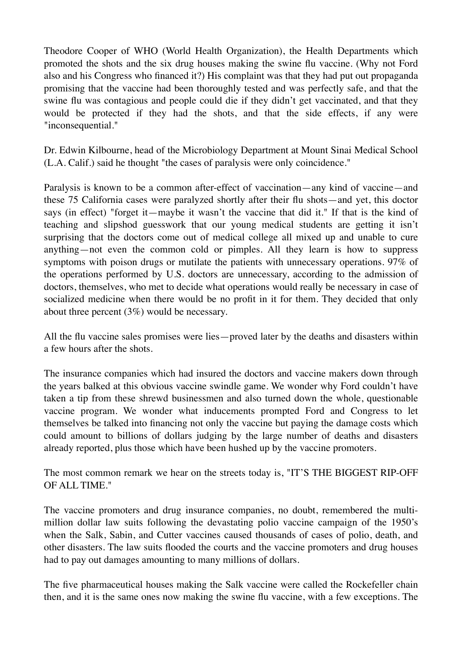Theodore Cooper of WHO (World Health Organization), the Health Departments which promoted the shots and the six drug houses making the swine flu vaccine. (Why not Ford also and his Congress who financed it?) His complaint was that they had put out propaganda promising that the vaccine had been thoroughly tested and was perfectly safe, and that the swine flu was contagious and people could die if they didn't get vaccinated, and that they would be protected if they had the shots, and that the side effects, if any were "inconsequential."

Dr. Edwin Kilbourne, head of the Microbiology Department at Mount Sinai Medical School (L.A. Calif.) said he thought "the cases of paralysis were only coincidence."

Paralysis is known to be a common after-effect of vaccination—any kind of vaccine—and these 75 California cases were paralyzed shortly after their flu shots—and yet, this doctor says (in effect) "forget it—maybe it wasn't the vaccine that did it." If that is the kind of teaching and slipshod guesswork that our young medical students are getting it isn't surprising that the doctors come out of medical college all mixed up and unable to cure anything—not even the common cold or pimples. All they learn is how to suppress symptoms with poison drugs or mutilate the patients with unnecessary operations. 97% of the operations performed by U.S. doctors are unnecessary, according to the admission of doctors, themselves, who met to decide what operations would really be necessary in case of socialized medicine when there would be no profit in it for them. They decided that only about three percent (3%) would be necessary.

All the flu vaccine sales promises were lies—proved later by the deaths and disasters within a few hours after the shots.

The insurance companies which had insured the doctors and vaccine makers down through the years balked at this obvious vaccine swindle game. We wonder why Ford couldn't have taken a tip from these shrewd businessmen and also turned down the whole, questionable vaccine program. We wonder what inducements prompted Ford and Congress to let themselves be talked into financing not only the vaccine but paying the damage costs which could amount to billions of dollars judging by the large number of deaths and disasters already reported, plus those which have been hushed up by the vaccine promoters.

The most common remark we hear on the streets today is, "IT'S THE BIGGEST RIP-OFF OF ALL TIME."

The vaccine promoters and drug insurance companies, no doubt, remembered the multimillion dollar law suits following the devastating polio vaccine campaign of the 1950's when the Salk, Sabin, and Cutter vaccines caused thousands of cases of polio, death, and other disasters. The law suits flooded the courts and the vaccine promoters and drug houses had to pay out damages amounting to many millions of dollars.

The five pharmaceutical houses making the Salk vaccine were called the Rockefeller chain then, and it is the same ones now making the swine flu vaccine, with a few exceptions. The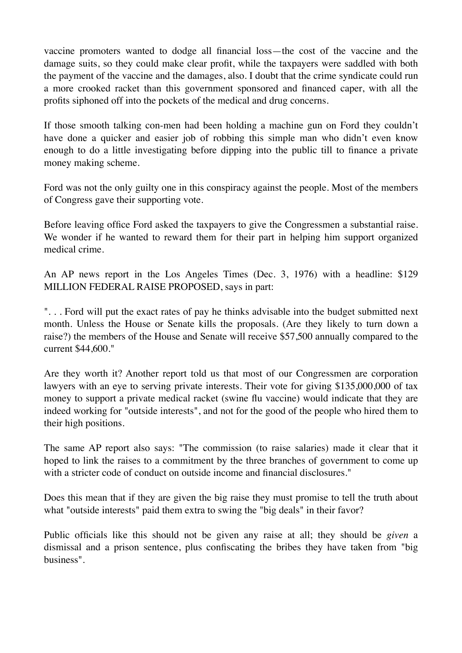vaccine promoters wanted to dodge all financial loss—the cost of the vaccine and the damage suits, so they could make clear profit, while the taxpayers were saddled with both the payment of the vaccine and the damages, also. I doubt that the crime syndicate could run a more crooked racket than this government sponsored and financed caper, with all the profits siphoned off into the pockets of the medical and drug concerns.

If those smooth talking con-men had been holding a machine gun on Ford they couldn't have done a quicker and easier job of robbing this simple man who didn't even know enough to do a little investigating before dipping into the public till to finance a private money making scheme.

Ford was not the only guilty one in this conspiracy against the people. Most of the members of Congress gave their supporting vote.

Before leaving office Ford asked the taxpayers to give the Congressmen a substantial raise. We wonder if he wanted to reward them for their part in helping him support organized medical crime.

An AP news report in the Los Angeles Times (Dec. 3, 1976) with a headline: \$129 MILLION FEDERAL RAISE PROPOSED, says in part:

". . . Ford will put the exact rates of pay he thinks advisable into the budget submitted next month. Unless the House or Senate kills the proposals. (Are they likely to turn down a raise?) the members of the House and Senate will receive \$57,500 annually compared to the current \$44,600."

Are they worth it? Another report told us that most of our Congressmen are corporation lawyers with an eye to serving private interests. Their vote for giving \$135,000,000 of tax money to support a private medical racket (swine flu vaccine) would indicate that they are indeed working for "outside interests", and not for the good of the people who hired them to their high positions.

The same AP report also says: "The commission (to raise salaries) made it clear that it hoped to link the raises to a commitment by the three branches of government to come up with a stricter code of conduct on outside income and financial disclosures."

Does this mean that if they are given the big raise they must promise to tell the truth about what "outside interests" paid them extra to swing the "big deals" in their favor?

Public officials like this should not be given any raise at all; they should be *given* a dismissal and a prison sentence, plus confiscating the bribes they have taken from "big business".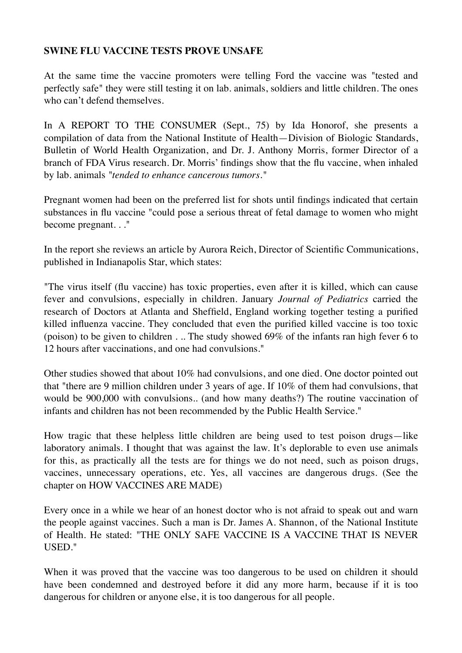#### **SWINE FLU VACCINE TESTS PROVE UNSAFE**

At the same time the vaccine promoters were telling Ford the vaccine was "tested and perfectly safe" they were still testing it on lab. animals, soldiers and little children. The ones who can't defend themselves.

In A REPORT TO THE CONSUMER (Sept., 75) by Ida Honorof, she presents a compilation of data from the National Institute of Health—Division of Biologic Standards, Bulletin of World Health Organization, and Dr. J. Anthony Morris, former Director of a branch of FDA Virus research. Dr. Morris' findings show that the flu vaccine, when inhaled by lab. animals *"tended to enhance cancerous tumors."*

Pregnant women had been on the preferred list for shots until findings indicated that certain substances in flu vaccine "could pose a serious threat of fetal damage to women who might become pregnant. . ."

In the report she reviews an article by Aurora Reich, Director of Scientific Communications, published in Indianapolis Star, which states:

"The virus itself (flu vaccine) has toxic properties, even after it is killed, which can cause fever and convulsions, especially in children. January *Journal of Pediatrics* carried the research of Doctors at Atlanta and Sheffield, England working together testing a purified killed influenza vaccine. They concluded that even the purified killed vaccine is too toxic (poison) to be given to children . .. The study showed 69% of the infants ran high fever 6 to 12 hours after vaccinations, and one had convulsions."

Other studies showed that about 10% had convulsions, and one died. One doctor pointed out that "there are 9 million children under 3 years of age. If 10% of them had convulsions, that would be 900,000 with convulsions.. (and how many deaths?) The routine vaccination of infants and children has not been recommended by the Public Health Service."

How tragic that these helpless little children are being used to test poison drugs—like laboratory animals. I thought that was against the law. It's deplorable to even use animals for this, as practically all the tests are for things we do not need, such as poison drugs, vaccines, unnecessary operations, etc. Yes, all vaccines are dangerous drugs. (See the chapter on HOW VACCINES ARE MADE)

Every once in a while we hear of an honest doctor who is not afraid to speak out and warn the people against vaccines. Such a man is Dr. James A. Shannon, of the National Institute of Health. He stated: "THE ONLY SAFE VACCINE IS A VACCINE THAT IS NEVER USED."

When it was proved that the vaccine was too dangerous to be used on children it should have been condemned and destroyed before it did any more harm, because if it is too dangerous for children or anyone else, it is too dangerous for all people.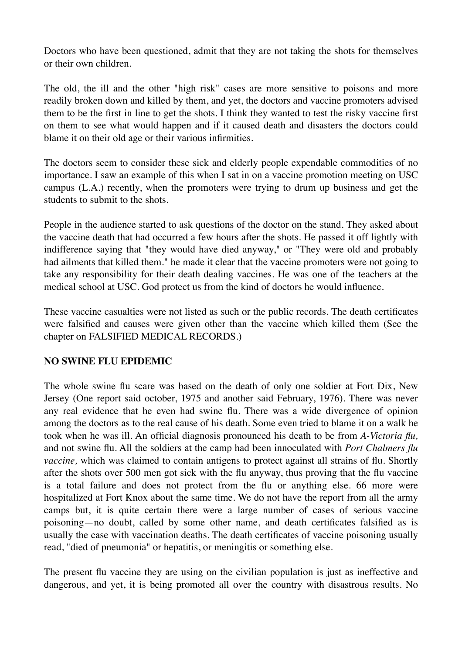Doctors who have been questioned, admit that they are not taking the shots for themselves or their own children.

The old, the ill and the other "high risk" cases are more sensitive to poisons and more readily broken down and killed by them, and yet, the doctors and vaccine promoters advised them to be the first in line to get the shots. I think they wanted to test the risky vaccine first on them to see what would happen and if it caused death and disasters the doctors could blame it on their old age or their various infirmities.

The doctors seem to consider these sick and elderly people expendable commodities of no importance. I saw an example of this when I sat in on a vaccine promotion meeting on USC campus (L.A.) recently, when the promoters were trying to drum up business and get the students to submit to the shots.

People in the audience started to ask questions of the doctor on the stand. They asked about the vaccine death that had occurred a few hours after the shots. He passed it off lightly with indifference saying that "they would have died anyway," or "They were old and probably had ailments that killed them." he made it clear that the vaccine promoters were not going to take any responsibility for their death dealing vaccines. He was one of the teachers at the medical school at USC. God protect us from the kind of doctors he would influence.

These vaccine casualties were not listed as such or the public records. The death certificates were falsified and causes were given other than the vaccine which killed them (See the chapter on FALSIFIED MEDICAL RECORDS.)

#### **NO SWINE FLU EPIDEMIC**

The whole swine flu scare was based on the death of only one soldier at Fort Dix, New Jersey (One report said october, 1975 and another said February, 1976). There was never any real evidence that he even had swine flu. There was a wide divergence of opinion among the doctors as to the real cause of his death. Some even tried to blame it on a walk he took when he was ill. An official diagnosis pronounced his death to be from *A-Victoria flu,*  and not swine flu. All the soldiers at the camp had been innoculated with *Port Chalmers flu vaccine,* which was claimed to contain antigens to protect against all strains of flu. Shortly after the shots over 500 men got sick with the flu anyway, thus proving that the flu vaccine is a total failure and does not protect from the flu or anything else. 66 more were hospitalized at Fort Knox about the same time. We do not have the report from all the army camps but, it is quite certain there were a large number of cases of serious vaccine poisoning—no doubt, called by some other name, and death certificates falsified as is usually the case with vaccination deaths. The death certificates of vaccine poisoning usually read, "died of pneumonia" or hepatitis, or meningitis or something else.

The present flu vaccine they are using on the civilian population is just as ineffective and dangerous, and yet, it is being promoted all over the country with disastrous results. No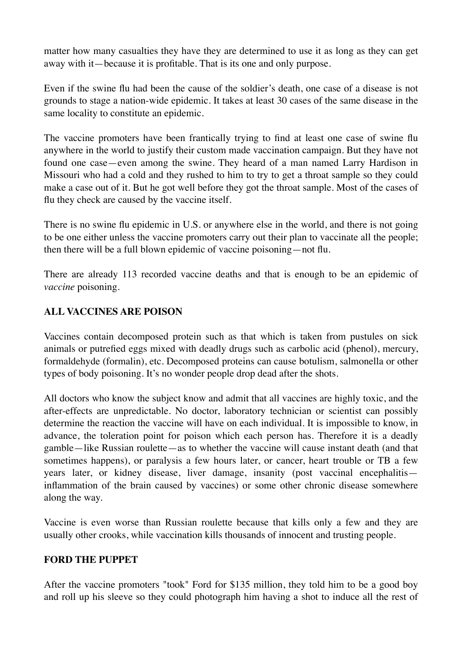matter how many casualties they have they are determined to use it as long as they can get away with it—because it is profitable. That is its one and only purpose.

Even if the swine flu had been the cause of the soldier's death, one case of a disease is not grounds to stage a nation-wide epidemic. It takes at least 30 cases of the same disease in the same locality to constitute an epidemic.

The vaccine promoters have been frantically trying to find at least one case of swine flu anywhere in the world to justify their custom made vaccination campaign. But they have not found one case—even among the swine. They heard of a man named Larry Hardison in Missouri who had a cold and they rushed to him to try to get a throat sample so they could make a case out of it. But he got well before they got the throat sample. Most of the cases of flu they check are caused by the vaccine itself.

There is no swine flu epidemic in U.S. or anywhere else in the world, and there is not going to be one either unless the vaccine promoters carry out their plan to vaccinate all the people; then there will be a full blown epidemic of vaccine poisoning—not flu.

There are already 113 recorded vaccine deaths and that is enough to be an epidemic of *vaccine* poisoning.

#### **ALL VACCINES ARE POISON**

Vaccines contain decomposed protein such as that which is taken from pustules on sick animals or putrefied eggs mixed with deadly drugs such as carbolic acid (phenol), mercury, formaldehyde (formalin), etc. Decomposed proteins can cause botulism, salmonella or other types of body poisoning. It's no wonder people drop dead after the shots.

All doctors who know the subject know and admit that all vaccines are highly toxic, and the after-effects are unpredictable. No doctor, laboratory technician or scientist can possibly determine the reaction the vaccine will have on each individual. It is impossible to know, in advance, the toleration point for poison which each person has. Therefore it is a deadly gamble—like Russian roulette—as to whether the vaccine will cause instant death (and that sometimes happens), or paralysis a few hours later, or cancer, heart trouble or TB a few years later, or kidney disease, liver damage, insanity (post vaccinal encephalitis inflammation of the brain caused by vaccines) or some other chronic disease somewhere along the way.

Vaccine is even worse than Russian roulette because that kills only a few and they are usually other crooks, while vaccination kills thousands of innocent and trusting people.

#### **FORD THE PUPPET**

After the vaccine promoters "took" Ford for \$135 million, they told him to be a good boy and roll up his sleeve so they could photograph him having a shot to induce all the rest of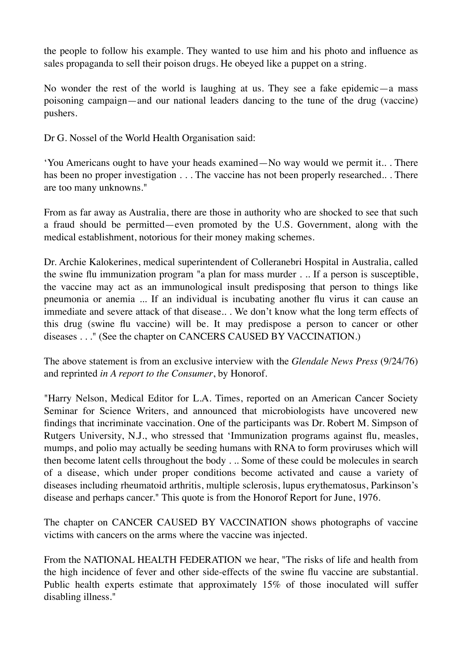the people to follow his example. They wanted to use him and his photo and influence as sales propaganda to sell their poison drugs. He obeyed like a puppet on a string.

No wonder the rest of the world is laughing at us. They see a fake epidemic—a mass poisoning campaign—and our national leaders dancing to the tune of the drug (vaccine) pushers.

Dr G. Nossel of the World Health Organisation said:

'You Americans ought to have your heads examined—No way would we permit it.. . There has been no proper investigation . . . The vaccine has not been properly researched.. . There are too many unknowns."

From as far away as Australia, there are those in authority who are shocked to see that such a fraud should be permitted—even promoted by the U.S. Government, along with the medical establishment, notorious for their money making schemes.

Dr. Archie Kalokerines, medical superintendent of Colleranebri Hospital in Australia, called the swine flu immunization program "a plan for mass murder . .. If a person is susceptible, the vaccine may act as an immunological insult predisposing that person to things like pneumonia or anemia ... If an individual is incubating another flu virus it can cause an immediate and severe attack of that disease.. . We don't know what the long term effects of this drug (swine flu vaccine) will be. It may predispose a person to cancer or other diseases . . ." (See the chapter on CANCERS CAUSED BY VACCINATION.)

The above statement is from an exclusive interview with the *Glendale News Press* (9/24/76) and reprinted *in A report to the Consumer*, by Honorof.

"Harry Nelson, Medical Editor for L.A. Times, reported on an American Cancer Society Seminar for Science Writers, and announced that microbiologists have uncovered new findings that incriminate vaccination. One of the participants was Dr. Robert M. Simpson of Rutgers University, N.J., who stressed that 'Immunization programs against flu, measles, mumps, and polio may actually be seeding humans with RNA to form proviruses which will then become latent cells throughout the body . .. Some of these could be molecules in search of a disease, which under proper conditions become activated and cause a variety of diseases including rheumatoid arthritis, multiple sclerosis, lupus erythematosus, Parkinson's disease and perhaps cancer." This quote is from the Honorof Report for June, 1976.

The chapter on CANCER CAUSED BY VACCINATION shows photographs of vaccine victims with cancers on the arms where the vaccine was injected.

From the NATIONAL HEALTH FEDERATION we hear, "The risks of life and health from the high incidence of fever and other side-effects of the swine flu vaccine are substantial. Public health experts estimate that approximately 15% of those inoculated will suffer disabling illness."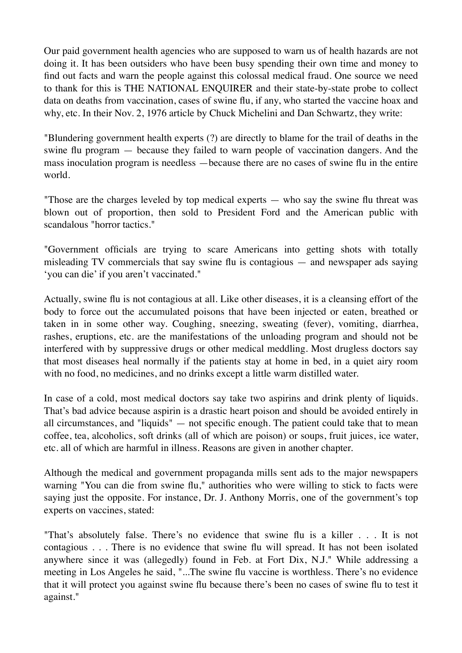Our paid government health agencies who are supposed to warn us of health hazards are not doing it. It has been outsiders who have been busy spending their own time and money to find out facts and warn the people against this colossal medical fraud. One source we need to thank for this is THE NATIONAL ENQUIRER and their state-by-state probe to collect data on deaths from vaccination, cases of swine flu, if any, who started the vaccine hoax and why, etc. In their Nov. 2, 1976 article by Chuck Michelini and Dan Schwartz, they write:

"Blundering government health experts (?) are directly to blame for the trail of deaths in the swine flu program — because they failed to warn people of vaccination dangers. And the mass inoculation program is needless —because there are no cases of swine flu in the entire world.

"Those are the charges leveled by top medical experts — who say the swine flu threat was blown out of proportion, then sold to President Ford and the American public with scandalous "horror tactics."

"Government officials are trying to scare Americans into getting shots with totally misleading TV commercials that say swine flu is contagious — and newspaper ads saying 'you can die' if you aren't vaccinated."

Actually, swine flu is not contagious at all. Like other diseases, it is a cleansing effort of the body to force out the accumulated poisons that have been injected or eaten, breathed or taken in in some other way. Coughing, sneezing, sweating (fever), vomiting, diarrhea, rashes, eruptions, etc. are the manifestations of the unloading program and should not be interfered with by suppressive drugs or other medical meddling. Most drugless doctors say that most diseases heal normally if the patients stay at home in bed, in a quiet airy room with no food, no medicines, and no drinks except a little warm distilled water.

In case of a cold, most medical doctors say take two aspirins and drink plenty of liquids. That's bad advice because aspirin is a drastic heart poison and should be avoided entirely in all circumstances, and "liquids" — not specific enough. The patient could take that to mean coffee, tea, alcoholics, soft drinks (all of which are poison) or soups, fruit juices, ice water, etc. all of which are harmful in illness. Reasons are given in another chapter.

Although the medical and government propaganda mills sent ads to the major newspapers warning "You can die from swine flu," authorities who were willing to stick to facts were saying just the opposite. For instance, Dr. J. Anthony Morris, one of the government's top experts on vaccines, stated:

"That's absolutely false. There's no evidence that swine flu is a killer . . . It is not contagious . . . There is no evidence that swine flu will spread. It has not been isolated anywhere since it was (allegedly) found in Feb. at Fort Dix, N.J." While addressing a meeting in Los Angeles he said, "...The swine flu vaccine is worthless. There's no evidence that it will protect you against swine flu because there's been no cases of swine flu to test it against."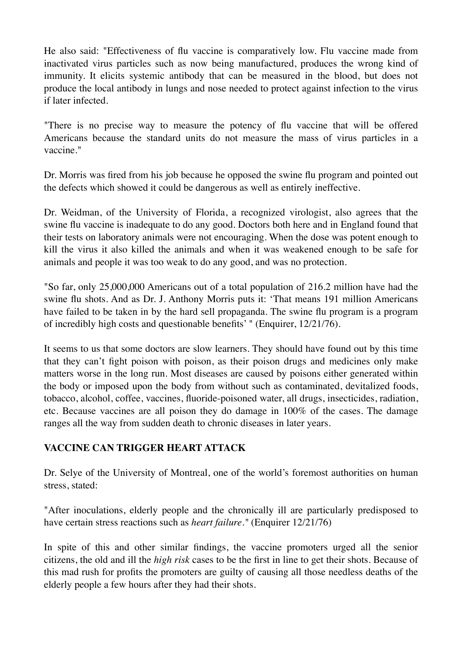He also said: "Effectiveness of flu vaccine is comparatively low. Flu vaccine made from inactivated virus particles such as now being manufactured, produces the wrong kind of immunity. It elicits systemic antibody that can be measured in the blood, but does not produce the local antibody in lungs and nose needed to protect against infection to the virus if later infected.

"There is no precise way to measure the potency of flu vaccine that will be offered Americans because the standard units do not measure the mass of virus particles in a vaccine."

Dr. Morris was fired from his job because he opposed the swine flu program and pointed out the defects which showed it could be dangerous as well as entirely ineffective.

Dr. Weidman, of the University of Florida, a recognized virologist, also agrees that the swine flu vaccine is inadequate to do any good. Doctors both here and in England found that their tests on laboratory animals were not encouraging. When the dose was potent enough to kill the virus it also killed the animals and when it was weakened enough to be safe for animals and people it was too weak to do any good, and was no protection.

"So far, only 25,000,000 Americans out of a total population of 216.2 million have had the swine flu shots. And as Dr. J. Anthony Morris puts it: 'That means 191 million Americans have failed to be taken in by the hard sell propaganda. The swine flu program is a program of incredibly high costs and questionable benefits' " (Enquirer, 12/21/76).

It seems to us that some doctors are slow learners. They should have found out by this time that they can't fight poison with poison, as their poison drugs and medicines only make matters worse in the long run. Most diseases are caused by poisons either generated within the body or imposed upon the body from without such as contaminated, devitalized foods, tobacco, alcohol, coffee, vaccines, fluoride-poisoned water, all drugs, insecticides, radiation, etc. Because vaccines are all poison they do damage in 100% of the cases. The damage ranges all the way from sudden death to chronic diseases in later years.

# **VACCINE CAN TRIGGER HEART ATTACK**

Dr. Selye of the University of Montreal, one of the world's foremost authorities on human stress, stated:

"After inoculations, elderly people and the chronically ill are particularly predisposed to have certain stress reactions such as *heart failure."* (Enquirer 12/21/76)

In spite of this and other similar findings, the vaccine promoters urged all the senior citizens, the old and ill the *high risk* cases to be the first in line to get their shots. Because of this mad rush for profits the promoters are guilty of causing all those needless deaths of the elderly people a few hours after they had their shots.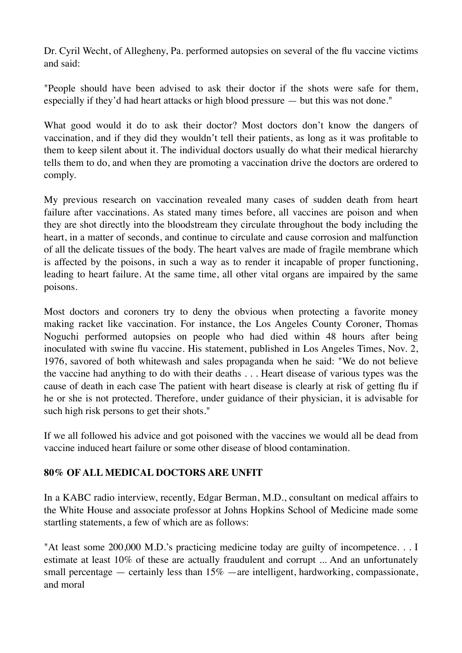Dr. Cyril Wecht, of Allegheny, Pa. performed autopsies on several of the flu vaccine victims and said:

"People should have been advised to ask their doctor if the shots were safe for them, especially if they'd had heart attacks or high blood pressure — but this was not done."

What good would it do to ask their doctor? Most doctors don't know the dangers of vaccination, and if they did they wouldn't tell their patients, as long as it was profitable to them to keep silent about it. The individual doctors usually do what their medical hierarchy tells them to do, and when they are promoting a vaccination drive the doctors are ordered to comply.

My previous research on vaccination revealed many cases of sudden death from heart failure after vaccinations. As stated many times before, all vaccines are poison and when they are shot directly into the bloodstream they circulate throughout the body including the heart, in a matter of seconds, and continue to circulate and cause corrosion and malfunction of all the delicate tissues of the body. The heart valves are made of fragile membrane which is affected by the poisons, in such a way as to render it incapable of proper functioning, leading to heart failure. At the same time, all other vital organs are impaired by the same poisons.

Most doctors and coroners try to deny the obvious when protecting a favorite money making racket like vaccination. For instance, the Los Angeles County Coroner, Thomas Noguchi performed autopsies on people who had died within 48 hours after being inoculated with swine flu vaccine. His statement, published in Los Angeles Times, Nov. 2, 1976, savored of both whitewash and sales propaganda when he said: "We do not believe the vaccine had anything to do with their deaths . . . Heart disease of various types was the cause of death in each case The patient with heart disease is clearly at risk of getting flu if he or she is not protected. Therefore, under guidance of their physician, it is advisable for such high risk persons to get their shots."

If we all followed his advice and got poisoned with the vaccines we would all be dead from vaccine induced heart failure or some other disease of blood contamination.

#### **80% OF ALL MEDICAL DOCTORS ARE UNFIT**

In a KABC radio interview, recently, Edgar Berman, M.D., consultant on medical affairs to the White House and associate professor at Johns Hopkins School of Medicine made some startling statements, a few of which are as follows:

"At least some 200,000 M.D.'s practicing medicine today are guilty of incompetence. . . I estimate at least 10% of these are actually fraudulent and corrupt ... And an unfortunately small percentage — certainly less than  $15\%$  —are intelligent, hardworking, compassionate, and moral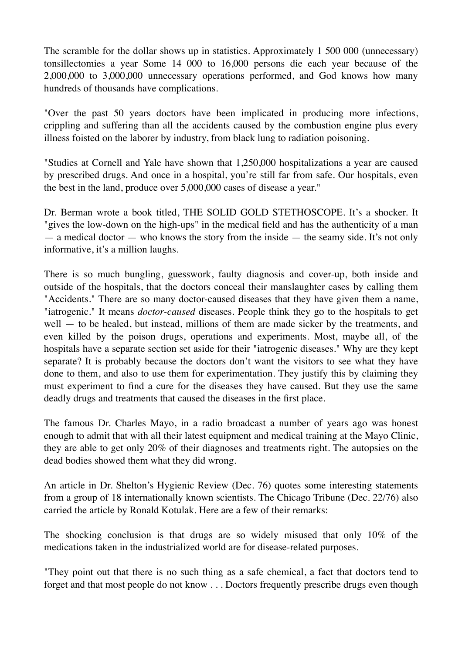The scramble for the dollar shows up in statistics. Approximately 1 500 000 (unnecessary) tonsillectomies a year Some 14 000 to 16,000 persons die each year because of the 2,000,000 to 3,000,000 unnecessary operations performed, and God knows how many hundreds of thousands have complications.

"Over the past 50 years doctors have been implicated in producing more infections, crippling and suffering than all the accidents caused by the combustion engine plus every illness foisted on the laborer by industry, from black lung to radiation poisoning.

"Studies at Cornell and Yale have shown that 1,250,000 hospitalizations a year are caused by prescribed drugs. And once in a hospital, you're still far from safe. Our hospitals, even the best in the land, produce over 5,000,000 cases of disease a year."

Dr. Berman wrote a book titled, THE SOLID GOLD STETHOSCOPE. It's a shocker. It "gives the low-down on the high-ups" in the medical field and has the authenticity of a man  $-$  a medical doctor  $-$  who knows the story from the inside  $-$  the seamy side. It's not only informative, it's a million laughs.

There is so much bungling, guesswork, faulty diagnosis and cover-up, both inside and outside of the hospitals, that the doctors conceal their manslaughter cases by calling them "Accidents." There are so many doctor-caused diseases that they have given them a name, "iatrogenic." It means *doctor-caused* diseases. People think they go to the hospitals to get well — to be healed, but instead, millions of them are made sicker by the treatments, and even killed by the poison drugs, operations and experiments. Most, maybe all, of the hospitals have a separate section set aside for their "iatrogenic diseases." Why are they kept separate? It is probably because the doctors don't want the visitors to see what they have done to them, and also to use them for experimentation. They justify this by claiming they must experiment to find a cure for the diseases they have caused. But they use the same deadly drugs and treatments that caused the diseases in the first place.

The famous Dr. Charles Mayo, in a radio broadcast a number of years ago was honest enough to admit that with all their latest equipment and medical training at the Mayo Clinic, they are able to get only 20% of their diagnoses and treatments right. The autopsies on the dead bodies showed them what they did wrong.

An article in Dr. Shelton's Hygienic Review (Dec. 76) quotes some interesting statements from a group of 18 internationally known scientists. The Chicago Tribune (Dec. 22/76) also carried the article by Ronald Kotulak. Here are a few of their remarks:

The shocking conclusion is that drugs are so widely misused that only 10% of the medications taken in the industrialized world are for disease-related purposes.

"They point out that there is no such thing as a safe chemical, a fact that doctors tend to forget and that most people do not know . . . Doctors frequently prescribe drugs even though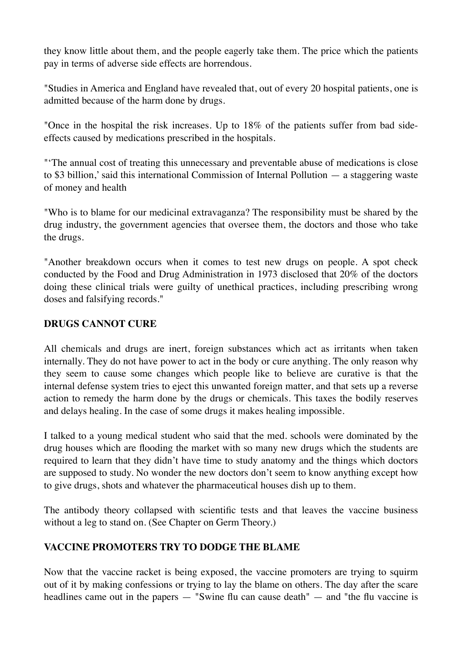they know little about them, and the people eagerly take them. The price which the patients pay in terms of adverse side effects are horrendous.

"Studies in America and England have revealed that, out of every 20 hospital patients, one is admitted because of the harm done by drugs.

"Once in the hospital the risk increases. Up to 18% of the patients suffer from bad sideeffects caused by medications prescribed in the hospitals.

"'The annual cost of treating this unnecessary and preventable abuse of medications is close to \$3 billion,' said this international Commission of Internal Pollution — a staggering waste of money and health

"Who is to blame for our medicinal extravaganza? The responsibility must be shared by the drug industry, the government agencies that oversee them, the doctors and those who take the drugs.

"Another breakdown occurs when it comes to test new drugs on people. A spot check conducted by the Food and Drug Administration in 1973 disclosed that 20% of the doctors doing these clinical trials were guilty of unethical practices, including prescribing wrong doses and falsifying records."

#### **DRUGS CANNOT CURE**

All chemicals and drugs are inert, foreign substances which act as irritants when taken internally. They do not have power to act in the body or cure anything. The only reason why they seem to cause some changes which people like to believe are curative is that the internal defense system tries to eject this unwanted foreign matter, and that sets up a reverse action to remedy the harm done by the drugs or chemicals. This taxes the bodily reserves and delays healing. In the case of some drugs it makes healing impossible.

I talked to a young medical student who said that the med. schools were dominated by the drug houses which are flooding the market with so many new drugs which the students are required to learn that they didn't have time to study anatomy and the things which doctors are supposed to study. No wonder the new doctors don't seem to know anything except how to give drugs, shots and whatever the pharmaceutical houses dish up to them.

The antibody theory collapsed with scientific tests and that leaves the vaccine business without a leg to stand on. (See Chapter on Germ Theory.)

#### **VACCINE PROMOTERS TRY TO DODGE THE BLAME**

Now that the vaccine racket is being exposed, the vaccine promoters are trying to squirm out of it by making confessions or trying to lay the blame on others. The day after the scare headlines came out in the papers — "Swine flu can cause death" — and "the flu vaccine is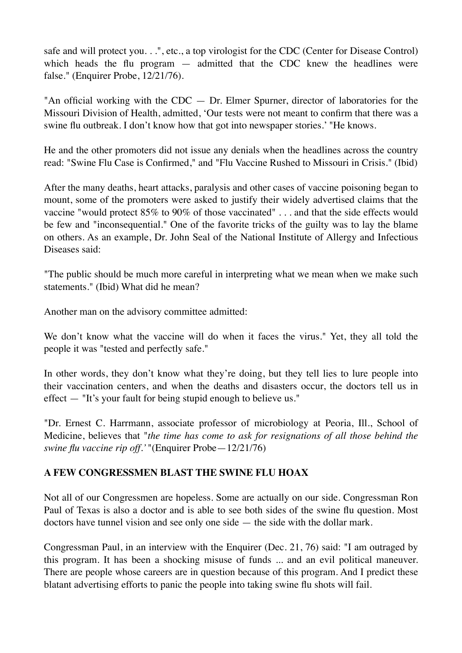safe and will protect you. . .", etc., a top virologist for the CDC (Center for Disease Control) which heads the flu program  $-$  admitted that the CDC knew the headlines were false." (Enquirer Probe, 12/21/76).

"An official working with the  $CDC - Dr$ . Elmer Spurner, director of laboratories for the Missouri Division of Health, admitted, 'Our tests were not meant to confirm that there was a swine flu outbreak. I don't know how that got into newspaper stories.' "He knows.

He and the other promoters did not issue any denials when the headlines across the country read: "Swine Flu Case is Confirmed," and "Flu Vaccine Rushed to Missouri in Crisis." (Ibid)

After the many deaths, heart attacks, paralysis and other cases of vaccine poisoning began to mount, some of the promoters were asked to justify their widely advertised claims that the vaccine "would protect 85% to 90% of those vaccinated" . . . and that the side effects would be few and "inconsequential." One of the favorite tricks of the guilty was to lay the blame on others. As an example, Dr. John Seal of the National Institute of Allergy and Infectious Diseases said:

"The public should be much more careful in interpreting what we mean when we make such statements." (Ibid) What did he mean?

Another man on the advisory committee admitted:

We don't know what the vaccine will do when it faces the virus." Yet, they all told the people it was "tested and perfectly safe."

In other words, they don't know what they're doing, but they tell lies to lure people into their vaccination centers, and when the deaths and disasters occur, the doctors tell us in effect — "It's your fault for being stupid enough to believe us."

"Dr. Ernest C. Harrmann, associate professor of microbiology at Peoria, Ill., School of Medicine, believes that "*the time has come to ask for resignations of all those behind the swine flu vaccine rip off.'* "(Enquirer Probe—12/21/76)

#### **A FEW CONGRESSMEN BLAST THE SWINE FLU HOAX**

Not all of our Congressmen are hopeless. Some are actually on our side. Congressman Ron Paul of Texas is also a doctor and is able to see both sides of the swine flu question. Most doctors have tunnel vision and see only one side — the side with the dollar mark.

Congressman Paul, in an interview with the Enquirer (Dec. 21, 76) said: "I am outraged by this program. It has been a shocking misuse of funds ... and an evil political maneuver. There are people whose careers are in question because of this program. And I predict these blatant advertising efforts to panic the people into taking swine flu shots will fail.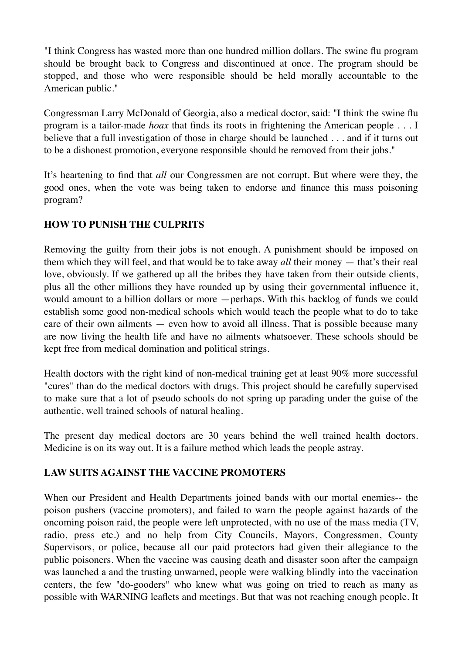"I think Congress has wasted more than one hundred million dollars. The swine flu program should be brought back to Congress and discontinued at once. The program should be stopped, and those who were responsible should be held morally accountable to the American public."

Congressman Larry McDonald of Georgia, also a medical doctor, said: "I think the swine flu program is a tailor-made *hoax* that finds its roots in frightening the American people . . . I believe that a full investigation of those in charge should be launched . . . and if it turns out to be a dishonest promotion, everyone responsible should be removed from their jobs."

It's heartening to find that *all* our Congressmen are not corrupt. But where were they, the good ones, when the vote was being taken to endorse and finance this mass poisoning program?

#### **HOW TO PUNISH THE CULPRITS**

Removing the guilty from their jobs is not enough. A punishment should be imposed on them which they will feel, and that would be to take away *all* their money — that's their real love, obviously. If we gathered up all the bribes they have taken from their outside clients, plus all the other millions they have rounded up by using their governmental influence it, would amount to a billion dollars or more —perhaps. With this backlog of funds we could establish some good non-medical schools which would teach the people what to do to take care of their own ailments — even how to avoid all illness. That is possible because many are now living the health life and have no ailments whatsoever. These schools should be kept free from medical domination and political strings.

Health doctors with the right kind of non-medical training get at least 90% more successful "cures" than do the medical doctors with drugs. This project should be carefully supervised to make sure that a lot of pseudo schools do not spring up parading under the guise of the authentic, well trained schools of natural healing.

The present day medical doctors are 30 years behind the well trained health doctors. Medicine is on its way out. It is a failure method which leads the people astray.

#### **LAW SUITS AGAINST THE VACCINE PROMOTERS**

When our President and Health Departments joined bands with our mortal enemies-- the poison pushers (vaccine promoters), and failed to warn the people against hazards of the oncoming poison raid, the people were left unprotected, with no use of the mass media (TV, radio, press etc.) and no help from City Councils, Mayors, Congressmen, County Supervisors, or police, because all our paid protectors had given their allegiance to the public poisoners. When the vaccine was causing death and disaster soon after the campaign was launched a and the trusting unwarned, people were walking blindly into the vaccination centers, the few "do-gooders" who knew what was going on tried to reach as many as possible with WARNING leaflets and meetings. But that was not reaching enough people. It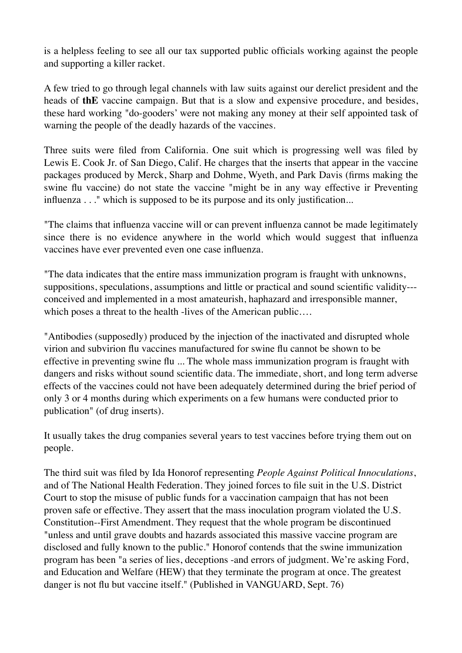is a helpless feeling to see all our tax supported public officials working against the people and supporting a killer racket.

A few tried to go through legal channels with law suits against our derelict president and the heads of **thE** vaccine campaign. But that is a slow and expensive procedure, and besides, these hard working "do-gooders' were not making any money at their self appointed task of warning the people of the deadly hazards of the vaccines.

Three suits were filed from California. One suit which is progressing well was filed by Lewis E. Cook Jr. of San Diego, Calif. He charges that the inserts that appear in the vaccine packages produced by Merck, Sharp and Dohme, Wyeth, and Park Davis (firms making the swine flu vaccine) do not state the vaccine "might be in any way effective ir Preventing influenza . . ." which is supposed to be its purpose and its only justification...

"The claims that influenza vaccine will or can prevent influenza cannot be made legitimately since there is no evidence anywhere in the world which would suggest that influenza vaccines have ever prevented even one case influenza.

"The data indicates that the entire mass immunization program is fraught with unknowns, suppositions, speculations, assumptions and little or practical and sound scientific validity-- conceived and implemented in a most amateurish, haphazard and irresponsible manner, which poses a threat to the health -lives of the American public....

"Antibodies (supposedly) produced by the injection of the inactivated and disrupted whole virion and subvirion flu vaccines manufactured for swine flu cannot be shown to be effective in preventing swine flu ... The whole mass immunization program is fraught with dangers and risks without sound scientific data. The immediate, short, and long term adverse effects of the vaccines could not have been adequately determined during the brief period of only 3 or 4 months during which experiments on a few humans were conducted prior to publication" (of drug inserts).

It usually takes the drug companies several years to test vaccines before trying them out on people.

The third suit was filed by Ida Honorof representing *People Against Political Innoculations*, and of The National Health Federation. They joined forces to file suit in the U.S. District Court to stop the misuse of public funds for a vaccination campaign that has not been proven safe or effective. They assert that the mass inoculation program violated the U.S. Constitution--First Amendment. They request that the whole program be discontinued "unless and until grave doubts and hazards associated this massive vaccine program are disclosed and fully known to the public." Honorof contends that the swine immunization program has been "a series of lies, deceptions -and errors of judgment. We're asking Ford, and Education and Welfare (HEW) that they terminate the program at once. The greatest danger is not flu but vaccine itself." (Published in VANGUARD, Sept. 76)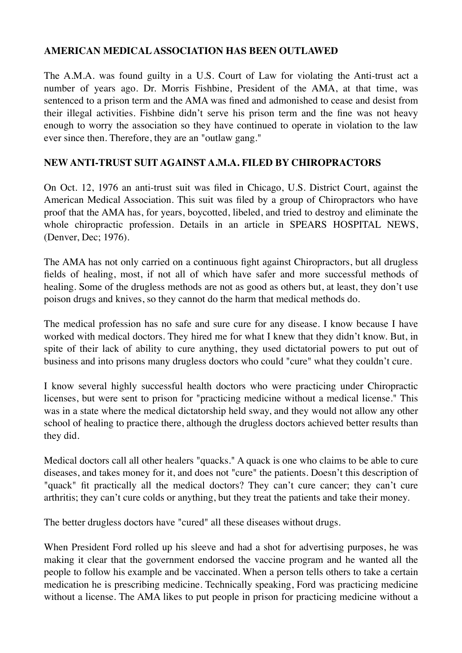#### **AMERICAN MEDICAL ASSOCIATION HAS BEEN OUTLAWED**

The A.M.A. was found guilty in a U.S. Court of Law for violating the Anti-trust act a number of years ago. Dr. Morris Fishbine, President of the AMA, at that time, was sentenced to a prison term and the AMA was fined and admonished to cease and desist from their illegal activities. Fishbine didn't serve his prison term and the fine was not heavy enough to worry the association so they have continued to operate in violation to the law ever since then. Therefore, they are an "outlaw gang."

# **NEW ANTI-TRUST SUIT AGAINST A.M.A. FILED BY CHIROPRACTORS**

On Oct. 12, 1976 an anti-trust suit was filed in Chicago, U.S. District Court, against the American Medical Association. This suit was filed by a group of Chiropractors who have proof that the AMA has, for years, boycotted, libeled, and tried to destroy and eliminate the whole chiropractic profession. Details in an article in SPEARS HOSPITAL NEWS, (Denver, Dec; 1976).

The AMA has not only carried on a continuous fight against Chiropractors, but all drugless fields of healing, most, if not all of which have safer and more successful methods of healing. Some of the drugless methods are not as good as others but, at least, they don't use poison drugs and knives, so they cannot do the harm that medical methods do.

The medical profession has no safe and sure cure for any disease. I know because I have worked with medical doctors. They hired me for what I knew that they didn't know. But, in spite of their lack of ability to cure anything, they used dictatorial powers to put out of business and into prisons many drugless doctors who could "cure" what they couldn't cure.

I know several highly successful health doctors who were practicing under Chiropractic licenses, but were sent to prison for "practicing medicine without a medical license." This was in a state where the medical dictatorship held sway, and they would not allow any other school of healing to practice there, although the drugless doctors achieved better results than they did.

Medical doctors call all other healers "quacks." A quack is one who claims to be able to cure diseases, and takes money for it, and does not "cure" the patients. Doesn't this description of "quack" fit practically all the medical doctors? They can't cure cancer; they can't cure arthritis; they can't cure colds or anything, but they treat the patients and take their money.

The better drugless doctors have "cured" all these diseases without drugs.

When President Ford rolled up his sleeve and had a shot for advertising purposes, he was making it clear that the government endorsed the vaccine program and he wanted all the people to follow his example and be vaccinated. When a person tells others to take a certain medication he is prescribing medicine. Technically speaking, Ford was practicing medicine without a license. The AMA likes to put people in prison for practicing medicine without a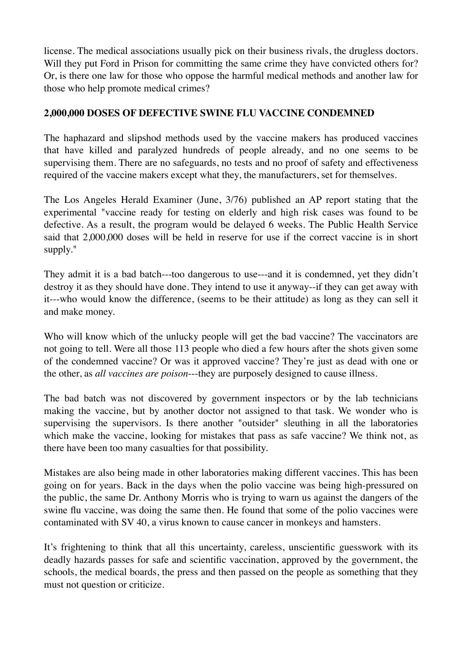license. The medical associations usually pick on their business rivals, the drugless doctors. Will they put Ford in Prison for committing the same crime they have convicted others for? Or, is there one law for those who oppose the harmful medical methods and another law for those who help promote medical crimes?

#### **2,000,000 DOSES OF DEFECTIVE SWINE FLU VACCINE CONDEMNED**

The haphazard and slipshod methods used by the vaccine makers has produced vaccines that have killed and paralyzed hundreds of people already, and no one seems to be supervising them. There are no safeguards, no tests and no proof of safety and effectiveness required of the vaccine makers except what they, the manufacturers, set for themselves.

The Los Angeles Herald Examiner (June, 3/76) published an AP report stating that the experimental "vaccine ready for testing on elderly and high risk cases was found to be defective. As a result, the program would be delayed 6 weeks. The Public Health Service said that 2,000,000 doses will be held in reserve for use if the correct vaccine is in short supply."

They admit it is a bad batch---too dangerous to use---and it is condemned, yet they didn't destroy it as they should have done. They intend to use it anyway--if they can get away with it---who would know the difference, (seems to be their attitude) as long as they can sell it and make money.

Who will know which of the unlucky people will get the bad vaccine? The vaccinators are not going to tell. Were all those 113 people who died a few hours after the shots given some of the condemned vaccine? Or was it approved vaccine? They're just as dead with one or the other, as *all vaccines are poison*---they are purposely designed to cause illness.

The bad batch was not discovered by government inspectors or by the lab technicians making the vaccine, but by another doctor not assigned to that task. We wonder who is supervising the supervisors. Is there another "outsider" sleuthing in all the laboratories which make the vaccine, looking for mistakes that pass as safe vaccine? We think not, as there have been too many casualties for that possibility.

Mistakes are also being made in other laboratories making different vaccines. This has been going on for years. Back in the days when the polio vaccine was being high-pressured on the public, the same Dr. Anthony Morris who is trying to warn us against the dangers of the swine flu vaccine, was doing the same then. He found that some of the polio vaccines were contaminated with SV 40, a virus known to cause cancer in monkeys and hamsters.

It's frightening to think that all this uncertainty, careless, unscientific guesswork with its deadly hazards passes for safe and scientific vaccination, approved by the government, the schools, the medical boards, the press and then passed on the people as something that they must not question or criticize.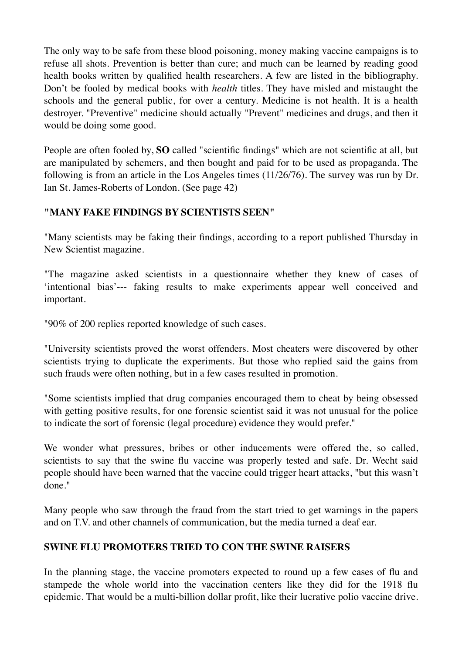The only way to be safe from these blood poisoning, money making vaccine campaigns is to refuse all shots. Prevention is better than cure; and much can be learned by reading good health books written by qualified health researchers. A few are listed in the bibliography. Don't be fooled by medical books with *health* titles. They have misled and mistaught the schools and the general public, for over a century. Medicine is not health. It is a health destroyer. "Preventive" medicine should actually "Prevent" medicines and drugs, and then it would be doing some good.

People are often fooled by, **SO** called "scientific findings" which are not scientific at all, but are manipulated by schemers, and then bought and paid for to be used as propaganda. The following is from an article in the Los Angeles times (11/26/76). The survey was run by Dr. Ian St. James-Roberts of London. (See page 42)

#### **"MANY FAKE FINDINGS BY SCIENTISTS SEEN"**

"Many scientists may be faking their findings, according to a report published Thursday in New Scientist magazine.

"The magazine asked scientists in a questionnaire whether they knew of cases of 'intentional bias'--- faking results to make experiments appear well conceived and important.

"90% of 200 replies reported knowledge of such cases.

"University scientists proved the worst offenders. Most cheaters were discovered by other scientists trying to duplicate the experiments. But those who replied said the gains from such frauds were often nothing, but in a few cases resulted in promotion.

"Some scientists implied that drug companies encouraged them to cheat by being obsessed with getting positive results, for one forensic scientist said it was not unusual for the police to indicate the sort of forensic (legal procedure) evidence they would prefer."

We wonder what pressures, bribes or other inducements were offered the, so called, scientists to say that the swine flu vaccine was properly tested and safe. Dr. Wecht said people should have been warned that the vaccine could trigger heart attacks, "but this wasn't done."

Many people who saw through the fraud from the start tried to get warnings in the papers and on T.V. and other channels of communication, but the media turned a deaf ear.

#### **SWINE FLU PROMOTERS TRIED TO CON THE SWINE RAISERS**

In the planning stage, the vaccine promoters expected to round up a few cases of flu and stampede the whole world into the vaccination centers like they did for the 1918 flu epidemic. That would be a multi-billion dollar profit, like their lucrative polio vaccine drive.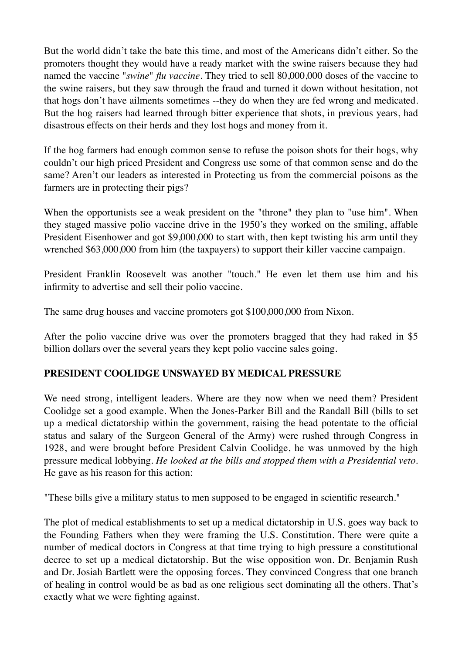But the world didn't take the bate this time, and most of the Americans didn't either. So the promoters thought they would have a ready market with the swine raisers because they had named the vaccine "*swine*" *flu vaccine.* They tried to sell 80,000,000 doses of the vaccine to the swine raisers, but they saw through the fraud and turned it down without hesitation, not that hogs don't have ailments sometimes --they do when they are fed wrong and medicated. But the hog raisers had learned through bitter experience that shots, in previous years, had disastrous effects on their herds and they lost hogs and money from it.

If the hog farmers had enough common sense to refuse the poison shots for their hogs, why couldn't our high priced President and Congress use some of that common sense and do the same? Aren't our leaders as interested in Protecting us from the commercial poisons as the farmers are in protecting their pigs?

When the opportunists see a weak president on the "throne" they plan to "use him". When they staged massive polio vaccine drive in the 1950's they worked on the smiling, affable President Eisenhower and got \$9,000,000 to start with, then kept twisting his arm until they wrenched \$63,000,000 from him (the taxpayers) to support their killer vaccine campaign.

President Franklin Roosevelt was another "touch." He even let them use him and his infirmity to advertise and sell their polio vaccine.

The same drug houses and vaccine promoters got \$100,000,000 from Nixon.

After the polio vaccine drive was over the promoters bragged that they had raked in \$5 billion dollars over the several years they kept polio vaccine sales going.

#### **PRESIDENT COOLIDGE UNSWAYED BY MEDICAL PRESSURE**

We need strong, intelligent leaders. Where are they now when we need them? President Coolidge set a good example. When the Jones-Parker Bill and the Randall Bill (bills to set up a medical dictatorship within the government, raising the head potentate to the official status and salary of the Surgeon General of the Army) were rushed through Congress in 1928, and were brought before President Calvin Coolidge, he was unmoved by the high pressure medical lobbying*. He looked at the bills and stopped them with a Presidential veto*. He gave as his reason for this action:

"These bills give a military status to men supposed to be engaged in scientific research."

The plot of medical establishments to set up a medical dictatorship in U.S. goes way back to the Founding Fathers when they were framing the U.S. Constitution. There were quite a number of medical doctors in Congress at that time trying to high pressure a constitutional decree to set up a medical dictatorship. But the wise opposition won. Dr. Benjamin Rush and Dr. Josiah Bartlett were the opposing forces. They convinced Congress that one branch of healing in control would be as bad as one religious sect dominating all the others. That's exactly what we were fighting against.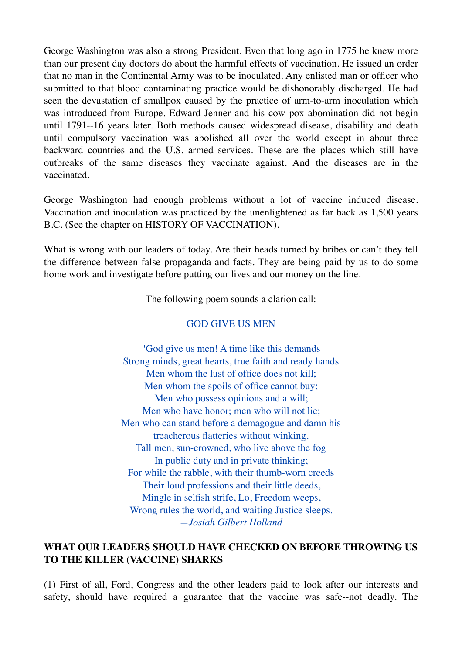George Washington was also a strong President. Even that long ago in 1775 he knew more than our present day doctors do about the harmful effects of vaccination. He issued an order that no man in the Continental Army was to be inoculated. Any enlisted man or officer who submitted to that blood contaminating practice would be dishonorably discharged. He had seen the devastation of smallpox caused by the practice of arm-to-arm inoculation which was introduced from Europe. Edward Jenner and his cow pox abomination did not begin until 1791--16 years later. Both methods caused widespread disease, disability and death until compulsory vaccination was abolished all over the world except in about three backward countries and the U.S. armed services. These are the places which still have outbreaks of the same diseases they vaccinate against. And the diseases are in the vaccinated.

George Washington had enough problems without a lot of vaccine induced disease. Vaccination and inoculation was practiced by the unenlightened as far back as 1,500 years B.C. (See the chapter on HISTORY OF VACCINATION).

What is wrong with our leaders of today. Are their heads turned by bribes or can't they tell the difference between false propaganda and facts. They are being paid by us to do some home work and investigate before putting our lives and our money on the line.

The following poem sounds a clarion call:

#### GOD GIVE US MEN

"God give us men! A time like this demands Strong minds, great hearts, true faith and ready hands Men whom the lust of office does not kill; Men whom the spoils of office cannot buy; Men who possess opinions and a will; Men who have honor; men who will not lie; Men who can stand before a demagogue and damn his treacherous flatteries without winking. Tall men, sun-crowned, who live above the fog In public duty and in private thinking; For while the rabble, with their thumb-worn creeds Their loud professions and their little deeds, Mingle in selfish strife, Lo, Freedom weeps, Wrong rules the world, and waiting Justice sleeps. *—Josiah Gilbert Holland*

#### **WHAT OUR LEADERS SHOULD HAVE CHECKED ON BEFORE THROWING US TO THE KILLER (VACCINE) SHARKS**

(1) First of all, Ford, Congress and the other leaders paid to look after our interests and safety, should have required a guarantee that the vaccine was safe--not deadly. The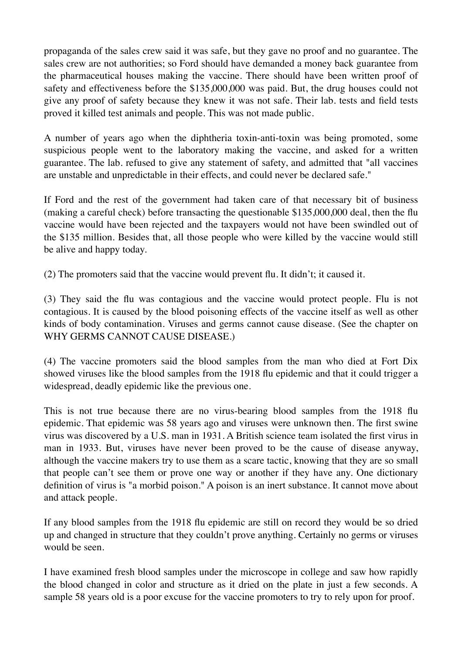propaganda of the sales crew said it was safe, but they gave no proof and no guarantee. The sales crew are not authorities; so Ford should have demanded a money back guarantee from the pharmaceutical houses making the vaccine. There should have been written proof of safety and effectiveness before the \$135,000,000 was paid. But, the drug houses could not give any proof of safety because they knew it was not safe. Their lab. tests and field tests proved it killed test animals and people. This was not made public.

A number of years ago when the diphtheria toxin-anti-toxin was being promoted, some suspicious people went to the laboratory making the vaccine, and asked for a written guarantee. The lab. refused to give any statement of safety, and admitted that "all vaccines are unstable and unpredictable in their effects, and could never be declared safe."

If Ford and the rest of the government had taken care of that necessary bit of business (making a careful check) before transacting the questionable \$135,000,000 deal, then the flu vaccine would have been rejected and the taxpayers would not have been swindled out of the \$135 million. Besides that, all those people who were killed by the vaccine would still be alive and happy today.

(2) The promoters said that the vaccine would prevent flu. It didn't; it caused it.

(3) They said the flu was contagious and the vaccine would protect people. Flu is not contagious. It is caused by the blood poisoning effects of the vaccine itself as well as other kinds of body contamination. Viruses and germs cannot cause disease. (See the chapter on WHY GERMS CANNOT CAUSE DISEASE.)

(4) The vaccine promoters said the blood samples from the man who died at Fort Dix showed viruses like the blood samples from the 1918 flu epidemic and that it could trigger a widespread, deadly epidemic like the previous one.

This is not true because there are no virus-bearing blood samples from the 1918 flu epidemic. That epidemic was 58 years ago and viruses were unknown then. The first swine virus was discovered by a U.S. man in 1931. A British science team isolated the first virus in man in 1933. But, viruses have never been proved to be the cause of disease anyway, although the vaccine makers try to use them as a scare tactic, knowing that they are so small that people can't see them or prove one way or another if they have any. One dictionary definition of virus is "a morbid poison." A poison is an inert substance. It cannot move about and attack people.

If any blood samples from the 1918 flu epidemic are still on record they would be so dried up and changed in structure that they couldn't prove anything. Certainly no germs or viruses would be seen.

I have examined fresh blood samples under the microscope in college and saw how rapidly the blood changed in color and structure as it dried on the plate in just a few seconds. A sample 58 years old is a poor excuse for the vaccine promoters to try to rely upon for proof.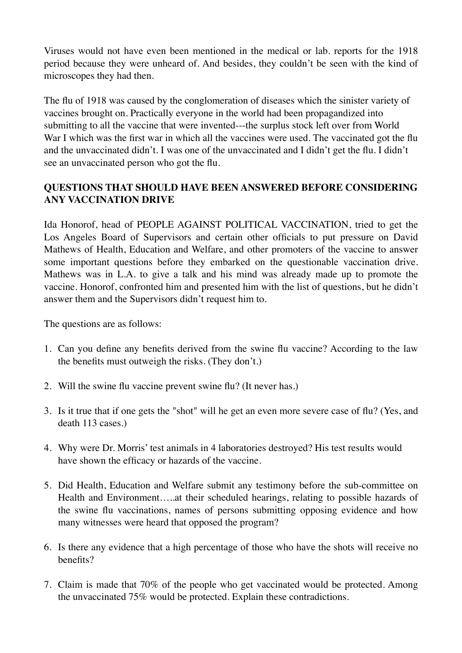Viruses would not have even been mentioned in the medical or lab. reports for the 1918 period because they were unheard of. And besides, they couldn't be seen with the kind of microscopes they had then.

The flu of 1918 was caused by the conglomeration of diseases which the sinister variety of vaccines brought on. Practically everyone in the world had been propagandized into submitting to all the vaccine that were invented---the surplus stock left over from World War I which was the first war in which all the vaccines were used. The vaccinated got the flu and the unvaccinated didn't. I was one of the unvaccinated and I didn't get the flu. I didn't see an unvaccinated person who got the flu.

# **QUESTIONS THAT SHOULD HAVE BEEN ANSWERED BEFORE CONSIDERING ANY VACCINATION DRIVE**

Ida Honorof, head of PEOPLE AGAINST POLITICAL VACCINATION, tried to get the Los Angeles Board of Supervisors and certain other officials to put pressure on David Mathews of Health, Education and Welfare, and other promoters of the vaccine to answer some important questions before they embarked on the questionable vaccination drive. Mathews was in L.A. to give a talk and his mind was already made up to promote the vaccine. Honorof, confronted him and presented him with the list of questions, but he didn't answer them and the Supervisors didn't request him to.

The questions are as follows:

- 1. Can you define any benefits derived from the swine flu vaccine? According to the law the benefits must outweigh the risks. (They don't.)
- 2. Will the swine flu vaccine prevent swine flu? (It never has.)
- 3. Is it true that if one gets the "shot" will he get an even more severe case of flu? (Yes, and death 113 cases.)
- 4. Why were Dr. Morris' test animals in 4 laboratories destroyed? His test results would have shown the efficacy or hazards of the vaccine.
- 5. Did Health, Education and Welfare submit any testimony before the sub-committee on Health and Environment…..at their scheduled hearings, relating to possible hazards of the swine flu vaccinations, names of persons submitting opposing evidence and how many witnesses were heard that opposed the program?
- 6. Is there any evidence that a high percentage of those who have the shots will receive no benefits?
- 7. Claim is made that 70% of the people who get vaccinated would be protected. Among the unvaccinated 75% would be protected. Explain these contradictions.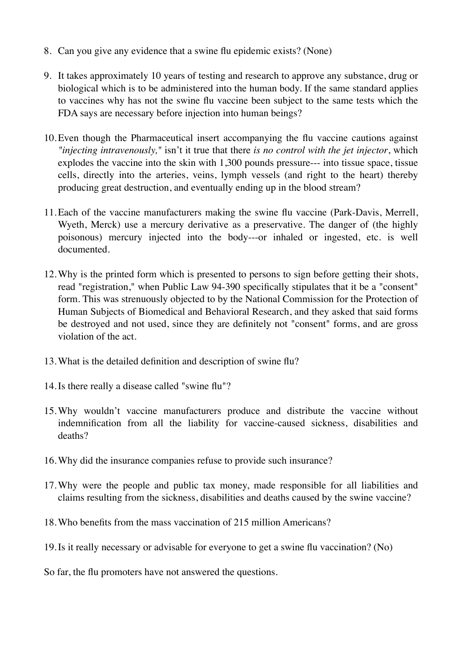- 8. Can you give any evidence that a swine flu epidemic exists? (None)
- 9. It takes approximately 10 years of testing and research to approve any substance, drug or biological which is to be administered into the human body. If the same standard applies to vaccines why has not the swine flu vaccine been subject to the same tests which the FDA says are necessary before injection into human beings?
- 10.Even though the Pharmaceutical insert accompanying the flu vaccine cautions against *"injecting intravenously,"* isn't it true that there *is no control with the jet injector*, which explodes the vaccine into the skin with 1,300 pounds pressure--- into tissue space, tissue cells, directly into the arteries, veins, lymph vessels (and right to the heart) thereby producing great destruction, and eventually ending up in the blood stream?
- 11.Each of the vaccine manufacturers making the swine flu vaccine (Park-Davis, Merrell, Wyeth, Merck) use a mercury derivative as a preservative. The danger of (the highly poisonous) mercury injected into the body---or inhaled or ingested, etc. is well documented.
- 12.Why is the printed form which is presented to persons to sign before getting their shots, read "registration," when Public Law 94-390 specifically stipulates that it be a "consent" form. This was strenuously objected to by the National Commission for the Protection of Human Subjects of Biomedical and Behavioral Research, and they asked that said forms be destroyed and not used, since they are definitely not "consent" forms, and are gross violation of the act.
- 13.What is the detailed definition and description of swine flu?
- 14.Is there really a disease called "swine flu"?
- 15.Why wouldn't vaccine manufacturers produce and distribute the vaccine without indemnification from all the liability for vaccine-caused sickness, disabilities and deaths?
- 16.Why did the insurance companies refuse to provide such insurance?
- 17.Why were the people and public tax money, made responsible for all liabilities and claims resulting from the sickness, disabilities and deaths caused by the swine vaccine?
- 18.Who benefits from the mass vaccination of 215 million Americans?
- 19.Is it really necessary or advisable for everyone to get a swine flu vaccination? (No)
- So far, the flu promoters have not answered the questions.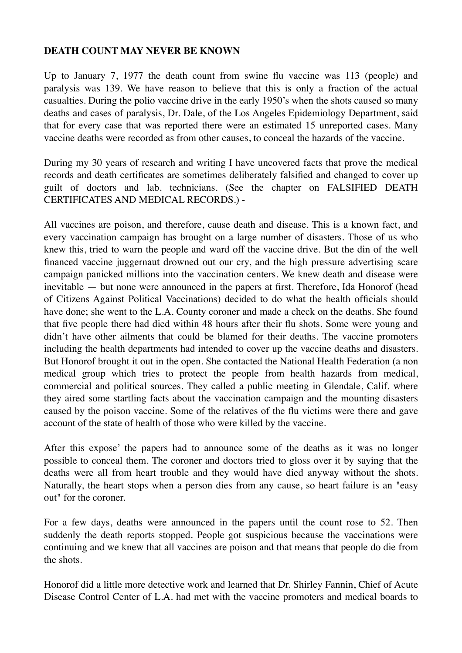#### **DEATH COUNT MAY NEVER BE KNOWN**

Up to January 7, 1977 the death count from swine flu vaccine was 113 (people) and paralysis was 139. We have reason to believe that this is only a fraction of the actual casualties. During the polio vaccine drive in the early 1950's when the shots caused so many deaths and cases of paralysis, Dr. Dale, of the Los Angeles Epidemiology Department, said that for every case that was reported there were an estimated 15 unreported cases. Many vaccine deaths were recorded as from other causes, to conceal the hazards of the vaccine.

During my 30 years of research and writing I have uncovered facts that prove the medical records and death certificates are sometimes deliberately falsified and changed to cover up guilt of doctors and lab. technicians. (See the chapter on FALSIFIED DEATH CERTIFICATES AND MEDICAL RECORDS.) -

All vaccines are poison, and therefore, cause death and disease. This is a known fact, and every vaccination campaign has brought on a large number of disasters. Those of us who knew this, tried to warn the people and ward off the vaccine drive. But the din of the well financed vaccine juggernaut drowned out our cry, and the high pressure advertising scare campaign panicked millions into the vaccination centers. We knew death and disease were inevitable — but none were announced in the papers at first. Therefore, Ida Honorof (head of Citizens Against Political Vaccinations) decided to do what the health officials should have done; she went to the L.A. County coroner and made a check on the deaths. She found that five people there had died within 48 hours after their flu shots. Some were young and didn't have other ailments that could be blamed for their deaths. The vaccine promoters including the health departments had intended to cover up the vaccine deaths and disasters. But Honorof brought it out in the open. She contacted the National Health Federation (a non medical group which tries to protect the people from health hazards from medical, commercial and political sources. They called a public meeting in Glendale, Calif. where they aired some startling facts about the vaccination campaign and the mounting disasters caused by the poison vaccine. Some of the relatives of the flu victims were there and gave account of the state of health of those who were killed by the vaccine.

After this expose' the papers had to announce some of the deaths as it was no longer possible to conceal them. The coroner and doctors tried to gloss over it by saying that the deaths were all from heart trouble and they would have died anyway without the shots. Naturally, the heart stops when a person dies from any cause, so heart failure is an "easy out" for the coroner.

For a few days, deaths were announced in the papers until the count rose to 52. Then suddenly the death reports stopped. People got suspicious because the vaccinations were continuing and we knew that all vaccines are poison and that means that people do die from the shots.

Honorof did a little more detective work and learned that Dr. Shirley Fannin, Chief of Acute Disease Control Center of L.A. had met with the vaccine promoters and medical boards to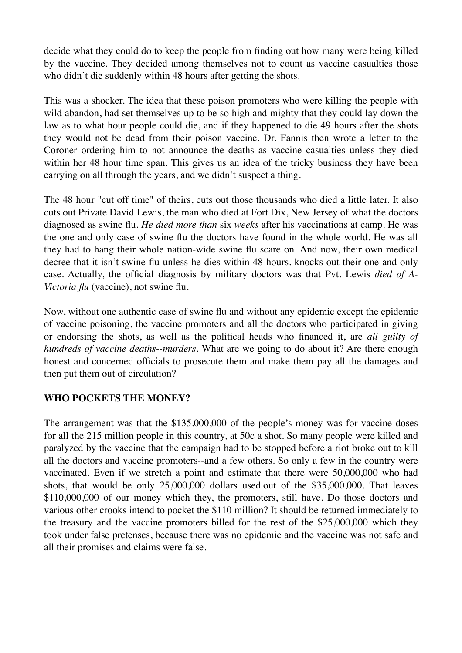decide what they could do to keep the people from finding out how many were being killed by the vaccine. They decided among themselves not to count as vaccine casualties those who didn't die suddenly within 48 hours after getting the shots.

This was a shocker. The idea that these poison promoters who were killing the people with wild abandon, had set themselves up to be so high and mighty that they could lay down the law as to what hour people could die, and if they happened to die 49 hours after the shots they would not be dead from their poison vaccine. Dr. Fannis then wrote a letter to the Coroner ordering him to not announce the deaths as vaccine casualties unless they died within her 48 hour time span. This gives us an idea of the tricky business they have been carrying on all through the years, and we didn't suspect a thing.

The 48 hour "cut off time" of theirs, cuts out those thousands who died a little later. It also cuts out Private David Lewis, the man who died at Fort Dix, New Jersey of what the doctors diagnosed as swine flu. *He died more than* six *weeks* after his vaccinations at camp. He was the one and only case of swine flu the doctors have found in the whole world. He was all they had to hang their whole nation-wide swine flu scare on. And now, their own medical decree that it isn't swine flu unless he dies within 48 hours, knocks out their one and only case. Actually, the official diagnosis by military doctors was that Pvt. Lewis *died of A-Victoria flu* (vaccine), not swine flu.

Now, without one authentic case of swine flu and without any epidemic except the epidemic of vaccine poisoning, the vaccine promoters and all the doctors who participated in giving or endorsing the shots, as well as the political heads who financed it, are *all guilty of hundreds of vaccine deaths--murders.* What are we going to do about it? Are there enough honest and concerned officials to prosecute them and make them pay all the damages and then put them out of circulation?

#### **WHO POCKETS THE MONEY?**

The arrangement was that the \$135,000,000 of the people's money was for vaccine doses for all the 215 million people in this country, at 50c a shot. So many people were killed and paralyzed by the vaccine that the campaign had to be stopped before a riot broke out to kill all the doctors and vaccine promoters--and a few others. So only a few in the country were vaccinated. Even if we stretch a point and estimate that there were 50,000,000 who had shots, that would be only 25,000,000 dollars used out of the \$35,000,000. That leaves \$110,000,000 of our money which they, the promoters, still have. Do those doctors and various other crooks intend to pocket the \$110 million? It should be returned immediately to the treasury and the vaccine promoters billed for the rest of the \$25,000,000 which they took under false pretenses, because there was no epidemic and the vaccine was not safe and all their promises and claims were false.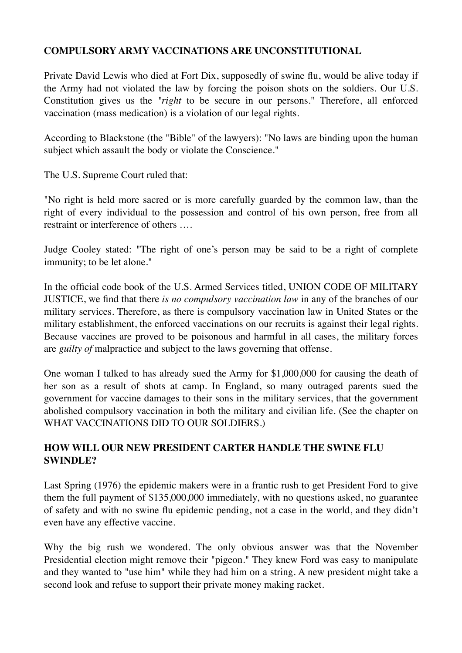#### **COMPULSORY ARMY VACCINATIONS ARE UNCONSTITUTIONAL**

Private David Lewis who died at Fort Dix, supposedly of swine flu, would be alive today if the Army had not violated the law by forcing the poison shots on the soldiers. Our U.S. Constitution gives us the *"right* to be secure in our persons." Therefore, all enforced vaccination (mass medication) is a violation of our legal rights.

According to Blackstone (the "Bible" of the lawyers): "No laws are binding upon the human subject which assault the body or violate the Conscience."

The U.S. Supreme Court ruled that:

"No right is held more sacred or is more carefully guarded by the common law, than the right of every individual to the possession and control of his own person, free from all restraint or interference of others ….

Judge Cooley stated: "The right of one's person may be said to be a right of complete immunity; to be let alone."

In the official code book of the U.S. Armed Services titled, UNION CODE OF MILITARY JUSTICE, we find that there *is no compulsory vaccination law* in any of the branches of our military services. Therefore, as there is compulsory vaccination law in United States or the military establishment, the enforced vaccinations on our recruits is against their legal rights. Because vaccines are proved to be poisonous and harmful in all cases, the military forces are *guilty of* malpractice and subject to the laws governing that offense.

One woman I talked to has already sued the Army for \$1,000,000 for causing the death of her son as a result of shots at camp. In England, so many outraged parents sued the government for vaccine damages to their sons in the military services, that the government abolished compulsory vaccination in both the military and civilian life. (See the chapter on WHAT VACCINATIONS DID TO OUR SOLDIERS.)

# **HOW WILL OUR NEW PRESIDENT CARTER HANDLE THE SWINE FLU SWINDLE?**

Last Spring (1976) the epidemic makers were in a frantic rush to get President Ford to give them the full payment of \$135,000,000 immediately, with no questions asked, no guarantee of safety and with no swine flu epidemic pending, not a case in the world, and they didn't even have any effective vaccine.

Why the big rush we wondered. The only obvious answer was that the November Presidential election might remove their "pigeon." They knew Ford was easy to manipulate and they wanted to "use him" while they had him on a string. A new president might take a second look and refuse to support their private money making racket.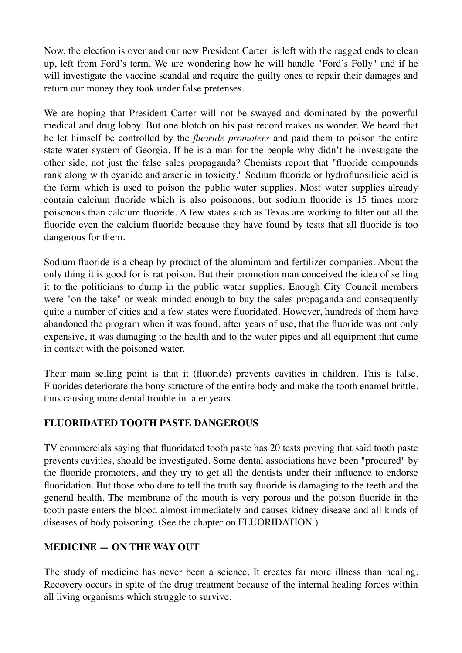Now, the election is over and our new President Carter .is left with the ragged ends to clean up, left from Ford's term. We are wondering how he will handle "Ford's Folly" and if he will investigate the vaccine scandal and require the guilty ones to repair their damages and return our money they took under false pretenses.

We are hoping that President Carter will not be swayed and dominated by the powerful medical and drug lobby. But one blotch on his past record makes us wonder. We heard that he let himself be controlled by the *fluoride promoters* and paid them to poison the entire state water system of Georgia. If he is a man for the people why didn't he investigate the other side, not just the false sales propaganda? Chemists report that "fluoride compounds rank along with cyanide and arsenic in toxicity." Sodium fluoride or hydrofluosilicic acid is the form which is used to poison the public water supplies. Most water supplies already contain calcium fluoride which is also poisonous, but sodium fluoride is 15 times more poisonous than calcium fluoride. A few states such as Texas are working to filter out all the fluoride even the calcium fluoride because they have found by tests that all fluoride is too dangerous for them.

Sodium fluoride is a cheap by-product of the aluminum and fertilizer companies. About the only thing it is good for is rat poison. But their promotion man conceived the idea of selling it to the politicians to dump in the public water supplies. Enough City Council members were "on the take" or weak minded enough to buy the sales propaganda and consequently quite a number of cities and a few states were fluoridated. However, hundreds of them have abandoned the program when it was found, after years of use, that the fluoride was not only expensive, it was damaging to the health and to the water pipes and all equipment that came in contact with the poisoned water.

Their main selling point is that it (fluoride) prevents cavities in children. This is false. Fluorides deteriorate the bony structure of the entire body and make the tooth enamel brittle, thus causing more dental trouble in later years.

#### **FLUORIDATED TOOTH PASTE DANGEROUS**

TV commercials saying that fluoridated tooth paste has 20 tests proving that said tooth paste prevents cavities, should be investigated. Some dental associations have been "procured" by the fluoride promoters, and they try to get all the dentists under their influence to endorse fluoridation. But those who dare to tell the truth say fluoride is damaging to the teeth and the general health. The membrane of the mouth is very porous and the poison fluoride in the tooth paste enters the blood almost immediately and causes kidney disease and all kinds of diseases of body poisoning. (See the chapter on FLUORIDATION.)

#### **MEDICINE — ON THE WAY OUT**

The study of medicine has never been a science. It creates far more illness than healing. Recovery occurs in spite of the drug treatment because of the internal healing forces within all living organisms which struggle to survive.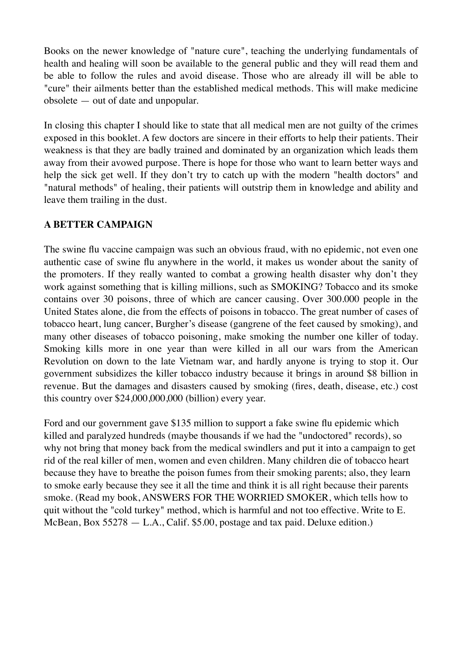Books on the newer knowledge of "nature cure", teaching the underlying fundamentals of health and healing will soon be available to the general public and they will read them and be able to follow the rules and avoid disease. Those who are already ill will be able to "cure" their ailments better than the established medical methods. This will make medicine obsolete — out of date and unpopular.

In closing this chapter I should like to state that all medical men are not guilty of the crimes exposed in this booklet. A few doctors are sincere in their efforts to help their patients. Their weakness is that they are badly trained and dominated by an organization which leads them away from their avowed purpose. There is hope for those who want to learn better ways and help the sick get well. If they don't try to catch up with the modern "health doctors" and "natural methods" of healing, their patients will outstrip them in knowledge and ability and leave them trailing in the dust.

#### **A BETTER CAMPAIGN**

The swine flu vaccine campaign was such an obvious fraud, with no epidemic, not even one authentic case of swine flu anywhere in the world, it makes us wonder about the sanity of the promoters. If they really wanted to combat a growing health disaster why don't they work against something that is killing millions, such as SMOKING? Tobacco and its smoke contains over 30 poisons, three of which are cancer causing. Over 300.000 people in the United States alone, die from the effects of poisons in tobacco. The great number of cases of tobacco heart, lung cancer, Burgher's disease (gangrene of the feet caused by smoking), and many other diseases of tobacco poisoning, make smoking the number one killer of today. Smoking kills more in one year than were killed in all our wars from the American Revolution on down to the late Vietnam war, and hardly anyone is trying to stop it. Our government subsidizes the killer tobacco industry because it brings in around \$8 billion in revenue. But the damages and disasters caused by smoking (fires, death, disease, etc.) cost this country over \$24,000,000,000 (billion) every year.

Ford and our government gave \$135 million to support a fake swine flu epidemic which killed and paralyzed hundreds (maybe thousands if we had the "undoctored" records), so why not bring that money back from the medical swindlers and put it into a campaign to get rid of the real killer of men, women and even children. Many children die of tobacco heart because they have to breathe the poison fumes from their smoking parents; also, they learn to smoke early because they see it all the time and think it is all right because their parents smoke. (Read my book, ANSWERS FOR THE WORRIED SMOKER, which tells how to quit without the "cold turkey" method, which is harmful and not too effective. Write to E. McBean, Box 55278 — L.A., Calif. \$5.00, postage and tax paid. Deluxe edition.)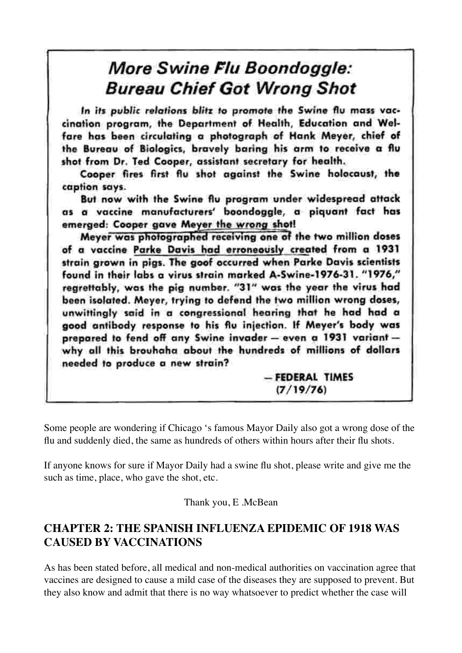# More Swine Flu Boondoggle: **Bureau Chief Got Wrong Shot**

In its public relations blitz to promote the Swine flu mass vaccination program, the Department of Health, Education and Welfare has been circulating a photograph of Hank Meyer, chief of the Bureau of Biologics, bravely baring his arm to receive a flu shot from Dr. Ted Cooper, assistant secretary for health.

Cooper fires first flu shot against the Swine holocaust, the caption says.

But now with the Swine flu program under widespread attack as a vaccine manufacturers' boondoggle, a piquant fact has emerged: Cooper gave Meyer the wrong shot!

Meyer was photographed receiving one of the two million doses of a vaccine Parke Davis had erroneously created from a 1931 strain grown in pigs. The goof occurred when Parke Davis scientists found in their labs a virus strain marked A-Swine-1976-31. "1976," regrettably, was the pig number. "31" was the year the virus had been isolated. Meyer, trying to defend the two million wrong doses, unwittingly said in a congressional hearing that he had had a good antibody response to his flu injection. If Meyer's body was prepared to fend off any Swine invader - even a 1931 variant why all this brouhaha about the hundreds of millions of dollars needed to produce a new strain?

> - FEDERAL TIMES  $(7/19/76)$

Some people are wondering if Chicago 's famous Mayor Daily also got a wrong dose of the flu and suddenly died, the same as hundreds of others within hours after their flu shots.

If anyone knows for sure if Mayor Daily had a swine flu shot, please write and give me the such as time, place, who gave the shot, etc.

Thank you, E .McBean

# **CHAPTER 2: THE SPANISH INFLUENZA EPIDEMIC OF 1918 WAS CAUSED BY VACCINATIONS**

As has been stated before, all medical and non-medical authorities on vaccination agree that vaccines are designed to cause a mild case of the diseases they are supposed to prevent. But they also know and admit that there is no way whatsoever to predict whether the case will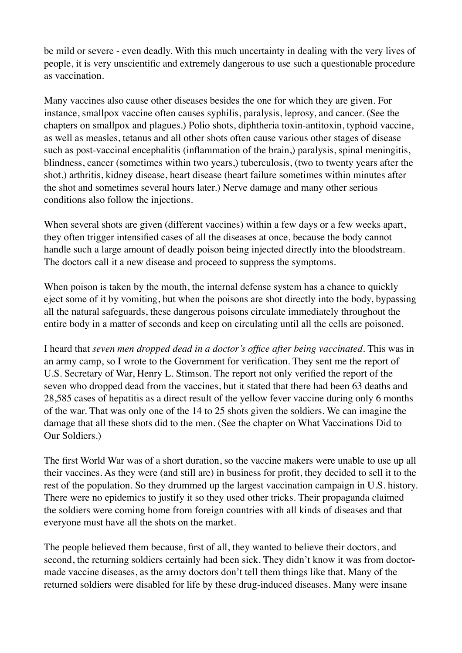be mild or severe - even deadly. With this much uncertainty in dealing with the very lives of people, it is very unscientific and extremely dangerous to use such a questionable procedure as vaccination.

Many vaccines also cause other diseases besides the one for which they are given. For instance, smallpox vaccine often causes syphilis, paralysis, leprosy, and cancer. (See the chapters on smallpox and plagues.) Polio shots, diphtheria toxin-antitoxin, typhoid vaccine, as well as measles, tetanus and all other shots often cause various other stages of disease such as post-vaccinal encephalitis (inflammation of the brain,) paralysis, spinal meningitis, blindness, cancer (sometimes within two years,) tuberculosis, (two to twenty years after the shot,) arthritis, kidney disease, heart disease (heart failure sometimes within minutes after the shot and sometimes several hours later.) Nerve damage and many other serious conditions also follow the injections.

When several shots are given (different vaccines) within a few days or a few weeks apart, they often trigger intensified cases of all the diseases at once, because the body cannot handle such a large amount of deadly poison being injected directly into the bloodstream. The doctors call it a new disease and proceed to suppress the symptoms.

When poison is taken by the mouth, the internal defense system has a chance to quickly eject some of it by vomiting, but when the poisons are shot directly into the body, bypassing all the natural safeguards, these dangerous poisons circulate immediately throughout the entire body in a matter of seconds and keep on circulating until all the cells are poisoned.

I heard that *seven men dropped dead in a doctor's office after being vaccinated.* This was in an army camp, so I wrote to the Government for verification. They sent me the report of U.S. Secretary of War, Henry L. Stimson. The report not only verified the report of the seven who dropped dead from the vaccines, but it stated that there had been 63 deaths and 28,585 cases of hepatitis as a direct result of the yellow fever vaccine during only 6 months of the war. That was only one of the 14 to 25 shots given the soldiers. We can imagine the damage that all these shots did to the men. (See the chapter on What Vaccinations Did to Our Soldiers.)

The first World War was of a short duration, so the vaccine makers were unable to use up all their vaccines. As they were (and still are) in business for profit, they decided to sell it to the rest of the population. So they drummed up the largest vaccination campaign in U.S. history. There were no epidemics to justify it so they used other tricks. Their propaganda claimed the soldiers were coming home from foreign countries with all kinds of diseases and that everyone must have all the shots on the market.

The people believed them because, first of all, they wanted to believe their doctors, and second, the returning soldiers certainly had been sick. They didn't know it was from doctormade vaccine diseases, as the army doctors don't tell them things like that. Many of the returned soldiers were disabled for life by these drug-induced diseases. Many were insane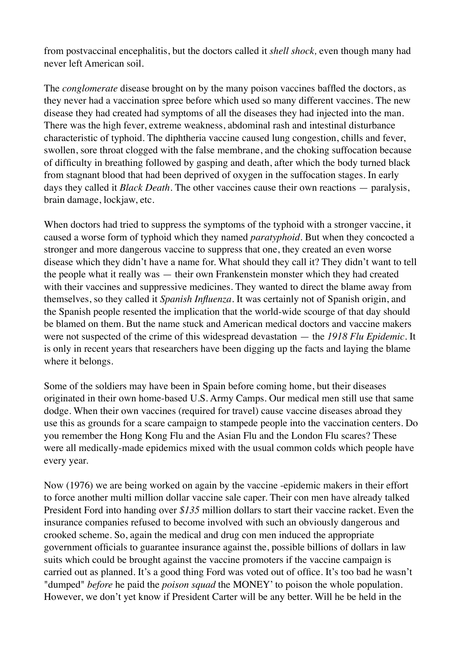from postvaccinal encephalitis, but the doctors called it *shell shock,* even though many had never left American soil.

The *conglomerate* disease brought on by the many poison vaccines baffled the doctors, as they never had a vaccination spree before which used so many different vaccines. The new disease they had created had symptoms of all the diseases they had injected into the man. There was the high fever, extreme weakness, abdominal rash and intestinal disturbance characteristic of typhoid. The diphtheria vaccine caused lung congestion, chills and fever, swollen, sore throat clogged with the false membrane, and the choking suffocation because of difficulty in breathing followed by gasping and death, after which the body turned black from stagnant blood that had been deprived of oxygen in the suffocation stages. In early days they called it *Black Death.* The other vaccines cause their own reactions — paralysis, brain damage, lockjaw, etc.

When doctors had tried to suppress the symptoms of the typhoid with a stronger vaccine, it caused a worse form of typhoid which they named *paratyphoid.* But when they concocted a stronger and more dangerous vaccine to suppress that one, they created an even worse disease which they didn't have a name for. What should they call it? They didn't want to tell the people what it really was — their own Frankenstein monster which they had created with their vaccines and suppressive medicines. They wanted to direct the blame away from themselves, so they called it *Spanish Influenza.* It was certainly not of Spanish origin, and the Spanish people resented the implication that the world-wide scourge of that day should be blamed on them. But the name stuck and American medical doctors and vaccine makers were not suspected of the crime of this widespread devastation — the *1918 Flu Epidemic.* It is only in recent years that researchers have been digging up the facts and laying the blame where it belongs.

Some of the soldiers may have been in Spain before coming home, but their diseases originated in their own home-based U.S. Army Camps. Our medical men still use that same dodge. When their own vaccines (required for travel) cause vaccine diseases abroad they use this as grounds for a scare campaign to stampede people into the vaccination centers. Do you remember the Hong Kong Flu and the Asian Flu and the London Flu scares? These were all medically-made epidemics mixed with the usual common colds which people have every year.

Now (1976) we are being worked on again by the vaccine -epidemic makers in their effort to force another multi million dollar vaccine sale caper. Their con men have already talked President Ford into handing over *\$135* million dollars to start their vaccine racket. Even the insurance companies refused to become involved with such an obviously dangerous and crooked scheme. So, again the medical and drug con men induced the appropriate government officials to guarantee insurance against the, possible billions of dollars in law suits which could be brought against the vaccine promoters if the vaccine campaign is carried out as planned. It's a good thing Ford was voted out of office. It's too bad he wasn't "dumped" *before* he paid the *poison squad* the MONEY' to poison the whole population. However, we don't yet know if President Carter will be any better. Will he be held in the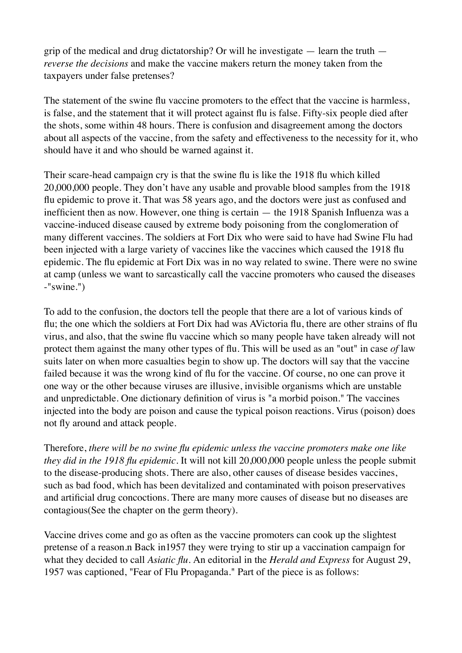grip of the medical and drug dictatorship? Or will he investigate — learn the truth *reverse the decisions* and make the vaccine makers return the money taken from the taxpayers under false pretenses?

The statement of the swine flu vaccine promoters to the effect that the vaccine is harmless, is false, and the statement that it will protect against flu is false. Fifty-six people died after the shots, some within 48 hours. There is confusion and disagreement among the doctors about all aspects of the vaccine, from the safety and effectiveness to the necessity for it, who should have it and who should be warned against it.

Their scare-head campaign cry is that the swine flu is like the 1918 flu which killed 20,000,000 people. They don't have any usable and provable blood samples from the 1918 flu epidemic to prove it. That was 58 years ago, and the doctors were just as confused and inefficient then as now. However, one thing is certain — the 1918 Spanish Influenza was a vaccine-induced disease caused by extreme body poisoning from the conglomeration of many different vaccines. The soldiers at Fort Dix who were said to have had Swine Flu had been injected with a large variety of vaccines like the vaccines which caused the 1918 flu epidemic. The flu epidemic at Fort Dix was in no way related to swine. There were no swine at camp (unless we want to sarcastically call the vaccine promoters who caused the diseases -"swine.")

To add to the confusion, the doctors tell the people that there are a lot of various kinds of flu; the one which the soldiers at Fort Dix had was AVictoria flu, there are other strains of flu virus, and also, that the swine flu vaccine which so many people have taken already will not protect them against the many other types of flu. This will be used as an "out" in case *of* law suits later on when more casualties begin to show up. The doctors will say that the vaccine failed because it was the wrong kind of flu for the vaccine. Of course, no one can prove it one way or the other because viruses are illusive, invisible organisms which are unstable and unpredictable. One dictionary definition of virus is "a morbid poison." The vaccines injected into the body are poison and cause the typical poison reactions. Virus (poison) does not fly around and attack people.

Therefore, *there will be no swine flu epidemic unless the vaccine promoters make one like they did in the 1918 flu epidemic.* It will not kill 20,000,000 people unless the people submit to the disease-producing shots. There are also, other causes of disease besides vaccines, such as bad food, which has been devitalized and contaminated with poison preservatives and artificial drug concoctions. There are many more causes of disease but no diseases are contagious(See the chapter on the germ theory).

Vaccine drives come and go as often as the vaccine promoters can cook up the slightest pretense of a reason.n Back in1957 they were trying to stir up a vaccination campaign for what they decided to call *Asiatic flu.* An editorial in the *Herald and Express* for August 29, 1957 was captioned, "Fear of Flu Propaganda." Part of the piece is as follows: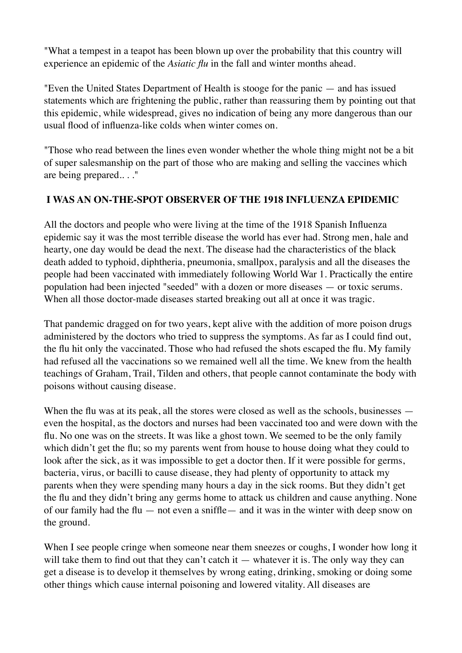"What a tempest in a teapot has been blown up over the probability that this country will experience an epidemic of the *Asiatic flu* in the fall and winter months ahead.

"Even the United States Department of Health is stooge for the panic — and has issued statements which are frightening the public, rather than reassuring them by pointing out that this epidemic, while widespread, gives no indication of being any more dangerous than our usual flood of influenza-like colds when winter comes on.

"Those who read between the lines even wonder whether the whole thing might not be a bit of super salesmanship on the part of those who are making and selling the vaccines which are being prepared.. . ."

# **I WAS AN ON-THE-SPOT OBSERVER OF THE 1918 INFLUENZA EPIDEMIC**

All the doctors and people who were living at the time of the 1918 Spanish Influenza epidemic say it was the most terrible disease the world has ever had. Strong men, hale and hearty, one day would be dead the next. The disease had the characteristics of the black death added to typhoid, diphtheria, pneumonia, smallpox, paralysis and all the diseases the people had been vaccinated with immediately following World War 1. Practically the entire population had been injected "seeded" with a dozen or more diseases — or toxic serums. When all those doctor-made diseases started breaking out all at once it was tragic.

That pandemic dragged on for two years, kept alive with the addition of more poison drugs administered by the doctors who tried to suppress the symptoms. As far as I could find out, the flu hit only the vaccinated. Those who had refused the shots escaped the flu. My family had refused all the vaccinations so we remained well all the time. We knew from the health teachings of Graham, Trail, Tilden and others, that people cannot contaminate the body with poisons without causing disease.

When the flu was at its peak, all the stores were closed as well as the schools, businesses even the hospital, as the doctors and nurses had been vaccinated too and were down with the flu. No one was on the streets. It was like a ghost town. We seemed to be the only family which didn't get the flu; so my parents went from house to house doing what they could to look after the sick, as it was impossible to get a doctor then. If it were possible for germs, bacteria, virus, or bacilli to cause disease, they had plenty of opportunity to attack my parents when they were spending many hours a day in the sick rooms. But they didn't get the flu and they didn't bring any germs home to attack us children and cause anything. None of our family had the flu — not even a sniffle— and it was in the winter with deep snow on the ground.

When I see people cringe when someone near them sneezes or coughs, I wonder how long it will take them to find out that they can't catch it — whatever it is. The only way they can get a disease is to develop it themselves by wrong eating, drinking, smoking or doing some other things which cause internal poisoning and lowered vitality. All diseases are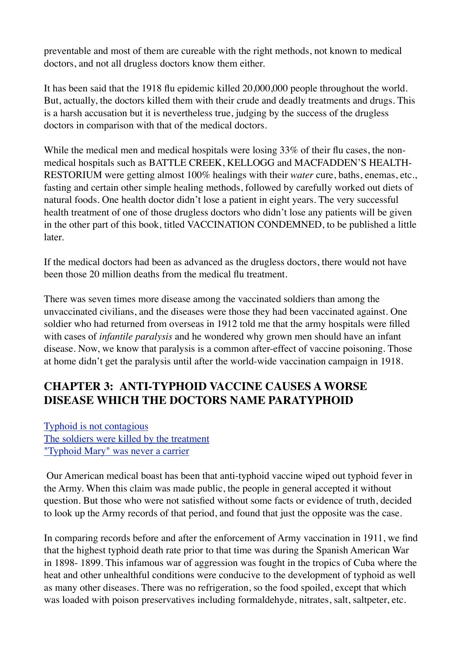preventable and most of them are cureable with the right methods, not known to medical doctors, and not all drugless doctors know them either.

It has been said that the 1918 flu epidemic killed 20,000,000 people throughout the world. But, actually, the doctors killed them with their crude and deadly treatments and drugs. This is a harsh accusation but it is nevertheless true, judging by the success of the drugless doctors in comparison with that of the medical doctors.

While the medical men and medical hospitals were losing 33% of their flu cases, the nonmedical hospitals such as BATTLE CREEK, KELLOGG and MACFADDEN'S HEALTH-RESTORIUM were getting almost 100% healings with their *water* cure, baths, enemas, etc., fasting and certain other simple healing methods, followed by carefully worked out diets of natural foods. One health doctor didn't lose a patient in eight years. The very successful health treatment of one of those drugless doctors who didn't lose any patients will be given in the other part of this book, titled VACCINATION CONDEMNED, to be published a little later.

If the medical doctors had been as advanced as the drugless doctors, there would not have been those 20 million deaths from the medical flu treatment.

There was seven times more disease among the vaccinated soldiers than among the unvaccinated civilians, and the diseases were those they had been vaccinated against. One soldier who had returned from overseas in 1912 told me that the army hospitals were filled with cases of *infantile paralysis* and he wondered why grown men should have an infant disease. Now, we know that paralysis is a common after-effect of vaccine poisoning. Those at home didn't get the paralysis until after the world-wide vaccination campaign in 1918.

# **CHAPTER 3: ANTI-TYPHOID VACCINE CAUSES A WORSE DISEASE WHICH THE DOCTORS NAME PARATYPHOID**

[Typhoid is not contagious](http://www.whale.to/vaccine/sf3.html#TYPHOID%20IS%20NOT%20CONTAGIOUS) [The soldiers were killed by the treatment](http://www.whale.to/vaccine/sf3.html#THE%20SOLDIERS%20WERE%20KILLED%20BY%20THE%20TREATMENT) ["Typhoid Mary" was never a carrier](http://www.whale.to/vaccine/sf3.html#%22TYPHOID%20MARY%22%20WAS%20NEVER%20A%20CARRIER)

Our American medical boast has been that anti-typhoid vaccine wiped out typhoid fever in the Army. When this claim was made public, the people in general accepted it without question. But those who were not satisfied without some facts or evidence of truth, decided to look up the Army records of that period, and found that just the opposite was the case.

In comparing records before and after the enforcement of Army vaccination in 1911, we find that the highest typhoid death rate prior to that time was during the Spanish American War in 1898- 1899. This infamous war of aggression was fought in the tropics of Cuba where the heat and other unhealthful conditions were conducive to the development of typhoid as well as many other diseases. There was no refrigeration, so the food spoiled, except that which was loaded with poison preservatives including formaldehyde, nitrates, salt, saltpeter, etc.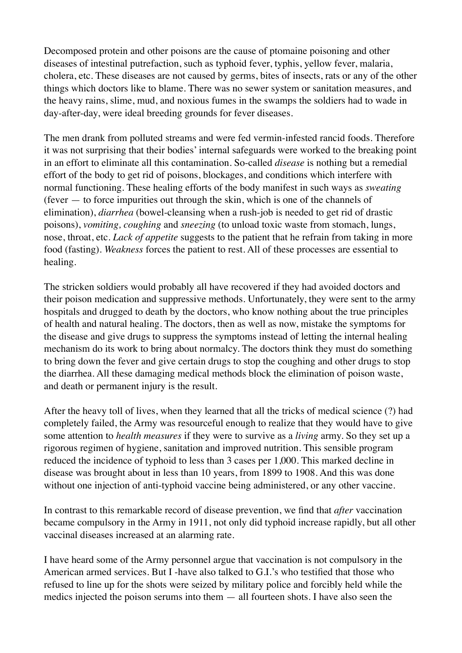Decomposed protein and other poisons are the cause of ptomaine poisoning and other diseases of intestinal putrefaction, such as typhoid fever, typhis, yellow fever, malaria, cholera, etc. These diseases are not caused by germs, bites of insects, rats or any of the other things which doctors like to blame. There was no sewer system or sanitation measures, and the heavy rains, slime, mud, and noxious fumes in the swamps the soldiers had to wade in day-after-day, were ideal breeding grounds for fever diseases.

The men drank from polluted streams and were fed vermin-infested rancid foods. Therefore it was not surprising that their bodies' internal safeguards were worked to the breaking point in an effort to eliminate all this contamination. So-called *disease* is nothing but a remedial effort of the body to get rid of poisons, blockages, and conditions which interfere with normal functioning. These healing efforts of the body manifest in such ways as *sweating*  (fever — to force impurities out through the skin, which is one of the channels of elimination), *diarrhea* (bowel-cleansing when a rush-job is needed to get rid of drastic poisons), *vomiting, coughing* and *sneezing* (to unload toxic waste from stomach, lungs, nose, throat, etc. *Lack of appetite* suggests to the patient that he refrain from taking in more food (fasting). *Weakness* forces the patient to rest. All of these processes are essential to healing.

The stricken soldiers would probably all have recovered if they had avoided doctors and their poison medication and suppressive methods. Unfortunately, they were sent to the army hospitals and drugged to death by the doctors, who know nothing about the true principles of health and natural healing. The doctors, then as well as now, mistake the symptoms for the disease and give drugs to suppress the symptoms instead of letting the internal healing mechanism do its work to bring about normalcy. The doctors think they must do something to bring down the fever and give certain drugs to stop the coughing and other drugs to stop the diarrhea. All these damaging medical methods block the elimination of poison waste, and death or permanent injury is the result.

After the heavy toll of lives, when they learned that all the tricks of medical science (?) had completely failed, the Army was resourceful enough to realize that they would have to give some attention to *health measures* if they were to survive as a *living* army. So they set up a rigorous regimen of hygiene, sanitation and improved nutrition. This sensible program reduced the incidence of typhoid to less than 3 cases per 1,000. This marked decline in disease was brought about in less than 10 years, from 1899 to 1908. And this was done without one injection of anti-typhoid vaccine being administered, or any other vaccine.

In contrast to this remarkable record of disease prevention, we find that *after* vaccination became compulsory in the Army in 1911, not only did typhoid increase rapidly, but all other vaccinal diseases increased at an alarming rate.

I have heard some of the Army personnel argue that vaccination is not compulsory in the American armed services. But I -have also talked to G.I.'s who testified that those who refused to line up for the shots were seized by military police and forcibly held while the medics injected the poison serums into them — all fourteen shots. I have also seen the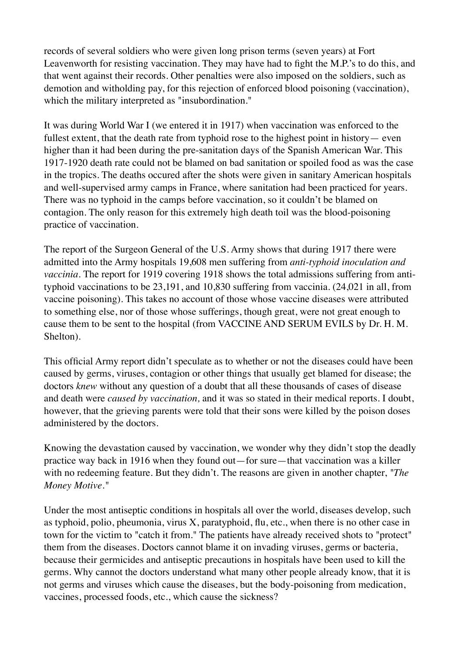records of several soldiers who were given long prison terms (seven years) at Fort Leavenworth for resisting vaccination. They may have had to fight the M.P.'s to do this, and that went against their records. Other penalties were also imposed on the soldiers, such as demotion and witholding pay, for this rejection of enforced blood poisoning (vaccination), which the military interpreted as "insubordination."

It was during World War I (we entered it in 1917) when vaccination was enforced to the fullest extent, that the death rate from typhoid rose to the highest point in history— even higher than it had been during the pre-sanitation days of the Spanish American War. This 1917-1920 death rate could not be blamed on bad sanitation or spoiled food as was the case in the tropics. The deaths occured after the shots were given in sanitary American hospitals and well-supervised army camps in France, where sanitation had been practiced for years. There was no typhoid in the camps before vaccination, so it couldn't be blamed on contagion. The only reason for this extremely high death toil was the blood-poisoning practice of vaccination.

The report of the Surgeon General of the U.S. Army shows that during 1917 there were admitted into the Army hospitals 19,608 men suffering from *anti-typhoid inoculation and vaccinia.* The report for 1919 covering 1918 shows the total admissions suffering from antityphoid vaccinations to be 23,191, and 10,830 suffering from vaccinia. (24,021 in all, from vaccine poisoning). This takes no account of those whose vaccine diseases were attributed to something else, nor of those whose sufferings, though great, were not great enough to cause them to be sent to the hospital (from VACCINE AND SERUM EVILS by Dr. H. M. Shelton).

This official Army report didn't speculate as to whether or not the diseases could have been caused by germs, viruses, contagion or other things that usually get blamed for disease; the doctors *knew* without any question of a doubt that all these thousands of cases of disease and death were *caused by vaccination,* and it was so stated in their medical reports. I doubt, however, that the grieving parents were told that their sons were killed by the poison doses administered by the doctors.

Knowing the devastation caused by vaccination, we wonder why they didn't stop the deadly practice way back in 1916 when they found out—for sure—that vaccination was a killer with no redeeming feature. But they didn't. The reasons are given in another chapter, *"The Money Motive."*

Under the most antiseptic conditions in hospitals all over the world, diseases develop, such as typhoid, polio, pheumonia, virus X, paratyphoid, flu, etc., when there is no other case in town for the victim to "catch it from." The patients have already received shots to "protect" them from the diseases. Doctors cannot blame it on invading viruses, germs or bacteria, because their germicides and antiseptic precautions in hospitals have been used to kill the germs. Why cannot the doctors understand what many other people already know, that it is not germs and viruses which cause the diseases, but the body-poisoning from medication, vaccines, processed foods, etc., which cause the sickness?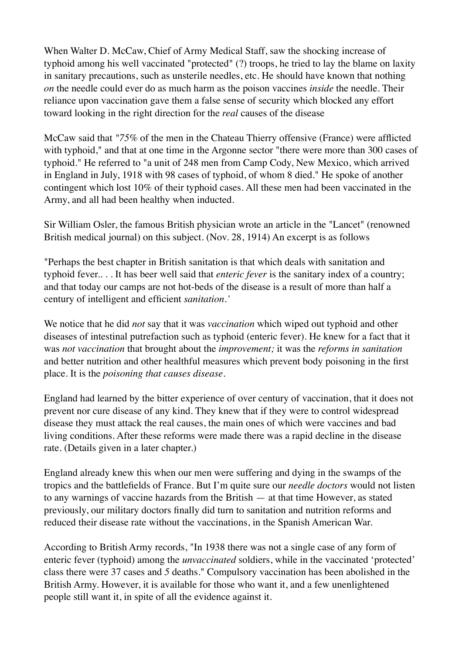When Walter D. McCaw, Chief of Army Medical Staff, saw the shocking increase of typhoid among his well vaccinated "protected" (?) troops, he tried to lay the blame on laxity in sanitary precautions, such as unsterile needles, etc. He should have known that nothing *on* the needle could ever do as much harm as the poison vaccines *inside* the needle. Their reliance upon vaccination gave them a false sense of security which blocked any effort toward looking in the right direction for the *real* causes of the disease

McCaw said that *"75%* of the men in the Chateau Thierry offensive (France) were afflicted with typhoid," and that at one time in the Argonne sector "there were more than 300 cases of typhoid." He referred to "a unit of 248 men from Camp Cody, New Mexico, which arrived in England in July, 1918 with 98 cases of typhoid, of whom 8 died." He spoke of another contingent which lost 10% of their typhoid cases. All these men had been vaccinated in the Army, and all had been healthy when inducted.

Sir William Osler, the famous British physician wrote an article in the "Lancet" (renowned British medical journal) on this subject. (Nov. 28, 1914) An excerpt is as follows

"Perhaps the best chapter in British sanitation is that which deals with sanitation and typhoid fever.. . . It has beer well said that *enteric fever* is the sanitary index of a country; and that today our camps are not hot-beds of the disease is a result of more than half a century of intelligent and efficient *sanitation.'*

We notice that he did *not* say that it was *vaccination* which wiped out typhoid and other diseases of intestinal putrefaction such as typhoid (enteric fever). He knew for a fact that it was *not vaccination* that brought about the *improvement;* it was the *reforms in sanitation*  and better nutrition and other healthful measures which prevent body poisoning in the first place. It is the *poisoning that causes disease.*

England had learned by the bitter experience of over century of vaccination, that it does not prevent nor cure disease of any kind. They knew that if they were to control widespread disease they must attack the real causes, the main ones of which were vaccines and bad living conditions. After these reforms were made there was a rapid decline in the disease rate. (Details given in a later chapter.)

England already knew this when our men were suffering and dying in the swamps of the tropics and the battlefields of France. But I'm quite sure our *needle doctors* would not listen to any warnings of vaccine hazards from the British — at that time However, as stated previously, our military doctors finally did turn to sanitation and nutrition reforms and reduced their disease rate without the vaccinations, in the Spanish American War.

According to British Army records, "In 1938 there was not a single case of any form of enteric fever (typhoid) among the *unvaccinated* soldiers, while in the vaccinated 'protected' class there were 37 cases and *5* deaths." Compulsory vaccination has been abolished in the British Army. However, it is available for those who want it, and a few unenlightened people still want it, in spite of all the evidence against it.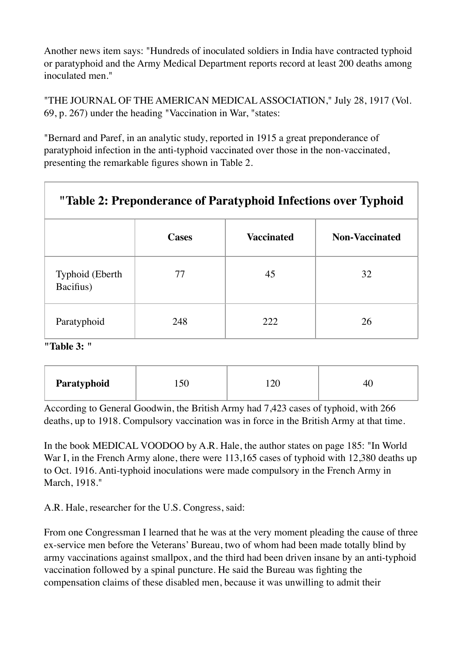Another news item says: "Hundreds of inoculated soldiers in India have contracted typhoid or paratyphoid and the Army Medical Department reports record at least 200 deaths among inoculated men."

"THE JOURNAL OF THE AMERICAN MEDICAL ASSOCIATION," July 28, 1917 (Vol. 69, p. 267) under the heading "Vaccination in War, "states:

"Bernard and Paref, in an analytic study, reported in 1915 a great preponderance of paratyphoid infection in the anti-typhoid vaccinated over those in the non-vaccinated, presenting the remarkable figures shown in Table 2.

| "Table 2: Preponderance of Paratyphoid Infections over Typhoid |              |                   |                       |  |  |  |
|----------------------------------------------------------------|--------------|-------------------|-----------------------|--|--|--|
|                                                                | <b>Cases</b> | <b>Vaccinated</b> | <b>Non-Vaccinated</b> |  |  |  |
| Typhoid (Eberth)<br>Bacifius)                                  | 77           | 45                | 32                    |  |  |  |
| Paratyphoid                                                    | 248          | 222               | 26                    |  |  |  |

**"Table 3: "**

| Paratyphoid |  |  |  |
|-------------|--|--|--|
|-------------|--|--|--|

According to General Goodwin, the British Army had 7,423 cases of typhoid, with 266 deaths, up to 1918. Compulsory vaccination was in force in the British Army at that time.

In the book MEDICAL VOODOO by A.R. Hale, the author states on page 185: "In World War I, in the French Army alone, there were 113,165 cases of typhoid with 12,380 deaths up to Oct. 1916. Anti-typhoid inoculations were made compulsory in the French Army in March, 1918."

A.R. Hale, researcher for the U.S. Congress, said:

From one Congressman I learned that he was at the very moment pleading the cause of three ex-service men before the Veterans' Bureau, two of whom had been made totally blind by army vaccinations against smallpox, and the third had been driven insane by an anti-typhoid vaccination followed by a spinal puncture. He said the Bureau was fighting the compensation claims of these disabled men, because it was unwilling to admit their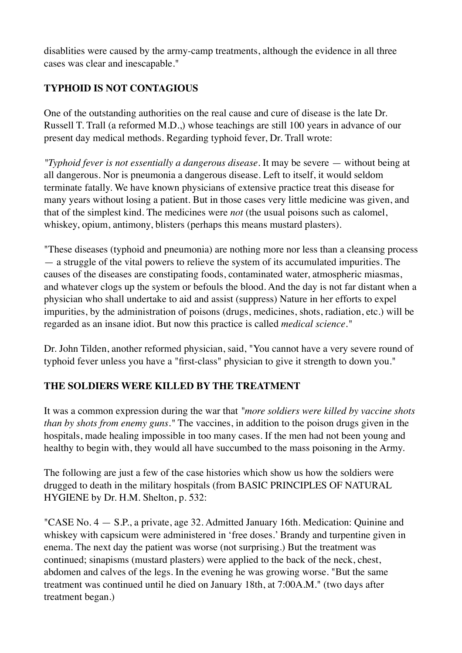disablities were caused by the army-camp treatments, although the evidence in all three cases was clear and inescapable."

# **TYPHOID IS NOT CONTAGIOUS**

One of the outstanding authorities on the real cause and cure of disease is the late Dr. Russell T. Trall (a reformed M.D.,) whose teachings are still 100 years in advance of our present day medical methods. Regarding typhoid fever, Dr. Trall wrote:

*"Typhoid fever is not essentially a dangerous disease.* It may be severe — without being at all dangerous. Nor is pneumonia a dangerous disease. Left to itself, it would seldom terminate fatally. We have known physicians of extensive practice treat this disease for many years without losing a patient. But in those cases very little medicine was given, and that of the simplest kind. The medicines were *not* (the usual poisons such as calomel, whiskey, opium, antimony, blisters (perhaps this means mustard plasters).

"These diseases (typhoid and pneumonia) are nothing more nor less than a cleansing process — a struggle of the vital powers to relieve the system of its accumulated impurities. The causes of the diseases are constipating foods, contaminated water, atmospheric miasmas, and whatever clogs up the system or befouls the blood. And the day is not far distant when a physician who shall undertake to aid and assist (suppress) Nature in her efforts to expel impurities, by the administration of poisons (drugs, medicines, shots, radiation, etc.) will be regarded as an insane idiot. But now this practice is called *medical science."*

Dr. John Tilden, another reformed physician, said, "You cannot have a very severe round of typhoid fever unless you have a "first-class" physician to give it strength to down you."

#### **THE SOLDIERS WERE KILLED BY THE TREATMENT**

It was a common expression during the war that *"more soldiers were killed by vaccine shots than by shots from enemy guns."* The vaccines, in addition to the poison drugs given in the hospitals, made healing impossible in too many cases. If the men had not been young and healthy to begin with, they would all have succumbed to the mass poisoning in the Army.

The following are just a few of the case histories which show us how the soldiers were drugged to death in the military hospitals (from BASIC PRINCIPLES OF NATURAL HYGIENE by Dr. H.M. Shelton, p. 532:

"CASE No. 4 — S.P., a private, age 32. Admitted January 16th. Medication: Quinine and whiskey with capsicum were administered in 'free doses.' Brandy and turpentine given in enema. The next day the patient was worse (not surprising.) But the treatment was continued; sinapisms (mustard plasters) were applied to the back of the neck, chest, abdomen and calves of the legs. In the evening he was growing worse. "But the same treatment was continued until he died on January 18th, at 7:00A.M." (two days after treatment began.)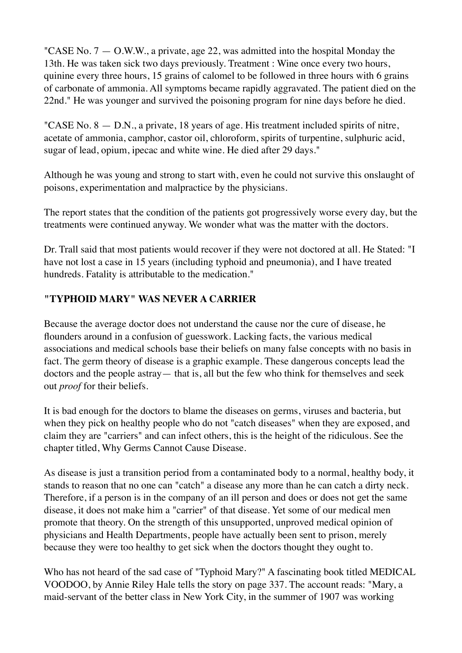"CASE No.  $7 - 0.$ W.W., a private, age 22, was admitted into the hospital Monday the 13th. He was taken sick two days previously. Treatment : Wine once every two hours, quinine every three hours, 15 grains of calomel to be followed in three hours with 6 grains of carbonate of ammonia. All symptoms became rapidly aggravated. The patient died on the 22nd." He was younger and survived the poisoning program for nine days before he died.

"CASE No. 8 — D.N., a private, 18 years of age. His treatment included spirits of nitre, acetate of ammonia, camphor, castor oil, chloroform, spirits of turpentine, sulphuric acid, sugar of lead, opium, ipecac and white wine. He died after 29 days."

Although he was young and strong to start with, even he could not survive this onslaught of poisons, experimentation and malpractice by the physicians.

The report states that the condition of the patients got progressively worse every day, but the treatments were continued anyway. We wonder what was the matter with the doctors.

Dr. Trall said that most patients would recover if they were not doctored at all. He Stated: "I have not lost a case in 15 years (including typhoid and pneumonia), and I have treated hundreds. Fatality is attributable to the medication."

# **"TYPHOID MARY" WAS NEVER A CARRIER**

Because the average doctor does not understand the cause nor the cure of disease, he flounders around in a confusion of guesswork. Lacking facts, the various medical associations and medical schools base their beliefs on many false concepts with no basis in fact. The germ theory of disease is a graphic example. These dangerous concepts lead the doctors and the people astray— that is, all but the few who think for themselves and seek out *proof* for their beliefs.

It is bad enough for the doctors to blame the diseases on germs, viruses and bacteria, but when they pick on healthy people who do not "catch diseases" when they are exposed, and claim they are "carriers" and can infect others, this is the height of the ridiculous. See the chapter titled, Why Germs Cannot Cause Disease.

As disease is just a transition period from a contaminated body to a normal, healthy body, it stands to reason that no one can "catch" a disease any more than he can catch a dirty neck. Therefore, if a person is in the company of an ill person and does or does not get the same disease, it does not make him a "carrier" of that disease. Yet some of our medical men promote that theory. On the strength of this unsupported, unproved medical opinion of physicians and Health Departments, people have actually been sent to prison, merely because they were too healthy to get sick when the doctors thought they ought to.

Who has not heard of the sad case of "Typhoid Mary?" A fascinating book titled MEDICAL VOODOO, by Annie Riley Hale tells the story on page 337. The account reads: "Mary, a maid-servant of the better class in New York City, in the summer of 1907 was working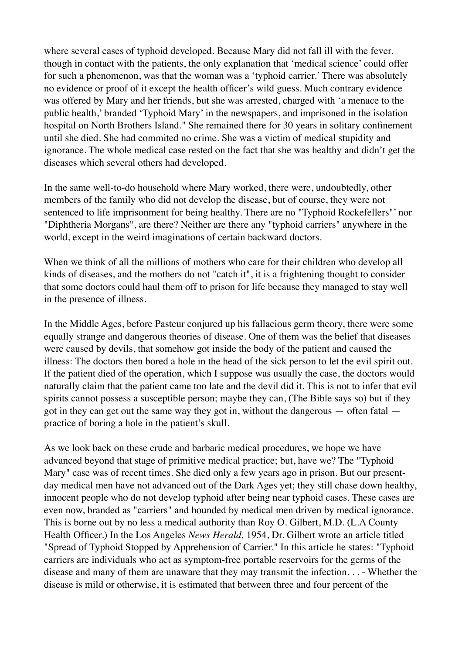where several cases of typhoid developed. Because Mary did not fall ill with the fever, though in contact with the patients, the only explanation that 'medical science' could offer for such a phenomenon, was that the woman was a 'typhoid carrier.' There was absolutely no evidence or proof of it except the health officer's wild guess. Much contrary evidence was offered by Mary and her friends, but she was arrested, charged with 'a menace to the public health,' branded 'Typhoid Mary' in the newspapers, and imprisoned in the isolation hospital on North Brothers Island." She remained there for 30 years in solitary confinement until she died. She had commited no crime. She was a victim of medical stupidity and ignorance. The whole medical case rested on the fact that she was healthy and didn't get the diseases which several others had developed.

In the same well-to-do household where Mary worked, there were, undoubtedly, other members of the family who did not develop the disease, but of course, they were not sentenced to life imprisonment for being healthy. There are no "Typhoid Rockefellers"' nor "Diphtheria Morgans", are there? Neither are there any "typhoid carriers" anywhere in the world, except in the weird imaginations of certain backward doctors.

When we think of all the millions of mothers who care for their children who develop all kinds of diseases, and the mothers do not "catch it", it is a frightening thought to consider that some doctors could haul them off to prison for life because they managed to stay well in the presence of illness.

In the Middle Ages, before Pasteur conjured up his fallacious germ theory, there were some equally strange and dangerous theories of disease. One of them was the belief that diseases were caused by devils, that somehow got inside the body of the patient and caused the illness: The doctors then bored a hole in the head of the sick person to let the evil spirit out. If the patient died of the operation, which I suppose was usually the case, the doctors would naturally claim that the patient came too late and the devil did it. This is not to infer that evil spirits cannot possess a susceptible person; maybe they can, (The Bible says so) but if they got in they can get out the same way they got in, without the dangerous — often fatal practice of boring a hole in the patient's skull.

As we look back on these crude and barbaric medical procedures, we hope we have advanced beyond that stage of primitive medical practice; but, have we? The "Typhoid Mary" case was of recent times. She died only a few years ago in prison. But our presentday medical men have not advanced out of the Dark Ages yet; they still chase down healthy, innocent people who do not develop typhoid after being near typhoid cases. These cases are even now, branded as "carriers" and hounded by medical men driven by medical ignorance. This is borne out by no less a medical authority than Roy O. Gilbert, M.D. (L.A County Health Officer.) In the Los Angeles *News Herald,* 1954, Dr. Gilbert wrote an article titled "Spread of Typhoid Stopped by Apprehension of Carrier." In this article he states: "Typhoid carriers are individuals who act as symptom-free portable reservoirs for the germs of the disease and many of them are unaware that they may transmit the infection. . . - Whether the disease is mild or otherwise, it is estimated that between three and four percent of the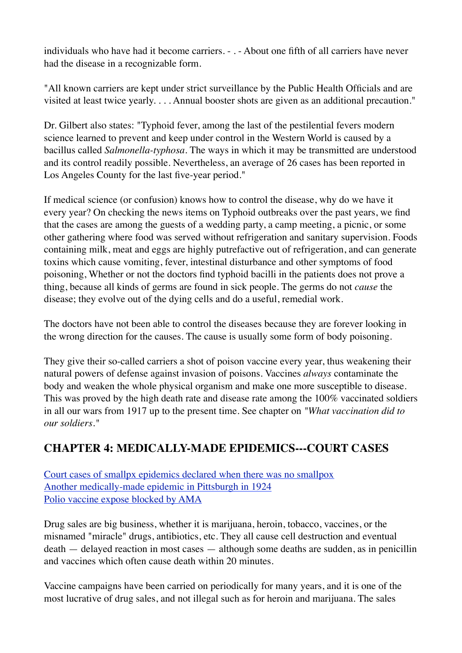individuals who have had it become carriers. - . - About one fifth of all carriers have never had the disease in a recognizable form.

"All known carriers are kept under strict surveillance by the Public Health Officials and are visited at least twice yearly. . . . Annual booster shots are given as an additional precaution."

Dr. Gilbert also states: "Typhoid fever, among the last of the pestilential fevers modern science learned to prevent and keep under control in the Western World is caused by a bacillus called *Salmonella-typhosa.* The ways in which it may be transmitted are understood and its control readily possible. Nevertheless, an average of 26 cases has been reported in Los Angeles County for the last five-year period."

If medical science (or confusion) knows how to control the disease, why do we have it every year? On checking the news items on Typhoid outbreaks over the past years, we find that the cases are among the guests of a wedding party, a camp meeting, a picnic, or some other gathering where food was served without refrigeration and sanitary supervision. Foods containing milk, meat and eggs are highly putrefactive out of refrigeration, and can generate toxins which cause vomiting, fever, intestinal disturbance and other symptoms of food poisoning, Whether or not the doctors find typhoid bacilli in the patients does not prove a thing, because all kinds of germs are found in sick people. The germs do not *cause* the disease; they evolve out of the dying cells and do a useful, remedial work.

The doctors have not been able to control the diseases because they are forever looking in the wrong direction for the causes. The cause is usually some form of body poisoning.

They give their so-called carriers a shot of poison vaccine every year, thus weakening their natural powers of defense against invasion of poisons. Vaccines *always* contaminate the body and weaken the whole physical organism and make one more susceptible to disease. This was proved by the high death rate and disease rate among the 100% vaccinated soldiers in all our wars from 1917 up to the present time. See chapter on *"What vaccination did to our soldiers."*

# **CHAPTER 4: MEDICALLY-MADE EPIDEMICS---COURT CASES**

[Court cases of smallpx epidemics declared when there was no smallpox](http://www.whale.to/vaccine/sf4.html#COURT%20CASES%20OF%20SMALLPOX%20EPIDEMICS%20DECLARED%20WHEN%20THERE%20WAS%20NO%20SMALLPOX) [Another medically-made epidemic in Pittsburgh in 1924](http://www.whale.to/vaccine/sf4.html#ANOTHER%20MEDICALLY-MADE%20EPIDEMIC%20IN%20PITTSBURGH%20IN%201924) [Polio vaccine expose blocked by AMA](http://www.whale.to/vaccine/sf4.html#POLIO%20VACCINE%20EXPOSE%92%20BLOCKED%20BY%20AMA)

Drug sales are big business, whether it is marijuana, heroin, tobacco, vaccines, or the misnamed "miracle" drugs, antibiotics, etc. They all cause cell destruction and eventual death — delayed reaction in most cases — although some deaths are sudden, as in penicillin and vaccines which often cause death within 20 minutes.

Vaccine campaigns have been carried on periodically for many years, and it is one of the most lucrative of drug sales, and not illegal such as for heroin and marijuana. The sales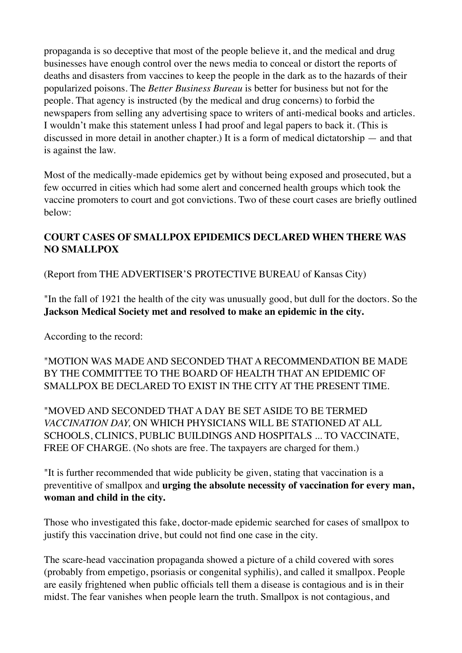propaganda is so deceptive that most of the people believe it, and the medical and drug businesses have enough control over the news media to conceal or distort the reports of deaths and disasters from vaccines to keep the people in the dark as to the hazards of their popularized poisons. The *Better Business Bureau* is better for business but not for the people. That agency is instructed (by the medical and drug concerns) to forbid the newspapers from selling any advertising space to writers of anti-medical books and articles. I wouldn't make this statement unless I had proof and legal papers to back it. (This is discussed in more detail in another chapter.) It is a form of medical dictatorship — and that is against the law.

Most of the medically-made epidemics get by without being exposed and prosecuted, but a few occurred in cities which had some alert and concerned health groups which took the vaccine promoters to court and got convictions. Two of these court cases are briefly outlined below:

# **COURT CASES OF SMALLPOX EPIDEMICS DECLARED WHEN THERE WAS NO SMALLPOX**

(Report from THE ADVERTISER'S PROTECTIVE BUREAU of Kansas City)

"In the fall of 1921 the health of the city was unusually good, but dull for the doctors. So the **Jackson Medical Society met and resolved to make an epidemic in the city.**

According to the record:

"MOTION WAS MADE AND SECONDED THAT A RECOMMENDATION BE MADE BY THE COMMITTEE TO THE BOARD OF HEALTH THAT AN EPIDEMIC OF SMALLPOX BE DECLARED TO EXIST IN THE CITY AT THE PRESENT TIME.

"MOVED AND SECONDED THAT A DAY BE SET ASIDE TO BE TERMED *VACCINATION DAY,* ON WHICH PHYSICIANS WILL BE STATIONED AT ALL SCHOOLS, CLINICS, PUBLIC BUILDINGS AND HOSPITALS ... TO VACCINATE, FREE OF CHARGE. (No shots are free. The taxpayers are charged for them.)

"It is further recommended that wide publicity be given, stating that vaccination is a preventitive of smallpox and **urging the absolute necessity of vaccination for every man, woman and child in the city.**

Those who investigated this fake, doctor-made epidemic searched for cases of smallpox to justify this vaccination drive, but could not find one case in the city.

The scare-head vaccination propaganda showed a picture of a child covered with sores (probably from empetigo, psoriasis or congenital syphilis), and called it smallpox. People are easily frightened when public officials tell them a disease is contagious and is in their midst. The fear vanishes when people learn the truth. Smallpox is not contagious, and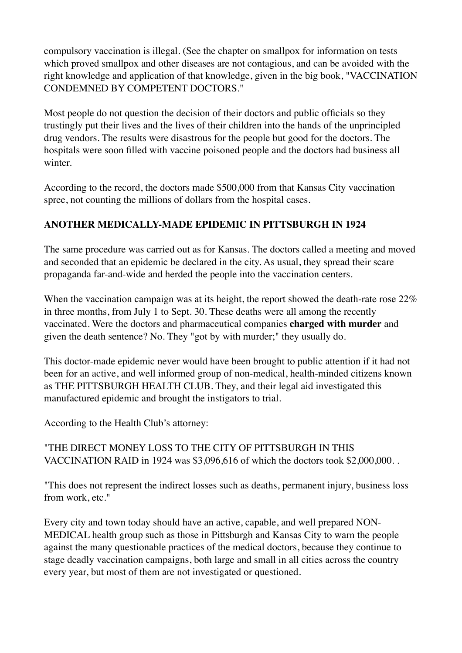compulsory vaccination is illegal. (See the chapter on smallpox for information on tests which proved smallpox and other diseases are not contagious, and can be avoided with the right knowledge and application of that knowledge, given in the big book, "VACCINATION CONDEMNED BY COMPETENT DOCTORS."

Most people do not question the decision of their doctors and public officials so they trustingly put their lives and the lives of their children into the hands of the unprincipled drug vendors. The results were disastrous for the people but good for the doctors. The hospitals were soon filled with vaccine poisoned people and the doctors had business all winter.

According to the record, the doctors made \$500,000 from that Kansas City vaccination spree, not counting the millions of dollars from the hospital cases.

# **ANOTHER MEDICALLY-MADE EPIDEMIC IN PITTSBURGH IN 1924**

The same procedure was carried out as for Kansas. The doctors called a meeting and moved and seconded that an epidemic be declared in the city. As usual, they spread their scare propaganda far-and-wide and herded the people into the vaccination centers.

When the vaccination campaign was at its height, the report showed the death-rate rose 22% in three months, from July 1 to Sept. 30. These deaths were all among the recently vaccinated. Were the doctors and pharmaceutical companies **charged with murder** and given the death sentence? No. They "got by with murder;" they usually do.

This doctor-made epidemic never would have been brought to public attention if it had not been for an active, and well informed group of non-medical, health-minded citizens known as THE PITTSBURGH HEALTH CLUB. They, and their legal aid investigated this manufactured epidemic and brought the instigators to trial.

According to the Health Club's attorney:

# "THE DIRECT MONEY LOSS TO THE CITY OF PITTSBURGH IN THIS VACCINATION RAID in 1924 was \$3,096,616 of which the doctors took \$2,000,000. .

"This does not represent the indirect losses such as deaths, permanent injury, business loss from work, etc."

Every city and town today should have an active, capable, and well prepared NON-MEDICAL health group such as those in Pittsburgh and Kansas City to warn the people against the many questionable practices of the medical doctors, because they continue to stage deadly vaccination campaigns, both large and small in all cities across the country every year, but most of them are not investigated or questioned.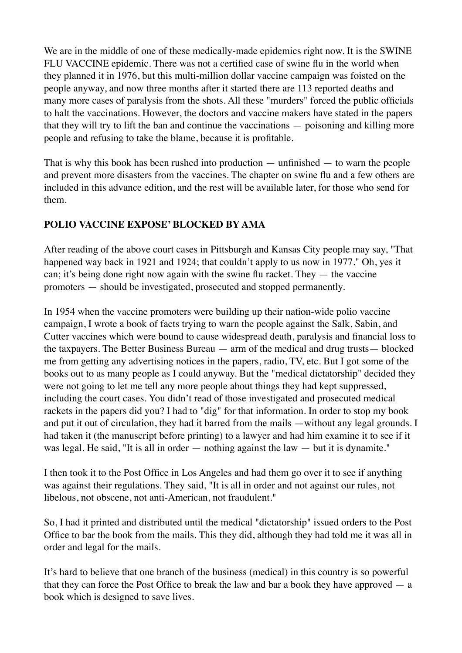We are in the middle of one of these medically-made epidemics right now. It is the SWINE FLU VACCINE epidemic. There was not a certified case of swine flu in the world when they planned it in 1976, but this multi-million dollar vaccine campaign was foisted on the people anyway, and now three months after it started there are 113 reported deaths and many more cases of paralysis from the shots. All these "murders" forced the public officials to halt the vaccinations. However, the doctors and vaccine makers have stated in the papers that they will try to lift the ban and continue the vaccinations — poisoning and killing more people and refusing to take the blame, because it is profitable.

That is why this book has been rushed into production  $-$  unfinished  $-$  to warn the people and prevent more disasters from the vaccines. The chapter on swine flu and a few others are included in this advance edition, and the rest will be available later, for those who send for them.

# **POLIO VACCINE EXPOSE' BLOCKED BY AMA**

After reading of the above court cases in Pittsburgh and Kansas City people may say, "That happened way back in 1921 and 1924; that couldn't apply to us now in 1977." Oh, yes it can; it's being done right now again with the swine flu racket. They — the vaccine promoters — should be investigated, prosecuted and stopped permanently.

In 1954 when the vaccine promoters were building up their nation-wide polio vaccine campaign, I wrote a book of facts trying to warn the people against the Salk, Sabin, and Cutter vaccines which were bound to cause widespread death, paralysis and financial loss to the taxpayers. The Better Business Bureau — arm of the medical and drug trusts— blocked me from getting any advertising notices in the papers, radio, TV, etc. But I got some of the books out to as many people as I could anyway. But the "medical dictatorship" decided they were not going to let me tell any more people about things they had kept suppressed, including the court cases. You didn't read of those investigated and prosecuted medical rackets in the papers did you? I had to "dig" for that information. In order to stop my book and put it out of circulation, they had it barred from the mails —without any legal grounds. I had taken it (the manuscript before printing) to a lawyer and had him examine it to see if it was legal. He said, "It is all in order — nothing against the law — but it is dynamite."

I then took it to the Post Office in Los Angeles and had them go over it to see if anything was against their regulations. They said, "It is all in order and not against our rules, not libelous, not obscene, not anti-American, not fraudulent."

So, I had it printed and distributed until the medical "dictatorship" issued orders to the Post Office to bar the book from the mails. This they did, although they had told me it was all in order and legal for the mails.

It's hard to believe that one branch of the business (medical) in this country is so powerful that they can force the Post Office to break the law and bar a book they have approved  $-$  a book which is designed to save lives.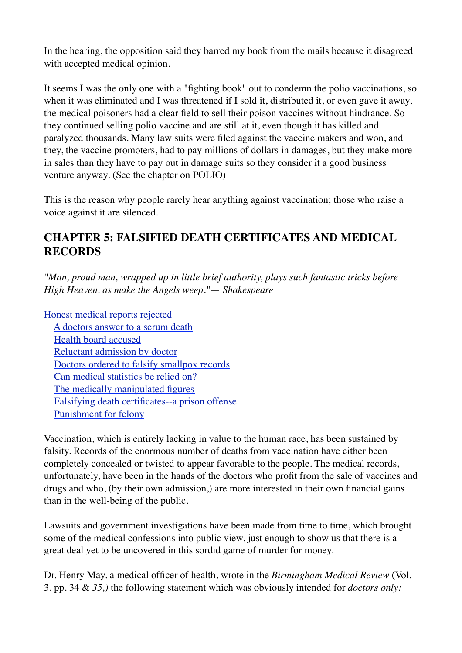In the hearing, the opposition said they barred my book from the mails because it disagreed with accepted medical opinion.

It seems I was the only one with a "fighting book" out to condemn the polio vaccinations, so when it was eliminated and I was threatened if I sold it, distributed it, or even gave it away, the medical poisoners had a clear field to sell their poison vaccines without hindrance. So they continued selling polio vaccine and are still at it, even though it has killed and paralyzed thousands. Many law suits were filed against the vaccine makers and won, and they, the vaccine promoters, had to pay millions of dollars in damages, but they make more in sales than they have to pay out in damage suits so they consider it a good business venture anyway. (See the chapter on POLIO)

This is the reason why people rarely hear anything against vaccination; those who raise a voice against it are silenced.

# **CHAPTER 5: FALSIFIED DEATH CERTIFICATES AND MEDICAL RECORDS**

*"Man, proud man, wrapped up in little brief authority, plays such fantastic tricks before High Heaven, as make the Angels weep."*— *Shakespeare*

[Honest medical reports rejected](http://www.whale.to/vaccine/sf5.html#HONEST%20MEDICAL%20REPORTS%20REJECTED) [A doctors answer to a serum death](http://www.whale.to/vaccine/sf5.html#A%20DOCTOR%92S%20ANSWER%20TO%20A%20SERUM%20DEATH) [Health board accused](http://www.whale.to/vaccine/sf5.html#HEALTH%20BOARDS%20ACCUSED) [Reluctant admission by doctor](http://www.whale.to/vaccine/sf5.html#RELUCTANT%20ADMISSION%20BY%20DOCTOR) [Doctors ordered to falsify smallpox records](http://www.whale.to/vaccine/sf5.html#DOCTORS%20ORDERED%20TO%20FALSIFY%20SMALLPOX%20RECORDS) [Can medical statistics be relied on?](http://www.whale.to/vaccine/sf5.html#CAN%20MEDICAL%20STATISTICS%20BE%20RELIED%20ON?) [The medically manipulated figures](http://www.whale.to/vaccine/sf5.html#THE%20MEDICALLY%20MANIPULATED%20FIGURES) [Falsifying death certificates--a prison offense](http://www.whale.to/vaccine/sf5.html#FALSIFYING%20DEATH%20CERTIFICATES%97A%20PRISON%20OFFENSE) [Punishment for felony](http://www.whale.to/vaccine/sf5.html#PUNISHMENT%20FOR%20FELONY)

Vaccination, which is entirely lacking in value to the human race, has been sustained by falsity. Records of the enormous number of deaths from vaccination have either been completely concealed or twisted to appear favorable to the people. The medical records, unfortunately, have been in the hands of the doctors who profit from the sale of vaccines and drugs and who, (by their own admission,) are more interested in their own financial gains than in the well-being of the public.

Lawsuits and government investigations have been made from time to time, which brought some of the medical confessions into public view, just enough to show us that there is a great deal yet to be uncovered in this sordid game of murder for money.

Dr. Henry May, a medical officer of health, wrote in the *Birmingham Medical Review* (Vol. 3. pp. 34 & *35,)* the following statement which was obviously intended for *doctors only:*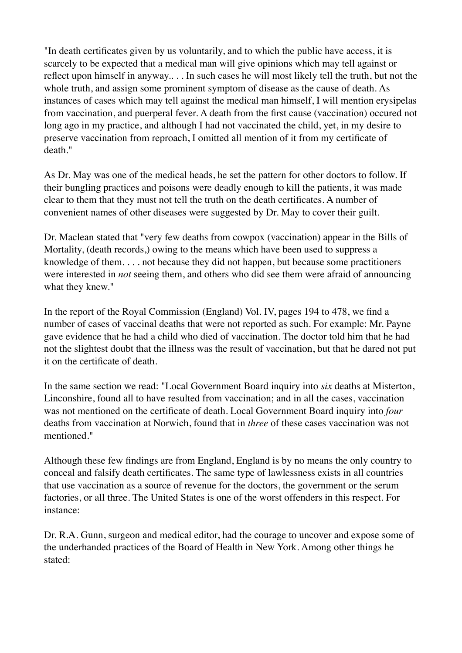"In death certificates given by us voluntarily, and to which the public have access, it is scarcely to be expected that a medical man will give opinions which may tell against or reflect upon himself in anyway.. . . In such cases he will most likely tell the truth, but not the whole truth, and assign some prominent symptom of disease as the cause of death. As instances of cases which may tell against the medical man himself, I will mention erysipelas from vaccination, and puerperal fever. A death from the first cause (vaccination) occured not long ago in my practice, and although I had not vaccinated the child, yet, in my desire to preserve vaccination from reproach, I omitted all mention of it from my certificate of death."

As Dr. May was one of the medical heads, he set the pattern for other doctors to follow. If their bungling practices and poisons were deadly enough to kill the patients, it was made clear to them that they must not tell the truth on the death certificates. A number of convenient names of other diseases were suggested by Dr. May to cover their guilt.

Dr. Maclean stated that "very few deaths from cowpox (vaccination) appear in the Bills of Mortality, (death records,) owing to the means which have been used to suppress a knowledge of them. . . . not because they did not happen, but because some practitioners were interested in *not* seeing them, and others who did see them were afraid of announcing what they knew."

In the report of the Royal Commission (England) Vol. IV, pages 194 to 478, we find a number of cases of vaccinal deaths that were not reported as such. For example: Mr. Payne gave evidence that he had a child who died of vaccination. The doctor told him that he had not the slightest doubt that the illness was the result of vaccination, but that he dared not put it on the certificate of death.

In the same section we read: "Local Government Board inquiry into *six* deaths at Misterton, Linconshire, found all to have resulted from vaccination; and in all the cases, vaccination was not mentioned on the certificate of death. Local Government Board inquiry into *four*  deaths from vaccination at Norwich, found that in *three* of these cases vaccination was not mentioned."

Although these few findings are from England, England is by no means the only country to conceal and falsify death certificates. The same type of lawlessness exists in all countries that use vaccination as a source of revenue for the doctors, the government or the serum factories, or all three. The United States is one of the worst offenders in this respect. For instance:

Dr. R.A. Gunn, surgeon and medical editor, had the courage to uncover and expose some of the underhanded practices of the Board of Health in New York. Among other things he stated: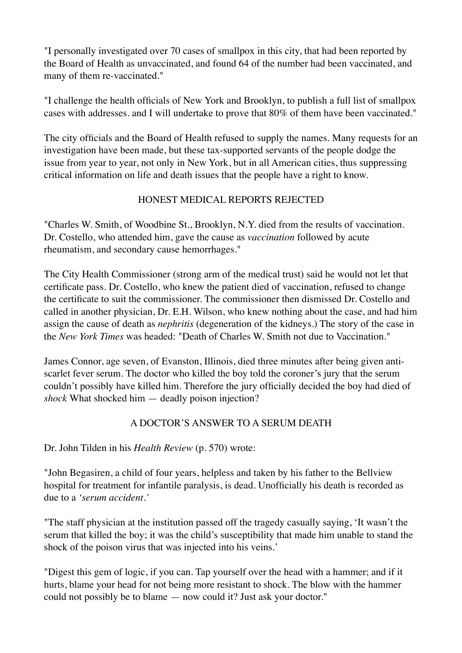"I personally investigated over 70 cases of smallpox in this city, that had been reported by the Board of Health as unvaccinated, and found 64 of the number had been vaccinated, and many of them re-vaccinated."

"I challenge the health officials of New York and Brooklyn, to publish a full list of smallpox cases with addresses. and I will undertake to prove that 80% of them have been vaccinated."

The city officials and the Board of Health refused to supply the names. Many requests for an investigation have been made, but these tax-supported servants of the people dodge the issue from year to year, not only in New York, but in all American cities, thus suppressing critical information on life and death issues that the people have a right to know.

# HONEST MEDICAL REPORTS REJECTED

"Charles W. Smith, of Woodbine St., Brooklyn, N.Y. died from the results of vaccination. Dr. Costello, who attended him, gave the cause as *vaccination* followed by acute rheumatism, and secondary cause hemorrhages."

The City Health Commissioner (strong arm of the medical trust) said he would not let that certificate pass. Dr. Costello, who knew the patient died of vaccination, refused to change the certificate to suit the commissioner. The commissioner then dismissed Dr. Costello and called in another physician, Dr. E.H. Wilson, who knew nothing about the case, and had him assign the cause of death as *nephritis* (degeneration of the kidneys.) The story of the case in the *New York Times* was headed: "Death of Charles W. Smith not due to Vaccination."

James Connor, age seven, of Evanston, Illinois, died three minutes after being given antiscarlet fever serum. The doctor who killed the boy told the coroner's jury that the serum couldn't possibly have killed him. Therefore the jury officially decided the boy had died of *shock* What shocked him — deadly poison injection?

#### A DOCTOR'S ANSWER TO A SERUM DEATH

Dr. John Tilden in his *Health Review* (p. 570) wrote:

"John Begasiren, a child of four years, helpless and taken by his father to the Bellview hospital for treatment for infantile paralysis, is dead. Unofficially his death is recorded as due to a *'serum accident.'*

"The staff physician at the institution passed off the tragedy casually saying, 'It wasn't the serum that killed the boy; it was the child's susceptibility that made him unable to stand the shock of the poison virus that was injected into his veins.'

"Digest this gem of logic, if you can. Tap yourself over the head with a hammer; and if it hurts, blame your head for not being more resistant to shock. The blow with the hammer could not possibly be to blame — now could it? Just ask your doctor."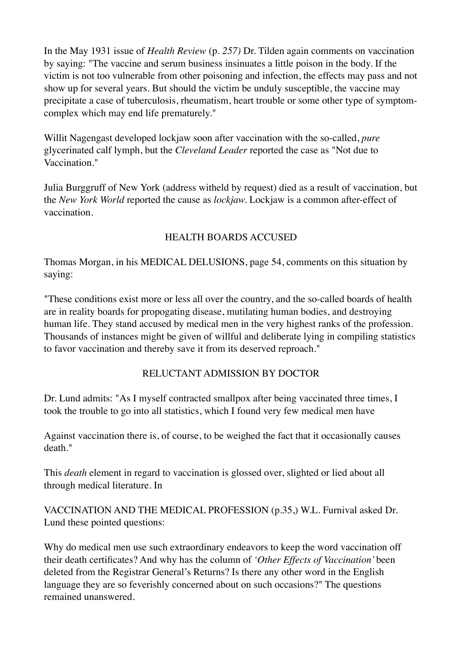In the May 1931 issue of *Health Review* (p. *257)* Dr. Tilden again comments on vaccination by saying: "The vaccine and serum business insinuates a little poison in the body. If the victim is not too vulnerable from other poisoning and infection, the effects may pass and not show up for several years. But should the victim be unduly susceptible, the vaccine may precipitate a case of tuberculosis, rheumatism, heart trouble or some other type of symptomcomplex which may end life prematurely."

Willit Nagengast developed lockjaw soon after vaccination with the so-called, *pure*  glycerinated calf lymph, but the *Cleveland Leader* reported the case as "Not due to Vaccination."

Julia Burggruff of New York (address witheld by request) died as a result of vaccination, but the *New York World* reported the cause as *lockjaw.* Lockjaw is a common after-effect of vaccination.

# HEALTH BOARDS ACCUSED

Thomas Morgan, in his MEDICAL DELUSIONS, page 54, comments on this situation by saying:

"These conditions exist more or less all over the country, and the so-called boards of health are in reality boards for propogating disease, mutilating human bodies, and destroying human life. They stand accused by medical men in the very highest ranks of the profession. Thousands of instances might be given of willful and deliberate lying in compiling statistics to favor vaccination and thereby save it from its deserved reproach."

#### RELUCTANT ADMISSION BY DOCTOR

Dr. Lund admits: "As I myself contracted smallpox after being vaccinated three times, I took the trouble to go into all statistics, which I found very few medical men have

Against vaccination there is, of course, to be weighed the fact that it occasionally causes death."

This *death* element in regard to vaccination is glossed over, slighted or lied about all through medical literature. In

VACCINATION AND THE MEDICAL PROFESSION (p.35,) W.L. Furnival asked Dr. Lund these pointed questions:

Why do medical men use such extraordinary endeavors to keep the word vaccination off their death certificates? And why has the column of *'Other Effects of Vaccination'* been deleted from the Registrar General's Returns? Is there any other word in the English language they are so feverishly concerned about on such occasions?" The questions remained unanswered.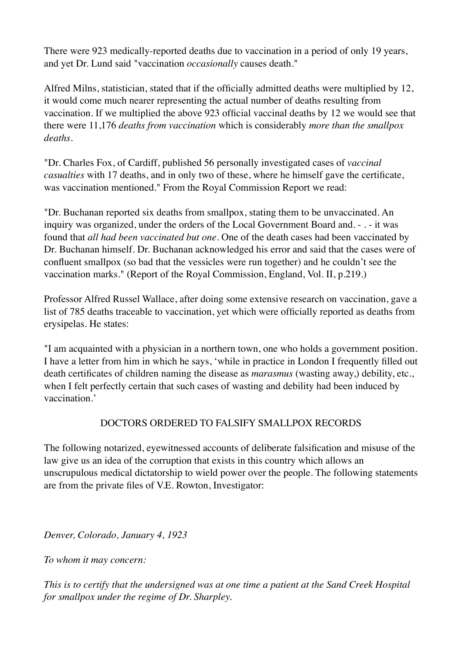There were 923 medically-reported deaths due to vaccination in a period of only 19 years, and yet Dr. Lund said "vaccination *occasionally* causes death."

Alfred Milns, statistician, stated that if the officially admitted deaths were multiplied by 12, it would come much nearer representing the actual number of deaths resulting from vaccination. If we multiplied the above 923 official vaccinal deaths by 12 we would see that there were 11,176 *deaths from vaccination* which is considerably *more than the smallpox deaths.*

"Dr. Charles Fox, of Cardiff, published 56 personally investigated cases of *vaccinal casualties* with 17 deaths, and in only two of these, where he himself gave the certificate, was vaccination mentioned." From the Royal Commission Report we read:

"Dr. Buchanan reported six deaths from smallpox, stating them to be unvaccinated. An inquiry was organized, under the orders of the Local Government Board and. - . - it was found that *all had been vaccinated but one.* One of the death cases had been vaccinated by Dr. Buchanan himself. Dr. Buchanan acknowledged his error and said that the cases were of confluent smallpox (so bad that the vessicles were run together) and he couldn't see the vaccination marks." (Report of the Royal Commission, England, Vol. II, p.219.)

Professor Alfred Russel Wallace, after doing some extensive research on vaccination, gave a list of 785 deaths traceable to vaccination, yet which were officially reported as deaths from erysipelas. He states:

"I am acquainted with a physician in a northern town, one who holds a government position. I have a letter from him in which he says, 'while in practice in London I frequently filled out death certificates of children naming the disease as *marasmus* (wasting away,) debility, etc., when I felt perfectly certain that such cases of wasting and debility had been induced by vaccination.'

#### DOCTORS ORDERED TO FALSIFY SMALLPOX RECORDS

The following notarized, eyewitnessed accounts of deliberate falsification and misuse of the law give us an idea of the corruption that exists in this country which allows an unscrupulous medical dictatorship to wield power over the people. The following statements are from the private files of V.E. Rowton, Investigator:

*Denver, Colorado, January 4, 1923*

*To whom it may concern:*

*This is to certify that the undersigned was at one time a patient at the Sand Creek Hospital for smallpox under the regime of Dr. Sharpley.*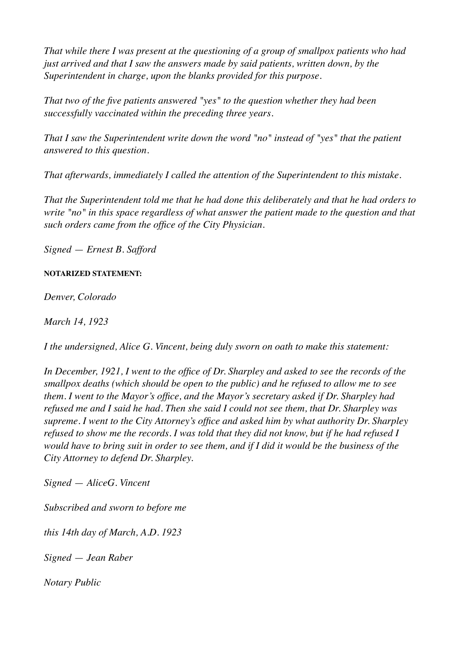*That while there I was present at the questioning of a group of smallpox patients who had just arrived and that I saw the answers made by said patients, written down, by the Superintendent in charge, upon the blanks provided for this purpose.*

*That two of the five patients answered "yes" to the question whether they had been successfully vaccinated within the preceding three years.*

*That I saw the Superintendent write down the word "no" instead of "yes" that the patient answered to this question.*

*That afterwards, immediately I called the attention of the Superintendent to this mistake.*

*That the Superintendent told me that he had done this deliberately and that he had orders to write "no" in this space regardless of what answer the patient made to the question and that such orders came from the office of the City Physician.*

*Signed* — *Ernest B. Safford*

#### **NOTARIZED STATEMENT:**

*Denver, Colorado*

*March 14, 1923*

*I the undersigned, Alice G. Vincent, being duly sworn on oath to make this statement:*

*In December, 1921, I went to the office of Dr. Sharpley and asked to see the records of the smallpox deaths (which should be open to the public) and he refused to allow me to see them. I went to the Mayor's office, and the Mayor's secretary asked if Dr. Sharpley had refused me and I said he had. Then she said I could not see them, that Dr. Sharpley was supreme. I went to the City Attorney's office and asked him by what authority Dr. Sharpley refused to show me the records. I was told that they did not know, but if he had refused I would have to bring suit in order to see them, and if I did it would be the business of the City Attorney to defend Dr. Sharpley.*

*Signed* — *AliceG. Vincent*

*Subscribed and sworn to before me*

*this 14th day of March, A.D. 1923*

*Signed* — *Jean Raber*

*Notary Public*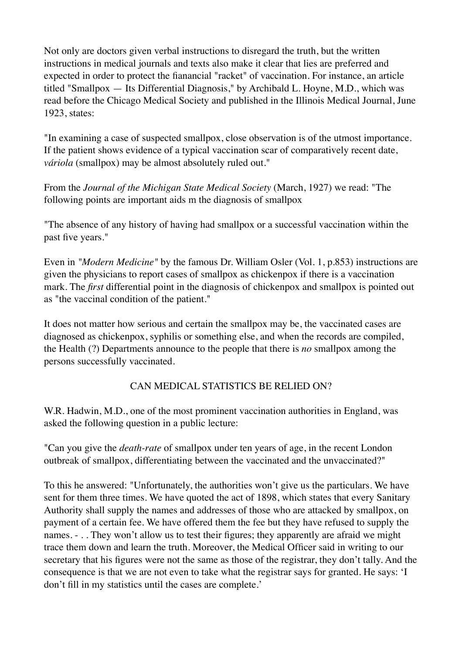Not only are doctors given verbal instructions to disregard the truth, but the written instructions in medical journals and texts also make it clear that lies are preferred and expected in order to protect the fianancial "racket" of vaccination. For instance, an article titled "Smallpox — Its Differential Diagnosis," by Archibald L. Hoyne, M.D., which was read before the Chicago Medical Society and published in the Illinois Medical Journal, June 1923, states:

"In examining a case of suspected smallpox, close observation is of the utmost importance. If the patient shows evidence of a typical vaccination scar of comparatively recent date, *váriola* (smallpox) may be almost absolutely ruled out."

From the *Journal of the Michigan State Medical Society* (March, 1927) we read: "The following points are important aids m the diagnosis of smallpox

"The absence of any history of having had smallpox or a successful vaccination within the past five years."

Even in *"Modern Medicine"* by the famous Dr. William Osler (Vol. 1, p.853) instructions are given the physicians to report cases of smallpox as chickenpox if there is a vaccination mark. The *first* differential point in the diagnosis of chickenpox and smallpox is pointed out as "the vaccinal condition of the patient."

It does not matter how serious and certain the smallpox may be, the vaccinated cases are diagnosed as chickenpox, syphilis or something else, and when the records are compiled, the Health (?) Departments announce to the people that there is *no* smallpox among the persons successfully vaccinated.

#### CAN MEDICAL STATISTICS BE RELIED ON?

W.R. Hadwin, M.D., one of the most prominent vaccination authorities in England, was asked the following question in a public lecture:

"Can you give the *death-rate* of smallpox under ten years of age, in the recent London outbreak of smallpox, differentiating between the vaccinated and the unvaccinated?"

To this he answered: "Unfortunately, the authorities won't give us the particulars. We have sent for them three times. We have quoted the act of 1898, which states that every Sanitary Authority shall supply the names and addresses of those who are attacked by smallpox, on payment of a certain fee. We have offered them the fee but they have refused to supply the names. - . . They won't allow us to test their figures; they apparently are afraid we might trace them down and learn the truth. Moreover, the Medical Officer said in writing to our secretary that his figures were not the same as those of the registrar, they don't tally. And the consequence is that we are not even to take what the registrar says for granted. He says: 'I don't fill in my statistics until the cases are complete.'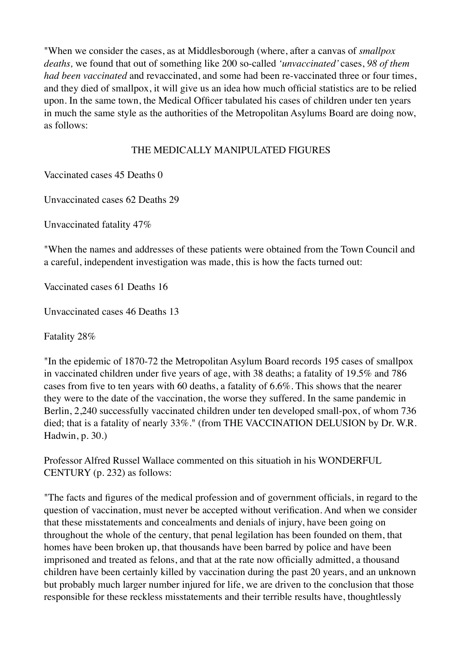"When we consider the cases, as at Middlesborough (where, after a canvas of *smallpox deaths,* we found that out of something like 200 so-called *'unvaccinated'* cases, *98 of them had been vaccinated* and revaccinated, and some had been re-vaccinated three or four times, and they died of smallpox, it will give us an idea how much official statistics are to be relied upon. In the same town, the Medical Officer tabulated his cases of children under ten years in much the same style as the authorities of the Metropolitan Asylums Board are doing now, as follows:

# THE MEDICALLY MANIPULATED FIGURES

Vaccinated cases 45 Deaths 0

Unvaccinated cases 62 Deaths 29

Unvaccinated fatality 47%

"When the names and addresses of these patients were obtained from the Town Council and a careful, independent investigation was made, this is how the facts turned out:

Vaccinated cases 61 Deaths 16

Unvaccinated cases 46 Deaths 13

Fatality 28%

"In the epidemic of 1870-72 the Metropolitan Asylum Board records 195 cases of smallpox in vaccinated children under five years of age, with 38 deaths; a fatality of 19.5% and 786 cases from five to ten years with 60 deaths, a fatality of 6.6%. This shows that the nearer they were to the date of the vaccination, the worse they suffered. In the same pandemic in Berlin, 2,240 successfully vaccinated children under ten developed small-pox, of whom 736 died; that is a fatality of nearly 33%." (from THE VACCINATION DELUSION by Dr. W.R. Hadwin, p. 30.)

Professor Alfred Russel Wallace commented on this situatioh in his WONDERFUL CENTURY (p. 232) as follows:

"The facts and figures of the medical profession and of government officials, in regard to the question of vaccination, must never be accepted without verification. And when we consider that these misstatements and concealments and denials of injury, have been going on throughout the whole of the century, that penal legilation has been founded on them, that homes have been broken up, that thousands have been barred by police and have been imprisoned and treated as felons, and that at the rate now officially admitted, a thousand children have been certainly killed by vaccination during the past 20 years, and an unknown but probably much larger number injured for life, we are driven to the conclusion that those responsible for these reckless misstatements and their terrible results have, thoughtlessly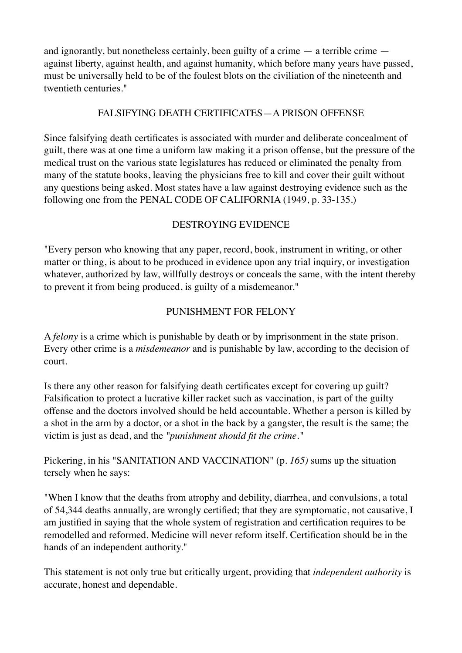and ignorantly, but nonetheless certainly, been guilty of a crime — a terrible crime against liberty, against health, and against humanity, which before many years have passed, must be universally held to be of the foulest blots on the civiliation of the nineteenth and twentieth centuries."

#### FALSIFYING DEATH CERTIFICATES—A PRISON OFFENSE

Since falsifying death certificates is associated with murder and deliberate concealment of guilt, there was at one time a uniform law making it a prison offense, but the pressure of the medical trust on the various state legislatures has reduced or eliminated the penalty from many of the statute books, leaving the physicians free to kill and cover their guilt without any questions being asked. Most states have a law against destroying evidence such as the following one from the PENAL CODE OF CALIFORNIA (1949, p. 33-135.)

# DESTROYING EVIDENCE

"Every person who knowing that any paper, record, book, instrument in writing, or other matter or thing, is about to be produced in evidence upon any trial inquiry, or investigation whatever, authorized by law, willfully destroys or conceals the same, with the intent thereby to prevent it from being produced, is guilty of a misdemeanor."

# PUNISHMENT FOR FELONY

A *felony* is a crime which is punishable by death or by imprisonment in the state prison. Every other crime is a *misdemeanor* and is punishable by law, according to the decision of court.

Is there any other reason for falsifying death certificates except for covering up guilt? Falsification to protect a lucrative killer racket such as vaccination, is part of the guilty offense and the doctors involved should be held accountable. Whether a person is killed by a shot in the arm by a doctor, or a shot in the back by a gangster, the result is the same; the victim is just as dead, and the *"punishment should fit the crime."*

Pickering, in his "SANITATION AND VACCINATION" (p. *165)* sums up the situation tersely when he says:

"When I know that the deaths from atrophy and debility, diarrhea, and convulsions, a total of 54,344 deaths annually, are wrongly certified; that they are symptomatic, not causative, I am justified in saying that the whole system of registration and certification requires to be remodelled and reformed. Medicine will never reform itself. Certification should be in the hands of an independent authority."

This statement is not only true but critically urgent, providing that *independent authority* is accurate, honest and dependable.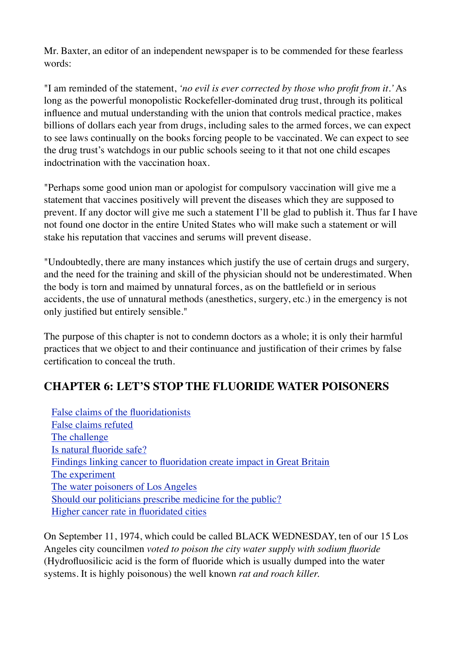Mr. Baxter, an editor of an independent newspaper is to be commended for these fearless words:

"I am reminded of the statement, *'no evil is ever corrected by those who profit from it.'* As long as the powerful monopolistic Rockefeller-dominated drug trust, through its political influence and mutual understanding with the union that controls medical practice, makes billions of dollars each year from drugs, including sales to the armed forces, we can expect to see laws continually on the books forcing people to be vaccinated. We can expect to see the drug trust's watchdogs in our public schools seeing to it that not one child escapes indoctrination with the vaccination hoax.

"Perhaps some good union man or apologist for compulsory vaccination will give me a statement that vaccines positively will prevent the diseases which they are supposed to prevent. If any doctor will give me such a statement I'll be glad to publish it. Thus far I have not found one doctor in the entire United States who will make such a statement or will stake his reputation that vaccines and serums will prevent disease.

"Undoubtedly, there are many instances which justify the use of certain drugs and surgery, and the need for the training and skill of the physician should not be underestimated. When the body is torn and maimed by unnatural forces, as on the battlefield or in serious accidents, the use of unnatural methods (anesthetics, surgery, etc.) in the emergency is not only justified but entirely sensible."

The purpose of this chapter is not to condemn doctors as a whole; it is only their harmful practices that we object to and their continuance and justification of their crimes by false certification to conceal the truth.

# **CHAPTER 6: LET'S STOP THE FLUORIDE WATER POISONERS**

 [False claims of the fluoridationists](http://www.whale.to/vaccine/sf6.html#FALSE%20CLAIMS%20OF%20THE%20FLUORIDATIONISTS) [False claims refuted](http://www.whale.to/vaccine/sf6.html#FALSE%20CLAIMS%20REFUTED) [The challenge](http://www.whale.to/vaccine/sf6.html#THE%20CHALLENGE) [Is natural fluoride safe?](http://www.whale.to/vaccine/sf6.html#IS%20NATURAL%20FLUORIDE%20SAFE?) [Findings linking cancer to fluoridation create impact in Great Britain](http://www.whale.to/vaccine/sf6.html#FINDINGS%20LINKING%20CANCER%20TO%20FLUORIDATION%20CREATE%20IMPACT%20IN%20GREAT%20BRITAIN) [The experiment](http://www.whale.to/vaccine/sf6.html#THE%20EXPERIMENT) [The water poisoners of Los Angeles](http://www.whale.to/vaccine/sf6.html#THE%20WATER%20POISONERS%20OF%20LOS%20ANGELES) [Should our politicians prescribe medicine for the public?](http://www.whale.to/vaccine/sf6.html#SHOULD%20OUR%20POLITICIANS%20PRESCRIBE%20MEDICINE%20FOR%20THE%20PUBLIC?) [Higher cancer rate in fluoridated cities](http://www.whale.to/vaccine/sf6.html#%A0HIGHER%20CANCER%20RATE%20IN%20FLUORIDATED%20CITIES)

On September 11, 1974, which could be called BLACK WEDNESDAY, ten of our 15 Los Angeles city councilmen *voted to poison the city water supply with sodium fluoride*  (Hydrofluosilicic acid is the form of fluoride which is usually dumped into the water systems. It is highly poisonous) the well known *rat and roach killer.*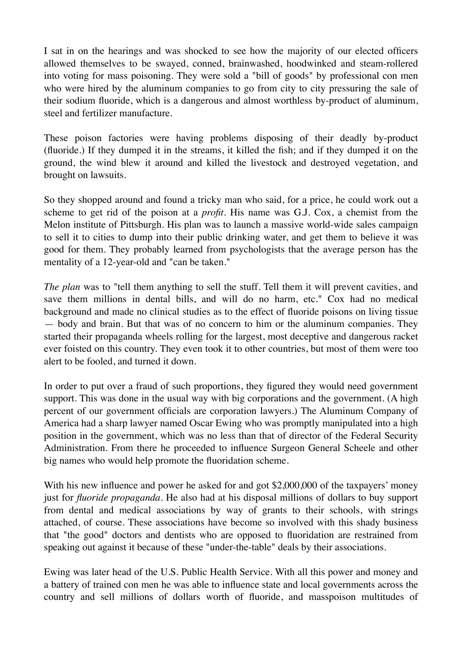I sat in on the hearings and was shocked to see how the majority of our elected officers allowed themselves to be swayed, conned, brainwashed, hoodwinked and steam-rollered into voting for mass poisoning. They were sold a "bill of goods" by professional con men who were hired by the aluminum companies to go from city to city pressuring the sale of their sodium fluoride, which is a dangerous and almost worthless by-product of aluminum, steel and fertilizer manufacture.

These poison factories were having problems disposing of their deadly by-product (fluoride.) If they dumped it in the streams, it killed the fish; and if they dumped it on the ground, the wind blew it around and killed the livestock and destroyed vegetation, and brought on lawsuits.

So they shopped around and found a tricky man who said, for a price, he could work out a scheme to get rid of the poison at a *profit.* His name was G.J. Cox, a chemist from the Melon institute of Pittsburgh. His plan was to launch a massive world-wide sales campaign to sell it to cities to dump into their public drinking water, and get them to believe it was good for them. They probably learned from psychologists that the average person has the mentality of a 12-year-old and "can be taken."

*The plan* was to "tell them anything to sell the stuff. Tell them it will prevent cavities, and save them millions in dental bills, and will do no harm, etc." Cox had no medical background and made no clinical studies as to the effect of fluoride poisons on living tissue — body and brain. But that was of no concern to him or the aluminum companies. They started their propaganda wheels rolling for the largest, most deceptive and dangerous racket ever foisted on this country. They even took it to other countries, but most of them were too alert to be fooled, and turned it down.

In order to put over a fraud of such proportions, they figured they would need government support. This was done in the usual way with big corporations and the government. (A high percent of our government officials are corporation lawyers.) The Aluminum Company of America had a sharp lawyer named Oscar Ewing who was promptly manipulated into a high position in the government, which was no less than that of director of the Federal Security Administration. From there he proceeded to influence Surgeon General Scheele and other big names who would help promote the fluoridation scheme.

With his new influence and power he asked for and got \$2,000,000 of the taxpayers' money just for *fluoride propaganda.* He also had at his disposal millions of dollars to buy support from dental and medical associations by way of grants to their schools, with strings attached, of course. These associations have become so involved with this shady business that "the good" doctors and dentists who are opposed to fluoridation are restrained from speaking out against it because of these "under-the-table" deals by their associations.

Ewing was later head of the U.S. Public Health Service. With all this power and money and a battery of trained con men he was able to influence state and local governments across the country and sell millions of dollars worth of fluoride, and masspoison multitudes of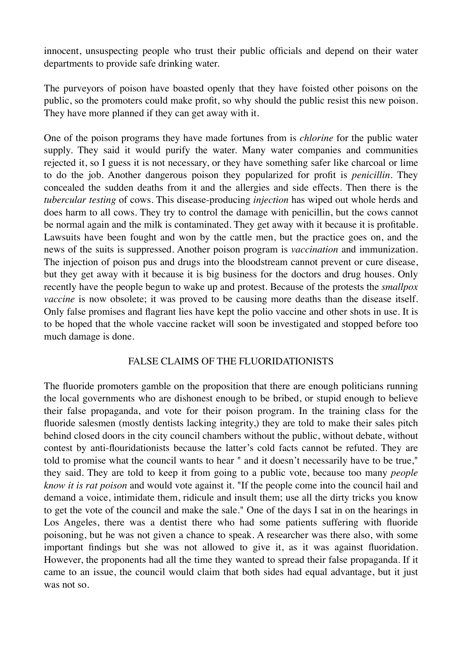innocent, unsuspecting people who trust their public officials and depend on their water departments to provide safe drinking water.

The purveyors of poison have boasted openly that they have foisted other poisons on the public, so the promoters could make profit, so why should the public resist this new poison. They have more planned if they can get away with it.

One of the poison programs they have made fortunes from is *chlorine* for the public water supply. They said it would purify the water. Many water companies and communities rejected it, so I guess it is not necessary, or they have something safer like charcoal or lime to do the job. Another dangerous poison they popularized for profit is *penicillin.* They concealed the sudden deaths from it and the allergies and side effects. Then there is the *tubercular testing* of cows. This disease-producing *injection* has wiped out whole herds and does harm to all cows. They try to control the damage with penicillin, but the cows cannot be normal again and the milk is contaminated. They get away with it because it is profitable. Lawsuits have been fought and won by the cattle men, but the practice goes on, and the news of the suits is suppressed. Another poison program is *vaccination* and immunization. The injection of poison pus and drugs into the bloodstream cannot prevent or cure disease, but they get away with it because it is big business for the doctors and drug houses. Only recently have the people begun to wake up and protest. Because of the protests the *smallpox vaccine* is now obsolete; it was proved to be causing more deaths than the disease itself. Only false promises and flagrant lies have kept the polio vaccine and other shots in use. It is to be hoped that the whole vaccine racket will soon be investigated and stopped before too much damage is done.

#### FALSE CLAIMS OF THE FLUORIDATIONISTS

The fluoride promoters gamble on the proposition that there are enough politicians running the local governments who are dishonest enough to be bribed, or stupid enough to believe their false propaganda, and vote for their poison program. In the training class for the fluoride salesmen (mostly dentists lacking integrity,) they are told to make their sales pitch behind closed doors in the city council chambers without the public, without debate, without contest by anti-flouridationists because the latter's cold facts cannot be refuted. They are told to promise what the council wants to hear " and it doesn't necessarily have to be true," they said. They are told to keep it from going to a public vote, because too many *people know it is rat poison* and would vote against it. "If the people come into the council hail and demand a voice, intimidate them, ridicule and insult them; use all the dirty tricks you know to get the vote of the council and make the sale." One of the days I sat in on the hearings in Los Angeles, there was a dentist there who had some patients suffering with fluoride poisoning, but he was not given a chance to speak. A researcher was there also, with some important findings but she was not allowed to give it, as it was against fluoridation. However, the proponents had all the time they wanted to spread their false propaganda. If it came to an issue, the council would claim that both sides had equal advantage, but it just was not so.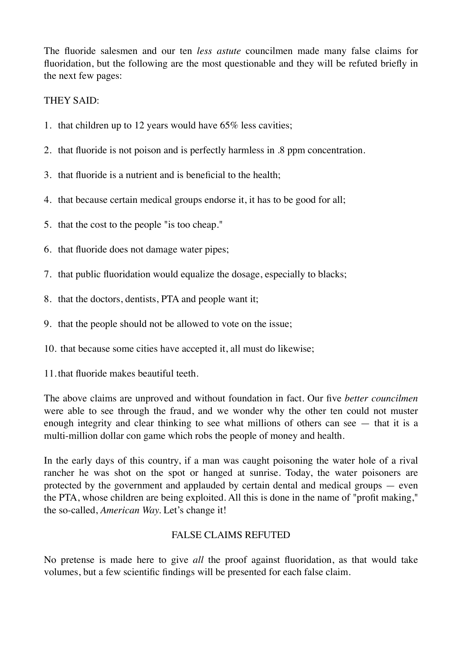The fluoride salesmen and our ten *less astute* councilmen made many false claims for fluoridation, but the following are the most questionable and they will be refuted briefly in the next few pages:

#### THEY SAID:

- 1. that children up to 12 years would have 65% less cavities;
- 2. that fluoride is not poison and is perfectly harmless in .8 ppm concentration.
- 3. that fluoride is a nutrient and is beneficial to the health;
- 4. that because certain medical groups endorse it, it has to be good for all;
- 5. that the cost to the people "is too cheap."
- 6. that fluoride does not damage water pipes;
- 7. that public fluoridation would equalize the dosage, especially to blacks;
- 8. that the doctors, dentists, PTA and people want it;
- 9. that the people should not be allowed to vote on the issue;
- 10. that because some cities have accepted it, all must do likewise;
- 11.that fluoride makes beautiful teeth.

The above claims are unproved and without foundation in fact. Our five *better councilmen*  were able to see through the fraud, and we wonder why the other ten could not muster enough integrity and clear thinking to see what millions of others can see — that it is a multi-million dollar con game which robs the people of money and health.

In the early days of this country, if a man was caught poisoning the water hole of a rival rancher he was shot on the spot or hanged at sunrise. Today, the water poisoners are protected by the government and applauded by certain dental and medical groups — even the PTA, whose children are being exploited. All this is done in the name of "profit making," the so-called, *American Way.* Let's change it!

#### FALSE CLAIMS REFUTED

No pretense is made here to give *all* the proof against fluoridation, as that would take volumes, but a few scientific findings will be presented for each false claim.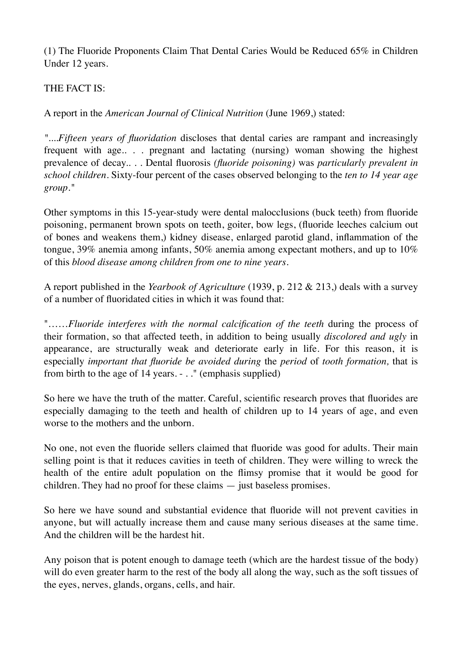(1) The Fluoride Proponents Claim That Dental Caries Would be Reduced 65% in Children Under 12 years.

#### THE FACT IS:

A report in the *American Journal of Clinical Nutrition* (June 1969,) stated:

*"....Fifteen years of fluoridation* discloses that dental caries are rampant and increasingly frequent with age.. . . pregnant and lactating (nursing) woman showing the highest prevalence of decay.. . . Dental fluorosis *(fluoride poisoning)* was *particularly prevalent in school children.* Sixty-four percent of the cases observed belonging to the *ten to 14 year age group."*

Other symptoms in this 15-year-study were dental malocclusions (buck teeth) from fluoride poisoning, permanent brown spots on teeth, goiter, bow legs, (fluoride leeches calcium out of bones and weakens them,) kidney disease, enlarged parotid gland, inflammation of the tongue, 39% anemia among infants, 50% anemia among expectant mothers, and up to 10% of this *blood disease among children from one to nine years.*

A report published in the *Yearbook of Agriculture* (1939, p. 212 & 213,) deals with a survey of a number of fluoridated cities in which it was found that:

"......*Fluoride interferes with the normal calcification of the teeth* during the process of their formation, so that affected teeth, in addition to being usually *discolored and ugly* in appearance, are structurally weak and deteriorate early in life. For this reason, it is especially *important that fluoride be avoided during* the *period* of *tooth formation,* that is from birth to the age of 14 years. - . ." (emphasis supplied)

So here we have the truth of the matter. Careful, scientific research proves that fluorides are especially damaging to the teeth and health of children up to 14 years of age, and even worse to the mothers and the unborn.

No one, not even the fluoride sellers claimed that fluoride was good for adults. Their main selling point is that it reduces cavities in teeth of children. They were willing to wreck the health of the entire adult population on the flimsy promise that it would be good for children. They had no proof for these claims — just baseless promises.

So here we have sound and substantial evidence that fluoride will not prevent cavities in anyone, but will actually increase them and cause many serious diseases at the same time. And the children will be the hardest hit.

Any poison that is potent enough to damage teeth (which are the hardest tissue of the body) will do even greater harm to the rest of the body all along the way, such as the soft tissues of the eyes, nerves, glands, organs, cells, and hair.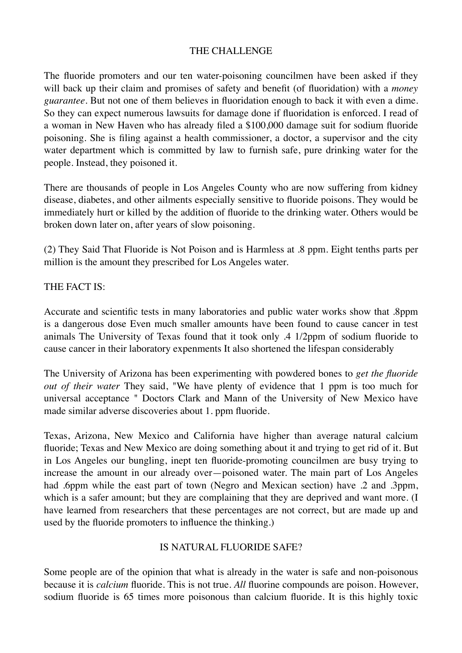#### THE CHALLENGE

The fluoride promoters and our ten water-poisoning councilmen have been asked if they will back up their claim and promises of safety and benefit (of fluoridation) with a *money guarantee.* But not one of them believes in fluoridation enough to back it with even a dime. So they can expect numerous lawsuits for damage done if fluoridation is enforced. I read of a woman in New Haven who has already filed a \$100,000 damage suit for sodium fluoride poisoning. She is filing against a health commissioner, a doctor, a supervisor and the city water department which is committed by law to furnish safe, pure drinking water for the people. Instead, they poisoned it.

There are thousands of people in Los Angeles County who are now suffering from kidney disease, diabetes, and other ailments especially sensitive to fluoride poisons. They would be immediately hurt or killed by the addition of fluoride to the drinking water. Others would be broken down later on, after years of slow poisoning.

(2) They Said That Fluoride is Not Poison and is Harmless at .8 ppm. Eight tenths parts per million is the amount they prescribed for Los Angeles water.

#### THE FACT IS:

Accurate and scientific tests in many laboratories and public water works show that .8ppm is a dangerous dose Even much smaller amounts have been found to cause cancer in test animals The University of Texas found that it took only .4 1/2ppm of sodium fluoride to cause cancer in their laboratory expenments It also shortened the lifespan considerably

The University of Arizona has been experimenting with powdered bones to *get the fluoride out of their water* They said, "We have plenty of evidence that 1 ppm is too much for universal acceptance " Doctors Clark and Mann of the University of New Mexico have made similar adverse discoveries about 1. ppm fluoride.

Texas, Arizona, New Mexico and California have higher than average natural calcium fluoride; Texas and New Mexico are doing something about it and trying to get rid of it. But in Los Angeles our bungling, inept ten fluoride-promoting councilmen are busy trying to increase the amount in our already over—poisoned water. The main part of Los Angeles had .6ppm while the east part of town (Negro and Mexican section) have .2 and .3ppm, which is a safer amount; but they are complaining that they are deprived and want more. (I have learned from researchers that these percentages are not correct, but are made up and used by the fluoride promoters to influence the thinking.)

#### IS NATURAL FLUORIDE SAFE?

Some people are of the opinion that what is already in the water is safe and non-poisonous because it is *calcium* fluoride. This is not true. *All* fluorine compounds are poison. However, sodium fluoride is 65 times more poisonous than calcium fluoride. It is this highly toxic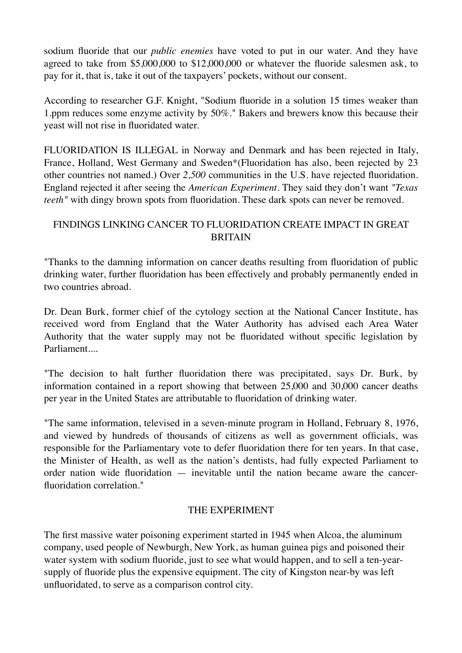sodium fluoride that our *public enemies* have voted to put in our water. And they have agreed to take from \$5,000,000 to \$12,000,000 or whatever the fluoride salesmen ask, to pay for it, that is, take it out of the taxpayers' pockets, without our consent.

According to researcher G.F. Knight, "Sodium fluoride in a solution 15 times weaker than 1.ppm reduces some enzyme activity by 50%." Bakers and brewers know this because their yeast will not rise in fluoridated water.

FLUORIDATION IS ILLEGAL in Norway and Denmark and has been rejected in Italy, France, Holland, West Germany and Sweden\*(Fluoridation has also, been rejected by 23 other countries not named.) Over *2,500* communities in the U.S. have rejected fluoridation. England rejected it after seeing the *American Experiment.* They said they don't want *"Texas teeth*" with dingy brown spots from fluoridation. These dark spots can never be removed.

#### FINDINGS LINKING CANCER TO FLUORIDATION CREATE IMPACT IN GREAT **BRITAIN**

"Thanks to the damning information on cancer deaths resulting from fluoridation of public drinking water, further fluoridation has been effectively and probably permanently ended in two countries abroad.

Dr. Dean Burk, former chief of the cytology section at the National Cancer Institute, has received word from England that the Water Authority has advised each Area Water Authority that the water supply may not be fluoridated without specific legislation by Parliament....

"The decision to halt further fluoridation there was precipitated, says Dr. Burk, by information contained in a report showing that between 25,000 and 30,000 cancer deaths per year in the United States are attributable to fluoridation of drinking water.

"The same information, televised in a seven-minute program in Holland, February 8, 1976, and viewed by hundreds of thousands of citizens as well as government officials, was responsible for the Parliamentary vote to defer fluoridation there for ten years. In that case, the Minister of Health, as well as the nation's dentists, had fully expected Parliament to order nation wide fluoridation — inevitable until the nation became aware the cancerfluoridation correlation."

#### THE EXPERIMENT

The first massive water poisoning experiment started in 1945 when Alcoa, the aluminum company, used people of Newburgh, New York, as human guinea pigs and poisoned their water system with sodium fluoride, just to see what would happen, and to sell a ten-yearsupply of fluoride plus the expensive equipment. The city of Kingston near-by was left unfluoridated, to serve as a comparison control city.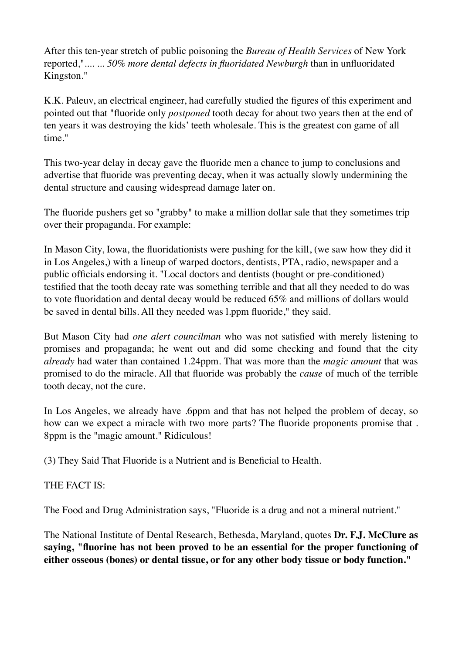After this ten-year stretch of public poisoning the *Bureau of Health Services* of New York reported,".... ... *50% more dental defects in fluoridated Newburgh* than in unfluoridated Kingston."

K.K. Paleuv, an electrical engineer, had carefully studied the figures of this experiment and pointed out that "fluoride only *postponed* tooth decay for about two years then at the end of ten years it was destroying the kids' teeth wholesale. This is the greatest con game of all time."

This two-year delay in decay gave the fluoride men a chance to jump to conclusions and advertise that fluoride was preventing decay, when it was actually slowly undermining the dental structure and causing widespread damage later on.

The fluoride pushers get so "grabby" to make a million dollar sale that they sometimes trip over their propaganda. For example:

In Mason City, Iowa, the fluoridationists were pushing for the kill, (we saw how they did it in Los Angeles,) with a lineup of warped doctors, dentists, PTA, radio, newspaper and a public officials endorsing it. "Local doctors and dentists (bought or pre-conditioned) testified that the tooth decay rate was something terrible and that all they needed to do was to vote fluoridation and dental decay would be reduced 65% and millions of dollars would be saved in dental bills. All they needed was l.ppm fluoride," they said.

But Mason City had *one alert councilman* who was not satisfied with merely listening to promises and propaganda; he went out and did some checking and found that the city *already* had water than contained 1.24ppm. That was more than the *magic amount* that was promised to do the miracle. All that fluoride was probably the *cause* of much of the terrible tooth decay, not the cure.

In Los Angeles, we already have .6ppm and that has not helped the problem of decay, so how can we expect a miracle with two more parts? The fluoride proponents promise that . 8ppm is the "magic amount." Ridiculous!

(3) They Said That Fluoride is a Nutrient and is Beneficial to Health.

#### THE FACT IS:

The Food and Drug Administration says, "Fluoride is a drug and not a mineral nutrient."

The National Institute of Dental Research, Bethesda, Maryland, quotes **Dr. F.J. McClure as saying, "fluorine has not been proved to be an essential for the proper functioning of either osseous (bones) or dental tissue, or for any other body tissue or body function."**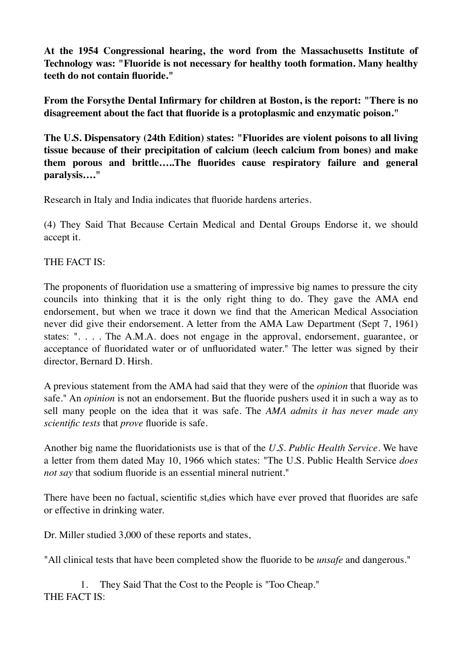**At the 1954 Congressional hearing, the word from the Massachusetts Institute of Technology was: "Fluoride is not necessary for healthy tooth formation. Many healthy teeth do not contain fluoride."**

**From the Forsythe Dental Infirmary for children at Boston, is the report: "There is no disagreement about the fact that fluoride is a protoplasmic and enzymatic poison."**

**The U.S. Dispensatory (24th Edition) states: "Fluorides are violent poisons to all living tissue because of their precipitation of calcium (leech calcium from bones) and make them porous and brittle…..The fluorides cause respiratory failure and general paralysis…."**

Research in Italy and India indicates that fluoride hardens arteries.

(4) They Said That Because Certain Medical and Dental Groups Endorse it, we should accept it.

#### THE FACT IS:

The proponents of fluoridation use a smattering of impressive big names to pressure the city councils into thinking that it is the only right thing to do. They gave the AMA end endorsement, but when we trace it down we find that the American Medical Association never did give their endorsement. A letter from the AMA Law Department (Sept 7, 1961) states: ". . . . The A.M.A. does not engage in the approval, endorsement, guarantee, or acceptance of fluoridated water or of unfluoridated water." The letter was signed by their director, Bernard D. Hirsh.

A previous statement from the AMA had said that they were of the *opinion* that fluoride was safe." An *opinion* is not an endorsement. But the fluoride pushers used it in such a way as to sell many people on the idea that it was safe. The *AMA admits it has never made any scientific tests* that *prove* fluoride is safe.

Another big name the fluoridationists use is that of the *U.S. Public Health Service.* We have a letter from them dated May 10, 1966 which states: "The U.S. Public Health Service *does not say* that sodium fluoride is an essential mineral nutrient."

There have been no factual, scientific st<sub>u</sub>dies which have ever proved that fluorides are safe or effective in drinking water.

Dr. Miller studied 3,000 of these reports and states,

"All clinical tests that have been completed show the fluoride to be *unsafe* and dangerous."

1. They Said That the Cost to the People is "Too Cheap." THE FACT IS: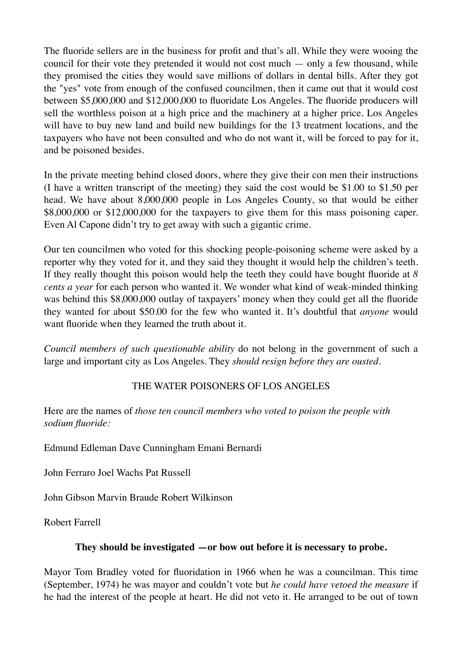The fluoride sellers are in the business for profit and that's all. While they were wooing the council for their vote they pretended it would not cost much — only a few thousand, while they promised the cities they would save millions of dollars in dental bills. After they got the "yes" vote from enough of the confused councilmen, then it came out that it would cost between \$5,000,000 and \$12,000,000 to fluoridate Los Angeles. The fluoride producers will sell the worthless poison at a high price and the machinery at a higher price. Los Angeles will have to buy new land and build new buildings for the 13 treatment locations, and the taxpayers who have not been consulted and who do not want it, will be forced to pay for it, and be poisoned besides.

In the private meeting behind closed doors, where they give their con men their instructions (I have a written transcript of the meeting) they said the cost would be \$1.00 to \$1.50 per head. We have about 8,000,000 people in Los Angeles County, so that would be either \$8,000,000 or \$12,000,000 for the taxpayers to give them for this mass poisoning caper. Even Al Capone didn't try to get away with such a gigantic crime.

Our ten councilmen who voted for this shocking people-poisoning scheme were asked by a reporter why they voted for it, and they said they thought it would help the children's teeth. If they really thought this poison would help the teeth they could have bought fluoride at *8 cents a year* for each person who wanted it. We wonder what kind of weak-minded thinking was behind this \$8,000,000 outlay of taxpayers' money when they could get all the fluoride they wanted for about \$50.00 for the few who wanted it. It's doubtful that *anyone* would want fluoride when they learned the truth about it.

*Council members of such questionable ability* do not belong in the government of such a large and important city as Los Angeles. They *should resign before they are ousted.*

#### THE WATER POISONERS OF LOS ANGELES

Here are the names of *those ten council members who voted to poison the people with sodium fluoride:*

Edmund Edleman Dave Cunningham Emani Bernardi

John Ferraro Joel Wachs Pat Russell

John Gibson Marvin Braude Robert Wilkinson

Robert Farrell

#### **They should be investigated —or bow out before it is necessary to probe.**

Mayor Tom Bradley voted for fluoridation in 1966 when he was a councilman. This time (September, 1974) he was mayor and couldn't vote but *he could have vetoed the measure* if he had the interest of the people at heart. He did not veto it. He arranged to be out of town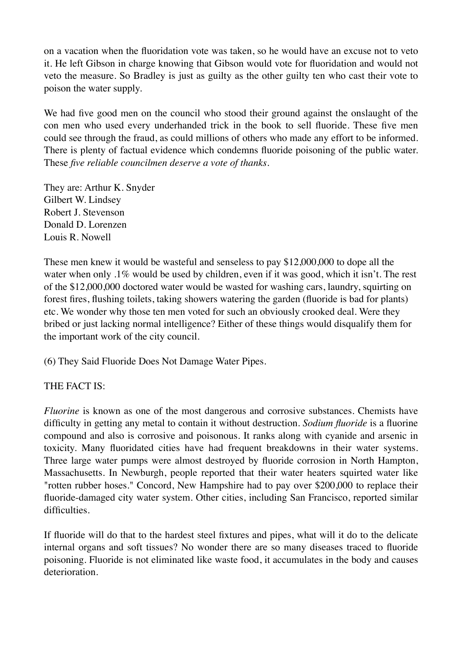on a vacation when the fluoridation vote was taken, so he would have an excuse not to veto it. He left Gibson in charge knowing that Gibson would vote for fluoridation and would not veto the measure. So Bradley is just as guilty as the other guilty ten who cast their vote to poison the water supply.

We had five good men on the council who stood their ground against the onslaught of the con men who used every underhanded trick in the book to sell fluoride. These five men could see through the fraud, as could millions of others who made any effort to be informed. There is plenty of factual evidence which condemns fluoride poisoning of the public water. These *five reliable councilmen deserve a vote of thanks.*

They are: Arthur K. Snyder Gilbert W. Lindsey Robert J. Stevenson Donald D. Lorenzen Louis R. Nowell

These men knew it would be wasteful and senseless to pay \$12,000,000 to dope all the water when only .1% would be used by children, even if it was good, which it isn't. The rest of the \$12,000,000 doctored water would be wasted for washing cars, laundry, squirting on forest fires, flushing toilets, taking showers watering the garden (fluoride is bad for plants) etc. We wonder why those ten men voted for such an obviously crooked deal. Were they bribed or just lacking normal intelligence? Either of these things would disqualify them for the important work of the city council.

(6) They Said Fluoride Does Not Damage Water Pipes.

THE FACT IS:

*Fluorine* is known as one of the most dangerous and corrosive substances. Chemists have difficulty in getting any metal to contain it without destruction. *Sodium fluoride* is a fluorine compound and also is corrosive and poisonous. It ranks along with cyanide and arsenic in toxicity. Many fluoridated cities have had frequent breakdowns in their water systems. Three large water pumps were almost destroyed by fluoride corrosion in North Hampton, Massachusetts. In Newburgh, people reported that their water heaters squirted water like "rotten rubber hoses." Concord, New Hampshire had to pay over \$200,000 to replace their fluoride-damaged city water system. Other cities, including San Francisco, reported similar difficulties.

If fluoride will do that to the hardest steel fixtures and pipes, what will it do to the delicate internal organs and soft tissues? No wonder there are so many diseases traced to fluoride poisoning. Fluoride is not eliminated like waste food, it accumulates in the body and causes deterioration.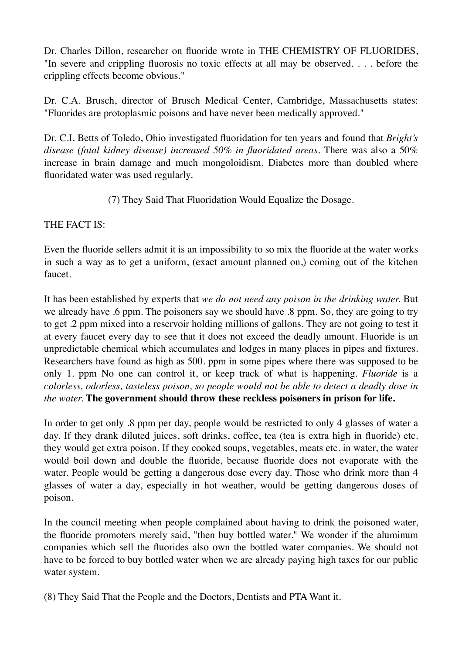Dr. Charles Dillon, researcher on fluoride wrote in THE CHEMISTRY OF FLUORIDES, "In severe and crippling fluorosis no toxic effects at all may be observed. . . . before the crippling effects become obvious."

Dr. C.A. Brusch, director of Brusch Medical Center, Cambridge, Massachusetts states: "Fluorides are protoplasmic poisons and have never been medically approved."

Dr. C.I. Betts of Toledo, Ohio investigated fluoridation for ten years and found that *Bright's disease (fatal kidney disease) increased 50% in fluoridated areas.* There was also a 50% increase in brain damage and much mongoloidism. Diabetes more than doubled where fluoridated water was used regularly.

(7) They Said That Fluoridation Would Equalize the Dosage.

THE FACT IS:

Even the fluoride sellers admit it is an impossibility to so mix the fluoride at the water works in such a way as to get a uniform, (exact amount planned on,) coming out of the kitchen faucet.

It has been established by experts that *we do not need any poison in the drinking water.* But we already have .6 ppm. The poisoners say we should have .8 ppm. So, they are going to try to get .2 ppm mixed into a reservoir holding millions of gallons. They are not going to test it at every faucet every day to see that it does not exceed the deadly amount. Fluoride is an unpredictable chemical which accumulates and lodges in many places in pipes and fixtures. Researchers have found as high as 500. ppm in some pipes where there was supposed to be only 1. ppm No one can control it, or keep track of what is happening. *Fluoride* is a *colorless, odorless, tasteless poison, so people would not be able to detect a deadly dose in the water.* **The government should throw these reckless poisøners in prison for life.**

In order to get only .8 ppm per day, people would be restricted to only 4 glasses of water a day. If they drank diluted juices, soft drinks, coffee, tea (tea is extra high in fluoride) etc. they would get extra poison. If they cooked soups, vegetables, meats etc. in water, the water would boil down and double the fluoride, because fluoride does not evaporate with the water. People would be getting a dangerous dose every day. Those who drink more than 4 glasses of water a day, especially in hot weather, would be getting dangerous doses of poison.

In the council meeting when people complained about having to drink the poisoned water, the fluoride promoters merely said, "then buy bottled water." We wonder if the aluminum companies which sell the fluorides also own the bottled water companies. We should not have to be forced to buy bottled water when we are already paying high taxes for our public water system.

(8) They Said That the People and the Doctors, Dentists and PTA Want it.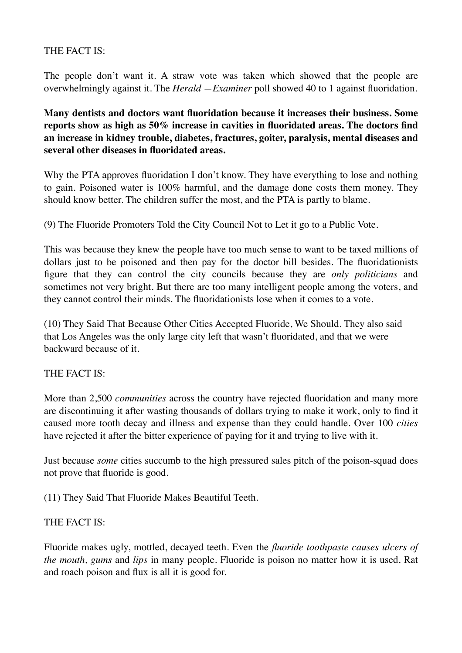# THE FACT IS:

The people don't want it. A straw vote was taken which showed that the people are overwhelmingly against it. The *Herald —Examiner* poll showed 40 to 1 against fluoridation.

**Many dentists and doctors want fluoridation because it increases their business. Some reports show as high as 50% increase in cavities in fluoridated areas. The doctors find an increase in kidney trouble, diabetes, fractures, goiter, paralysis, mental diseases and several other diseases in fluoridated areas.**

Why the PTA approves fluoridation I don't know. They have everything to lose and nothing to gain. Poisoned water is 100% harmful, and the damage done costs them money. They should know better. The children suffer the most, and the PTA is partly to blame.

(9) The Fluoride Promoters Told the City Council Not to Let it go to a Public Vote.

This was because they knew the people have too much sense to want to be taxed millions of dollars just to be poisoned and then pay for the doctor bill besides. The fluoridationists figure that they can control the city councils because they are *only politicians* and sometimes not very bright. But there are too many intelligent people among the voters, and they cannot control their minds. The fluoridationists lose when it comes to a vote.

(10) They Said That Because Other Cities Accepted Fluoride, We Should. They also said that Los Angeles was the only large city left that wasn't fluoridated, and that we were backward because of it.

#### THE FACT IS:

More than 2,500 *communities* across the country have rejected fluoridation and many more are discontinuing it after wasting thousands of dollars trying to make it work, only to find it caused more tooth decay and illness and expense than they could handle. Over 100 *cities*  have rejected it after the bitter experience of paying for it and trying to live with it.

Just because *some* cities succumb to the high pressured sales pitch of the poison-squad does not prove that fluoride is good.

(11) They Said That Fluoride Makes Beautiful Teeth.

#### THE FACT IS:

Fluoride makes ugly, mottled, decayed teeth. Even the *fluoride toothpaste causes ulcers of the mouth, gums* and *lips* in many people. Fluoride is poison no matter how it is used. Rat and roach poison and flux is all it is good for.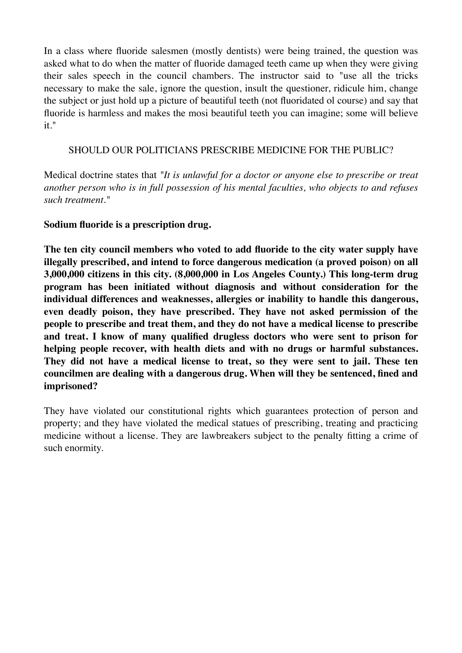In a class where fluoride salesmen (mostly dentists) were being trained, the question was asked what to do when the matter of fluoride damaged teeth came up when they were giving their sales speech in the council chambers. The instructor said to "use all the tricks necessary to make the sale, ignore the question, insult the questioner, ridicule him, change the subject or just hold up a picture of beautiful teeth (not fluoridated ol course) and say that fluoride is harmless and makes the mosi beautiful teeth you can imagine; some will believe it."

#### SHOULD OUR POLITICIANS PRESCRIBE MEDICINE FOR THE PUBLIC?

Medical doctrine states that *"It is unlawful for a doctor or anyone else to prescribe or treat another person who is in full possession of his mental faculties, who objects to and refuses such treatment."*

#### **Sodium fluoride is a prescription drug.**

**The ten city council members who voted to add fluoride to the city water supply have illegally prescribed, and intend to force dangerous medication (a proved poison) on all 3,000,000 citizens in this city. (8,000,000 in Los Angeles County.) This long-term drug program has been initiated without diagnosis and without consideration for the individual differences and weaknesses, allergies or inability to handle this dangerous, even deadly poison, they have prescribed. They have not asked permission of the people to prescribe and treat them, and they do not have a medical license to prescribe and treat. I know of many qualified drugless doctors who were sent to prison for helping people recover, with health diets and with no drugs or harmful substances. They did not have a medical license to treat, so they were sent to jail. These ten councilmen are dealing with a dangerous drug. When will they be sentenced, fined and imprisoned?**

They have violated our constitutional rights which guarantees protection of person and property; and they have violated the medical statues of prescribing, treating and practicing medicine without a license. They are lawbreakers subject to the penalty fitting a crime of such enormity.